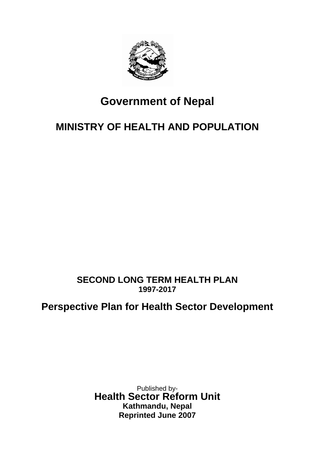

# **Government of Nepal**

## **MINISTRY OF HEALTH AND POPULATION**

## **SECOND LONG TERM HEALTH PLAN 1997-2017**

## **Perspective Plan for Health Sector Development**

Published by-**Health Sector Reform Unit Kathmandu, Nepal Reprinted June 2007**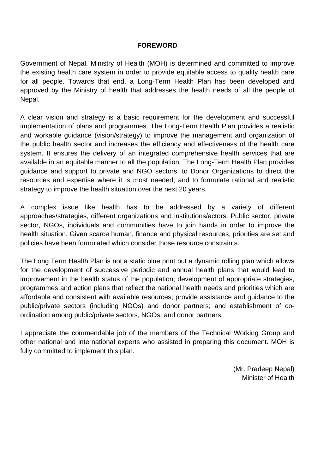#### **FOREWORD**

Government of Nepal, Ministry of Health (MOH) is determined and committed to improve the existing health care system in order to provide equitable access to quality health care for all people. Towards that end, a Long-Term Health Plan has been developed and approved by the Ministry of health that addresses the health needs of all the people of Nepal.

A clear vision and strategy is a basic requirement for the development and successful implementation of plans and programmes. The Long-Term Health Plan provides a realistic and workable guidance (vision/strategy) to improve the management and organization of the public health sector and increases the efficiency and effectiveness of the health care system. It ensures the delivery of an integrated comprehensive health services that are available in an equitable manner to all the population. The Long-Term Health Plan provides guidance and support to private and NGO sectors, to Donor Organizations to direct the resources and expertise where it is most needed; and to formulate rational and realistic strategy to improve the health situation over the next 20 years.

A complex issue like health has to be addressed by a variety of different approaches/strategies, different organizations and institutions/actors. Public sector, private sector, NGOs, individuals and communities have to join hands in order to improve the health situation. Given scarce human, finance and physical resources, priorities are set and policies have been formulated which consider those resource constraints.

The Long Term Health Plan is not a static blue print but a dynamic rolling plan which allows for the development of successive periodic and annual health plans that would lead to improvement in the health status of the population; development of appropriate strategies, programmes and action plans that reflect the national health needs and priorities which are affordable and consistent with available resources; provide assistance and guidance to the public/private sectors (including NGOs) and donor partners; and establishment of coordination among public/private sectors, NGOs, and donor partners.

I appreciate the commendable job of the members of the Technical Working Group and other national and international experts who assisted in preparing this document. MOH is fully committed to implement this plan.

> (Mr. Pradeep Nepal) Minister of Health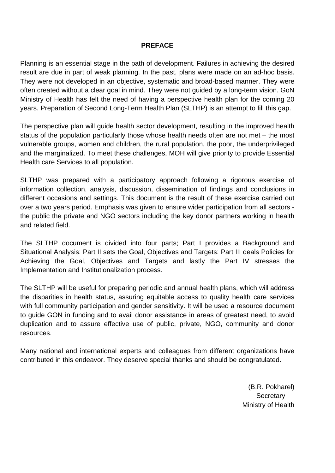#### **PREFACE**

Planning is an essential stage in the path of development. Failures in achieving the desired result are due in part of weak planning. In the past, plans were made on an ad-hoc basis. They were not developed in an objective, systematic and broad-based manner. They were often created without a clear goal in mind. They were not guided by a long-term vision. GoN Ministry of Health has felt the need of having a perspective health plan for the coming 20 years. Preparation of Second Long-Term Health Plan (SLTHP) is an attempt to fill this gap.

The perspective plan will guide health sector development, resulting in the improved health status of the population particularly those whose health needs often are not met – the most vulnerable groups, women and children, the rural population, the poor, the underprivileged and the marginalized. To meet these challenges, MOH will give priority to provide Essential Health care Services to all population.

SLTHP was prepared with a participatory approach following a rigorous exercise of information collection, analysis, discussion, dissemination of findings and conclusions in different occasions and settings. This document is the result of these exercise carried out over a two years period. Emphasis was given to ensure wider participation from all sectors the public the private and NGO sectors including the key donor partners working in health and related field.

The SLTHP document is divided into four parts; Part I provides a Background and Situational Analysis: Part II sets the Goal, Objectives and Targets: Part III deals Policies for Achieving the Goal, Objectives and Targets and lastly the Part IV stresses the Implementation and Institutionalization process.

The SLTHP will be useful for preparing periodic and annual health plans, which will address the disparities in health status, assuring equitable access to quality health care services with full community participation and gender sensitivity. It will be used a resource document to guide GON in funding and to avail donor assistance in areas of greatest need, to avoid duplication and to assure effective use of public, private, NGO, community and donor resources.

Many national and international experts and colleagues from different organizations have contributed in this endeavor. They deserve special thanks and should be congratulated.

> (B.R. Pokharel) **Secretary** Ministry of Health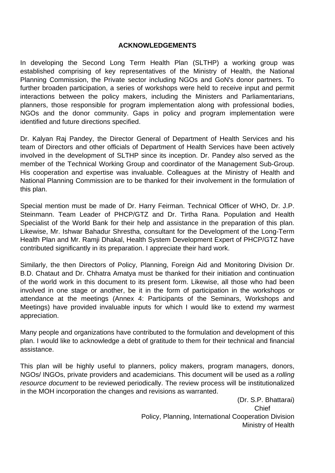#### **ACKNOWLEDGEMENTS**

In developing the Second Long Term Health Plan (SLTHP) a working group was established comprising of key representatives of the Ministry of Health, the National Planning Commission, the Private sector including NGOs and GoN's donor partners. To further broaden participation, a series of workshops were held to receive input and permit interactions between the policy makers, including the Ministers and Parliamentarians, planners, those responsible for program implementation along with professional bodies, NGOs and the donor community. Gaps in policy and program implementation were identified and future directions specified.

Dr. Kalyan Raj Pandey, the Director General of Department of Health Services and his team of Directors and other officials of Department of Health Services have been actively involved in the development of SLTHP since its inception. Dr. Pandey also served as the member of the Technical Working Group and coordinator of the Management Sub-Group. His cooperation and expertise was invaluable. Colleagues at the Ministry of Health and National Planning Commission are to be thanked for their involvement in the formulation of this plan.

Special mention must be made of Dr. Harry Feirman. Technical Officer of WHO, Dr. J.P. Steinmann. Team Leader of PHCP/GTZ and Dr. Tirtha Rana. Population and Health Specialist of the World Bank for their help and assistance in the preparation of this plan. Likewise, Mr. Ishwar Bahadur Shrestha, consultant for the Development of the Long-Term Health Plan and Mr. Ramji Dhakal, Health System Development Expert of PHCP/GTZ have contributed significantly in its preparation. I appreciate their hard work.

Similarly, the then Directors of Policy, Planning, Foreign Aid and Monitoring Division Dr. B.D. Chataut and Dr. Chhatra Amatya must be thanked for their initiation and continuation of the world work in this document to its present form. Likewise, all those who had been involved in one stage or another, be it in the form of participation in the workshops or attendance at the meetings (Annex 4: Participants of the Seminars, Workshops and Meetings) have provided invaluable inputs for which I would like to extend my warmest appreciation.

Many people and organizations have contributed to the formulation and development of this plan. I would like to acknowledge a debt of gratitude to them for their technical and financial assistance.

This plan will be highly useful to planners, policy makers, program managers, donors, NGOs/ INGOs, private providers and academicians. This document will be used as a *rolling resource document* to be reviewed periodically. The review process will be institutionalized in the MOH incorporation the changes and revisions as warranted.

(Dr. S.P. Bhattarai) **Chief** Chief Chief Chief Chief Chief Chief Chief Chief Chief Chief Chief Chief Chief Chief Chief Chief Chief Chief Chief Chief Chief Chief Chief Chief Chief Chief Chief Chief Chief Chief Chief Chief Chief Chief Chief Chie Policy, Planning, International Cooperation Division Ministry of Health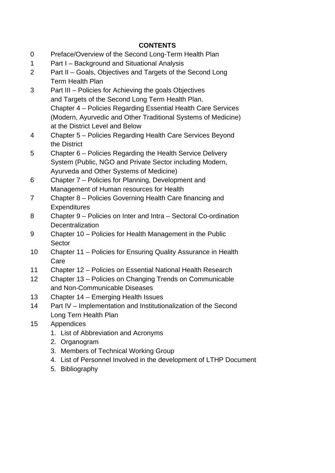#### **CONTENTS**

- 0 Preface/Overview of the Second Long-Term Health Plan
- 1 Part I Background and Situational Analysis
- 2 Part II Goals, Objectives and Targets of the Second Long Term Health Plan
- 3 Part III Policies for Achieving the goals Objectives and Targets of the Second Long Term Health Plan. Chapter 4 – Policies Regarding Essential Health Care Services (Modern, Ayurvedic and Other Traditional Systems of Medicine) at the District Level and Below
- 4 Chapter 5 Policies Regarding Health Care Services Beyond the District
- 5 Chapter 6 Policies Regarding the Health Service Delivery System (Public, NGO and Private Sector including Modern, Ayurveda and Other Systems of Medicine)
- 6 Chapter 7 Policies for Planning, Development and Management of Human resources for Health
- 7 Chapter 8 Policies Governing Health Care financing and **Expenditures**
- 8 Chapter 9 Policies on Inter and Intra Sectoral Co-ordination **Decentralization**
- 9 Chapter 10 Policies for Health Management in the Public Sector
- 10 Chapter 11 Policies for Ensuring Quality Assurance in Health Care
- 11 Chapter 12 Policies on Essential National Health Research
- 12 Chapter 13 Policies on Changing Trends on Communicable and Non-Communicable Diseases
- 13 Chapter 14 Emerging Health Issues
- 14 Part IV Implementation and Institutionalization of the Second Long Tern Health Plan
- 15 Appendices
	- 1. List of Abbreviation and Acronyms
	- 2. Organogram
	- 3. Members of Technical Working Group
	- 4. List of Personnel Involved in the development of LTHP Document
	- 5. Bibliography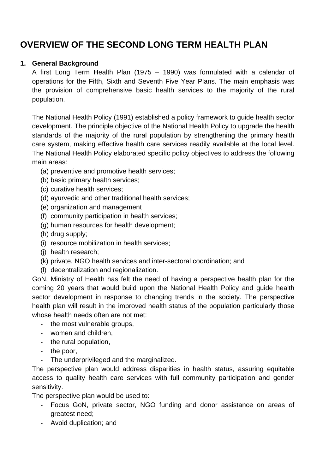## **OVERVIEW OF THE SECOND LONG TERM HEALTH PLAN**

#### **1. General Background**

A first Long Term Health Plan (1975 – 1990) was formulated with a calendar of operations for the Fifth, Sixth and Seventh Five Year Plans. The main emphasis was the provision of comprehensive basic health services to the majority of the rural population.

The National Health Policy (1991) established a policy framework to guide health sector development. The principle objective of the National Health Policy to upgrade the health standards of the majority of the rural population by strengthening the primary health care system, making effective health care services readily available at the local level. The National Health Policy elaborated specific policy objectives to address the following main areas:

- (a) preventive and promotive health services;
- (b) basic primary health services;
- (c) curative health services;
- (d) ayurvedic and other traditional health services;
- (e) organization and management
- (f) community participation in health services;
- (g) human resources for health development;
- (h) drug supply;
- (i) resource mobilization in health services;
- (j) health research;
- (k) private, NGO health services and inter-sectoral coordination; and
- (l) decentralization and regionalization.

GoN, Ministry of Health has felt the need of having a perspective health plan for the coming 20 years that would build upon the National Health Policy and guide health sector development in response to changing trends in the society. The perspective health plan will result in the improved health status of the population particularly those whose health needs often are not met:

- the most vulnerable groups,
- women and children,
- the rural population,
- the poor,
- The underprivileged and the marginalized.

The perspective plan would address disparities in health status, assuring equitable access to quality health care services with full community participation and gender sensitivity.

The perspective plan would be used to:

- Focus GoN, private sector, NGO funding and donor assistance on areas of greatest need;
- Avoid duplication; and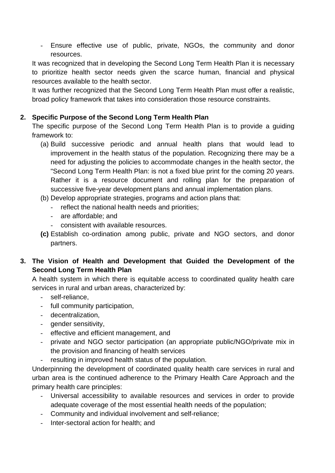- Ensure effective use of public, private, NGOs, the community and donor resources.

It was recognized that in developing the Second Long Term Health Plan it is necessary to prioritize health sector needs given the scarce human, financial and physical resources available to the health sector.

It was further recognized that the Second Long Term Health Plan must offer a realistic, broad policy framework that takes into consideration those resource constraints.

#### **2. Specific Purpose of the Second Long Term Health Plan**

The specific purpose of the Second Long Term Health Plan is to provide a guiding framework to:

- (a) Build successive periodic and annual health plans that would lead to improvement in the health status of the population. Recognizing there may be a need for adjusting the policies to accommodate changes in the health sector, the "Second Long Term Health Plan: is not a fixed blue print for the coming 20 years. Rather it is a resource document and rolling plan for the preparation of successive five-year development plans and annual implementation plans.
- (b) Develop appropriate strategies, programs and action plans that:
	- reflect the national health needs and priorities;
	- are affordable; and
	- consistent with available resources.
- **(c)** Establish co-ordination among public, private and NGO sectors, and donor partners.
- **3. The Vision of Health and Development that Guided the Development of the Second Long Term Health Plan**

A health system in which there is equitable access to coordinated quality health care services in rural and urban areas, characterized by:

- self-reliance,
- full community participation,
- decentralization,
- gender sensitivity,
- effective and efficient management, and
- private and NGO sector participation (an appropriate public/NGO/private mix in the provision and financing of health services
- resulting in improved health status of the population.

Underpinning the development of coordinated quality health care services in rural and urban area is the continued adherence to the Primary Health Care Approach and the primary health care principles:

- Universal accessibility to available resources and services in order to provide adequate coverage of the most essential health needs of the population;
- Community and individual involvement and self-reliance;
- Inter-sectoral action for health; and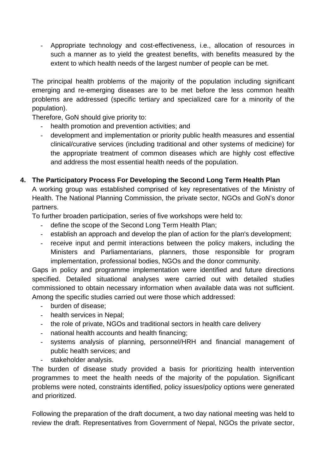- Appropriate technology and cost-effectiveness, i.e., allocation of resources in such a manner as to yield the greatest benefits, with benefits measured by the extent to which health needs of the largest number of people can be met.

The principal health problems of the majority of the population including significant emerging and re-emerging diseases are to be met before the less common health problems are addressed (specific tertiary and specialized care for a minority of the population).

Therefore, GoN should give priority to:

- health promotion and prevention activities; and
- development and implementation or priority public health measures and essential clinical/curative services (including traditional and other systems of medicine) for the appropriate treatment of common diseases which are highly cost effective and address the most essential health needs of the population.

#### **4. The Participatory Process For Developing the Second Long Term Health Plan**

A working group was established comprised of key representatives of the Ministry of Health. The National Planning Commission, the private sector, NGOs and GoN's donor partners.

To further broaden participation, series of five workshops were held to:

- define the scope of the Second Long Term Health Plan;
- establish an approach and develop the plan of action for the plan's development;
- receive input and permit interactions between the policy makers, including the Ministers and Parliamentarians, planners, those responsible for program implementation, professional bodies, NGOs and the donor community.

Gaps in policy and programme implementation were identified and future directions specified. Detailed situational analyses were carried out with detailed studies commissioned to obtain necessary information when available data was not sufficient. Among the specific studies carried out were those which addressed:

- burden of disease;
- health services in Nepal;
- the role of private, NGOs and traditional sectors in health care delivery
- national health accounts and health financing;
- systems analysis of planning, personnel/HRH and financial management of public health services; and
- stakeholder analysis.

The burden of disease study provided a basis for prioritizing health intervention programmes to meet the health needs of the majority of the population. Significant problems were noted, constraints identified, policy issues/policy options were generated and prioritized.

Following the preparation of the draft document, a two day national meeting was held to review the draft. Representatives from Government of Nepal, NGOs the private sector,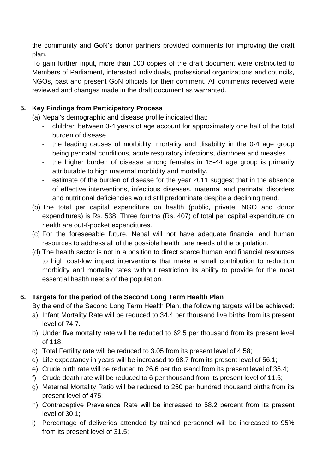the community and GoN's donor partners provided comments for improving the draft plan.

To gain further input, more than 100 copies of the draft document were distributed to Members of Parliament, interested individuals, professional organizations and councils, NGOs, past and present GoN officials for their comment. All comments received were reviewed and changes made in the draft document as warranted.

### **5. Key Findings from Participatory Process**

(a) Nepal's demographic and disease profile indicated that:

- children between 0-4 years of age account for approximately one half of the total burden of disease.
- the leading causes of morbidity, mortality and disability in the 0-4 age group being perinatal conditions, acute respiratory infections, diarrhoea and measles.
- the higher burden of disease among females in 15-44 age group is primarily attributable to high maternal morbidity and mortality.
- estimate of the burden of disease for the year 2011 suggest that in the absence of effective interventions, infectious diseases, maternal and perinatal disorders and nutritional deficiencies would still predominate despite a declining trend.
- (b) The total per capital expenditure on health (public, private, NGO and donor expenditures) is Rs. 538. Three fourths (Rs. 407) of total per capital expenditure on health are out-f-pocket expenditures.
- (c) For the foreseeable future, Nepal will not have adequate financial and human resources to address all of the possible health care needs of the population.
- (d) The health sector is not in a position to direct scarce human and financial resources to high cost-low impact interventions that make a small contribution to reduction morbidity and mortality rates without restriction its ability to provide for the most essential health needs of the population.

### **6. Targets for the period of the Second Long Term Health Plan**

By the end of the Second Long Term Health Plan, the following targets will be achieved:

- a) Infant Mortality Rate will be reduced to 34.4 per thousand live births from its present level of 74.7.
- b) Under five mortality rate will be reduced to 62.5 per thousand from its present level of 118;
- c) Total Fertility rate will be reduced to 3.05 from its present level of 4.58;
- d) Life expectancy in years will be increased to 68.7 from its present level of 56.1;
- e) Crude birth rate will be reduced to 26.6 per thousand from its present level of 35.4;
- f) Crude death rate will be reduced to 6 per thousand from its present level of 11.5;
- g) Maternal Mortality Ratio will be reduced to 250 per hundred thousand births from its present level of 475;
- h) Contraceptive Prevalence Rate will be increased to 58.2 percent from its present level of 30.1;
- i) Percentage of deliveries attended by trained personnel will be increased to 95% from its present level of 31.5;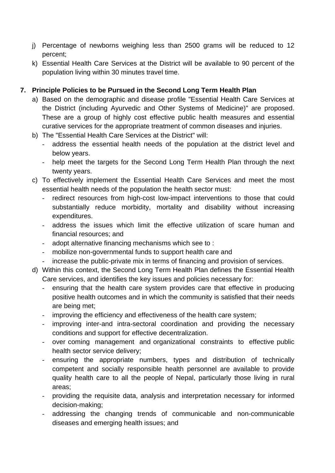- j) Percentage of newborns weighing less than 2500 grams will be reduced to 12 percent;
- k) Essential Health Care Services at the District will be available to 90 percent of the population living within 30 minutes travel time.

#### **7. Principle Policies to be Pursued in the Second Long Term Health Plan**

- a) Based on the demographic and disease profile "Essential Health Care Services at the District (including Ayurvedic and Other Systems of Medicine)" are proposed. These are a group of highly cost effective public health measures and essential curative services for the appropriate treatment of common diseases and injuries.
- b) The "Essential Health Care Services at the District" will:
	- address the essential health needs of the population at the district level and below years.
	- help meet the targets for the Second Long Term Health Plan through the next twenty years.
- c) To effectively implement the Essential Health Care Services and meet the most essential health needs of the population the health sector must:
	- redirect resources from high-cost low-impact interventions to those that could substantially reduce morbidity, mortality and disability without increasing expenditures.
	- address the issues which limit the effective utilization of scare human and financial resources; and
	- adopt alternative financing mechanisms which see to :
	- mobilize non-governmental funds to support health care and
	- increase the public-private mix in terms of financing and provision of services.
- d) Within this context, the Second Long Term Health Plan defines the Essential Health Care services, and identifies the key issues and policies necessary for:
	- ensuring that the health care system provides care that effective in producing positive health outcomes and in which the community is satisfied that their needs are being met;
	- improving the efficiency and effectiveness of the health care system;
	- improving inter-and intra-sectoral coordination and providing the necessary conditions and support for effective decentralization.
	- over coming management and organizational constraints to effective public health sector service delivery;
	- ensuring the appropriate numbers, types and distribution of technically competent and socially responsible health personnel are available to provide quality health care to all the people of Nepal, particularly those living in rural areas;
	- providing the requisite data, analysis and interpretation necessary for informed decision-making;
	- addressing the changing trends of communicable and non-communicable diseases and emerging health issues; and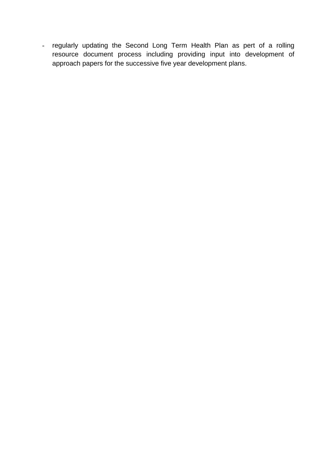- regularly updating the Second Long Term Health Plan as pert of a rolling resource document process including providing input into development of approach papers for the successive five year development plans.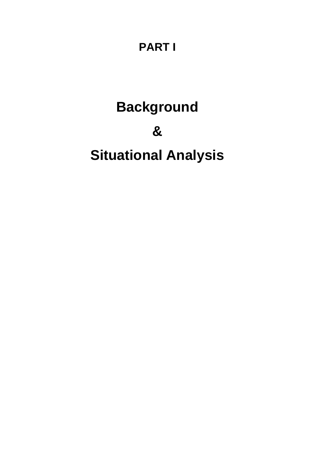# **PART I**

# **Background**

# **&**

# **Situational Analysis**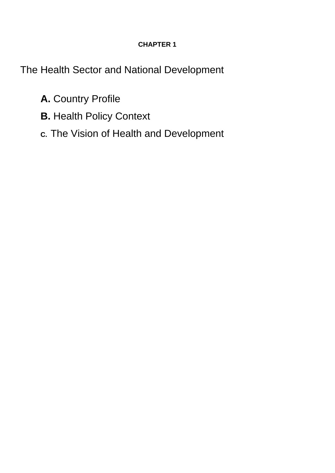## **CHAPTER 1**

The Health Sector and National Development

- **A.** Country Profile
- **B.** Health Policy Context
- **C.** The Vision of Health and Development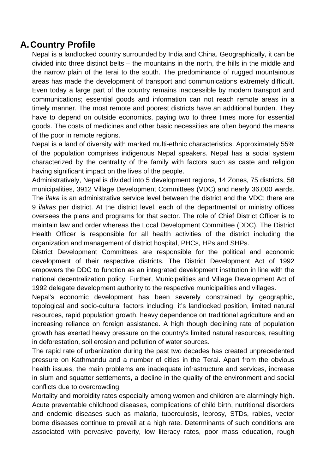## **A. Country Profile**

Nepal is a landlocked country surrounded by India and China. Geographically, it can be divided into three distinct belts – the mountains in the north, the hills in the middle and the narrow plain of the terai to the south. The predominance of rugged mountainous areas has made the development of transport and communications extremely difficult. Even today a large part of the country remains inaccessible by modern transport and communications; essential goods and information can not reach remote areas in a timely manner. The most remote and poorest districts have an additional burden. They have to depend on outside economics, paying two to three times more for essential goods. The costs of medicines and other basic necessities are often beyond the means of the poor in remote regions.

Nepal is a land of diversity with marked multi-ethnic characteristics. Approximately 55% of the population comprises indigenous Nepal speakers. Nepal has a social system characterized by the centrality of the family with factors such as caste and religion having significant impact on the lives of the people.

Administratively, Nepal is divided into 5 development regions, 14 Zones, 75 districts, 58 municipalities, 3912 Village Development Committees (VDC) and nearly 36,000 wards. The i*laka* is an administrative service level between the district and the VDC; there are 9 i*lakas* per district. At the district level, each of the departmental or ministry offices oversees the plans and programs for that sector. The role of Chief District Officer is to maintain law and order whereas the Local Development Committee (DDC). The District Health Officer is responsible for all health activities of the district including the organization and management of district hospital, PHCs, HPs and SHPs.

District Development Committees are responsible for the political and economic development of their respective districts. The District Development Act of 1992 empowers the DDC to function as an integrated development institution in line with the national decentralization policy. Further, Municipalities and Village Development Act of 1992 delegate development authority to the respective municipalities and villages.

Nepal's economic development has been severely constrained by geographic, topological and socio-cultural factors including; it's landlocked position, limited natural resources, rapid population growth, heavy dependence on traditional agriculture and an increasing reliance on foreign assistance. A high though declining rate of population growth has exerted heavy pressure on the country's limited natural resources, resulting in deforestation, soil erosion and pollution of water sources.

The rapid rate of urbanization during the past two decades has created unprecedented pressure on Kathmandu and a number of cities in the Terai. Apart from the obvious health issues, the main problems are inadequate infrastructure and services, increase in slum and squatter settlements, a decline in the quality of the environment and social conflicts due to overcrowding.

Mortality and morbidity rates especially among women and children are alarmingly high. Acute preventable childhood diseases, complications of child birth, nutritional disorders and endemic diseases such as malaria, tuberculosis, leprosy, STDs, rabies, vector borne diseases continue to prevail at a high rate. Determinants of such conditions are associated with pervasive poverty, low literacy rates, poor mass education, rough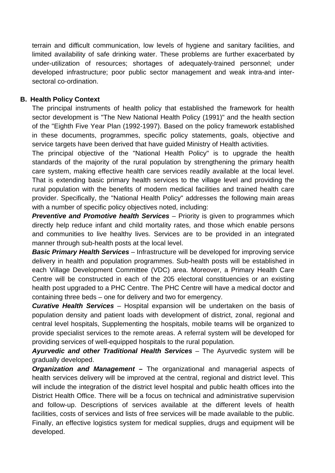terrain and difficult communication, low levels of hygiene and sanitary facilities, and limited availability of safe drinking water. These problems are further exacerbated by under-utilization of resources; shortages of adequately-trained personnel; under developed infrastructure; poor public sector management and weak intra-and intersectoral co-ordination.

#### **B. Health Policy Context**

The principal instruments of health policy that established the framework for health sector development is "The New National Health Policy (1991)" and the health section of the "Eighth Five Year Plan (1992-1997). Based on the policy framework established in these documents, programmes, specific policy statements, goals, objective and service targets have been derived that have guided Ministry of Health activities.

The principal objective of the "National Health Policy" is to upgrade the health standards of the majority of the rural population by strengthening the primary health care system, making effective health care services readily available at the local level. That is extending basic primary health services to the village level and providing the rural population with the benefits of modern medical facilities and trained health care provider. Specifically, the "National Health Policy" addresses the following main areas with a number of specific policy objectives noted, including:

**Preventive and Promotive health Services** – Priority is given to programmes which directly help reduce infant and child mortality rates, and those which enable persons and communities to live healthy lives. Services are to be provided in an integrated manner through sub-health posts at the local level.

*Basic Primary Health Services* – Infrastructure will be developed for improving service delivery in health and population programmes. Sub-health posts will be established in each Village Development Committee (VDC) area. Moreover, a Primary Health Care Centre will be constructed in each of the 205 electoral constituencies or an existing health post upgraded to a PHC Centre. The PHC Centre will have a medical doctor and containing three beds – one for delivery and two for emergency.

*Curative Health Services* – Hospital expansion will be undertaken on the basis of population density and patient loads with development of district, zonal, regional and central level hospitals, Supplementing the hospitals, mobile teams will be organized to provide specialist services to the remote areas. A referral system will be developed for providing services of well-equipped hospitals to the rural population.

Ayurvedic and other Traditional Health Services - The Ayurvedic system will be gradually developed.

*Organization and Management –* The organizational and managerial aspects of health services delivery will be improved at the central, regional and district level. This will include the integration of the district level hospital and public health offices into the District Health Office. There will be a focus on technical and administrative supervision and follow-up. Descriptions of services available at the different levels of health facilities, costs of services and lists of free services will be made available to the public. Finally, an effective logistics system for medical supplies, drugs and equipment will be developed.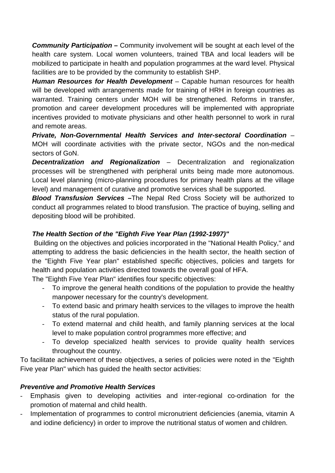*Community Participation –* Community involvement will be sought at each level of the health care system. Local women volunteers, trained TBA and local leaders will be mobilized to participate in health and population programmes at the ward level. Physical facilities are to be provided by the community to establish SHP.

*Human Resources for Health Development* – Capable human resources for health will be developed with arrangements made for training of HRH in foreign countries as warranted. Training centers under MOH will be strengthened. Reforms in transfer, promotion and career development procedures will be implemented with appropriate incentives provided to motivate physicians and other health personnel to work in rural and remote areas.

*Private, Non-Governmental Health Services and Inter-sectoral Coordination* – MOH will coordinate activities with the private sector, NGOs and the non-medical sectors of GoN.

*Decentralization and Regionalization* – Decentralization and regionalization processes will be strengthened with peripheral units being made more autonomous. Local level planning (micro-planning procedures for primary health plans at the village level) and management of curative and promotive services shall be supported.

*Blood Transfusion Services –*The Nepal Red Cross Society will be authorized to conduct all programmes related to blood transfusion. The practice of buying, selling and depositing blood will be prohibited.

#### *The Health Section of the "Eighth Five Year Plan (1992-1997)"*

Building on the objectives and policies incorporated in the "National Health Policy," and attempting to address the basic deficiencies in the health sector, the health section of the "Eighth Five Year plan" established specific objectives, policies and targets for health and population activities directed towards the overall goal of HFA.

The "Eighth Five Year Plan" identifies four specific objectives:

- To improve the general health conditions of the population to provide the healthy manpower necessary for the country's development.
- To extend basic and primary health services to the villages to improve the health status of the rural population.
- To extend maternal and child health, and family planning services at the local level to make population control programmes more effective; and
- To develop specialized health services to provide quality health services throughout the country.

To facilitate achievement of these objectives, a series of policies were noted in the "Eighth Five year Plan" which has guided the health sector activities:

#### *Preventive and Promotive Health Services*

- Emphasis given to developing activities and inter-regional co-ordination for the promotion of maternal and child health.
- Implementation of programmes to control micronutrient deficiencies (anemia, vitamin A and iodine deficiency) in order to improve the nutritional status of women and children.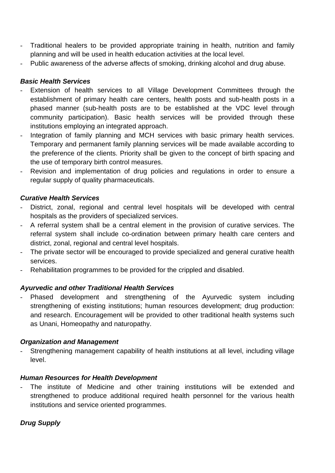- Traditional healers to be provided appropriate training in health, nutrition and family planning and will be used in health education activities at the local level.
- Public awareness of the adverse affects of smoking, drinking alcohol and drug abuse.

#### *Basic Health Services*

- Extension of health services to all Village Development Committees through the establishment of primary health care centers, health posts and sub-health posts in a phased manner (sub-health posts are to be established at the VDC level through community participation). Basic health services will be provided through these institutions employing an integrated approach.
- Integration of family planning and MCH services with basic primary health services. Temporary and permanent family planning services will be made available according to the preference of the clients. Priority shall be given to the concept of birth spacing and the use of temporary birth control measures.
- Revision and implementation of drug policies and regulations in order to ensure a regular supply of quality pharmaceuticals.

#### *Curative Health Services*

- District, zonal, regional and central level hospitals will be developed with central hospitals as the providers of specialized services.
- A referral system shall be a central element in the provision of curative services. The referral system shall include co-ordination between primary health care centers and district, zonal, regional and central level hospitals.
- The private sector will be encouraged to provide specialized and general curative health services.
- Rehabilitation programmes to be provided for the crippled and disabled.

#### *Ayurvedic and other Traditional Health Services*

Phased development and strengthening of the Ayurvedic system including strengthening of existing institutions; human resources development; drug production: and research. Encouragement will be provided to other traditional health systems such as Unani, Homeopathy and naturopathy.

#### *Organization and Management*

Strengthening management capability of health institutions at all level, including village level.

#### *Human Resources for Health Development*

- The institute of Medicine and other training institutions will be extended and strengthened to produce additional required health personnel for the various health institutions and service oriented programmes.

#### *Drug Supply*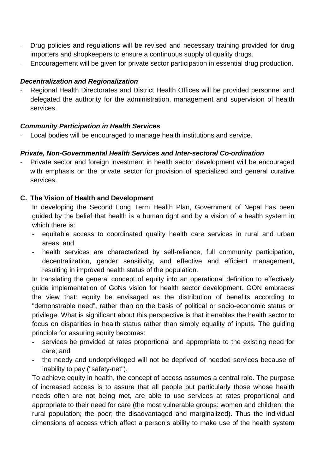- Drug policies and regulations will be revised and necessary training provided for drug importers and shopkeepers to ensure a continuous supply of quality drugs.
- Encouragement will be given for private sector participation in essential drug production.

#### *Decentralization and Regionalization*

- Regional Health Directorates and District Health Offices will be provided personnel and delegated the authority for the administration, management and supervision of health services.

#### *Community Participation in Health Services*

Local bodies will be encouraged to manage health institutions and service.

#### *Private, Non-Governmental Health Services and Inter-sectoral Co-ordination*

Private sector and foreign investment in health sector development will be encouraged with emphasis on the private sector for provision of specialized and general curative services.

#### **C. The Vision of Health and Development**

In developing the Second Long Term Health Plan, Government of Nepal has been guided by the belief that health is a human right and by a vision of a health system in which there is:

- equitable access to coordinated quality health care services in rural and urban areas; and
- health services are characterized by self-reliance, full community participation, decentralization, gender sensitivity, and effective and efficient management, resulting in improved health status of the population.

In translating the general concept of equity into an operational definition to effectively guide implementation of GoNs vision for health sector development. GON embraces the view that: equity be envisaged as the distribution of benefits according to "demonstrable need", rather than on the basis of political or socio-economic status or privilege. What is significant about this perspective is that it enables the health sector to focus on disparities in health status rather than simply equality of inputs. The guiding principle for assuring equity becomes:

- services be provided at rates proportional and appropriate to the existing need for care; and
- the needy and underprivileged will not be deprived of needed services because of inability to pay ("safety-net").

To achieve equity in health, the concept of access assumes a central role. The purpose of increased access is to assure that all people but particularly those whose health needs often are not being met, are able to use services at rates proportional and appropriate to their need for care (the most vulnerable groups: women and children; the rural population; the poor; the disadvantaged and marginalized). Thus the individual dimensions of access which affect a person's ability to make use of the health system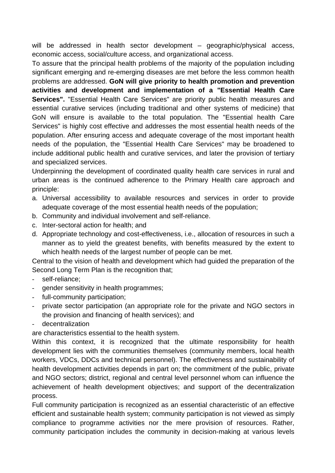will be addressed in health sector development – geographic/physical access, economic access, social/culture access, and organizational access.

To assure that the principal health problems of the majority of the population including significant emerging and re-emerging diseases are met before the less common health problems are addressed. **GoN will give priority to health promotion and prevention activities and development and implementation of a "Essential Health Care Services".** "Essential Health Care Services" are priority public health measures and essential curative services (including traditional and other systems of medicine) that GoN will ensure is available to the total population. The "Essential health Care Services" is highly cost effective and addresses the most essential health needs of the population. After ensuring access and adequate coverage of the most important health needs of the population, the "Essential Health Care Services" may be broadened to include additional public health and curative services, and later the provision of tertiary and specialized services.

Underpinning the development of coordinated quality health care services in rural and urban areas is the continued adherence to the Primary Health care approach and principle:

- a. Universal accessibility to available resources and services in order to provide adequate coverage of the most essential health needs of the population;
- b. Community and individual involvement and self-reliance.
- c. Inter-sectoral action for health; and
- d. Appropriate technology and cost-effectiveness, i.e., allocation of resources in such a manner as to yield the greatest benefits, with benefits measured by the extent to which health needs of the largest number of people can be met.

Central to the vision of health and development which had guided the preparation of the Second Long Term Plan is the recognition that;

- self-reliance;
- gender sensitivity in health programmes;
- full-community participation;
- private sector participation (an appropriate role for the private and NGO sectors in the provision and financing of health services); and
- decentralization

are characteristics essential to the health system.

Within this context, it is recognized that the ultimate responsibility for health development lies with the communities themselves (community members, local health workers, VDCs, DDCs and technical personnel). The effectiveness and sustainability of health development activities depends in part on; the commitment of the public, private and NGO sectors; district, regional and central level personnel whom can influence the achievement of health development objectives; and support of the decentralization process.

Full community participation is recognized as an essential characteristic of an effective efficient and sustainable health system; community participation is not viewed as simply compliance to programme activities nor the mere provision of resources. Rather, community participation includes the community in decision-making at various levels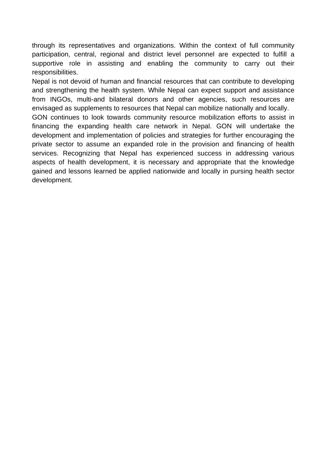through its representatives and organizations. Within the context of full community participation, central, regional and district level personnel are expected to fulfill a supportive role in assisting and enabling the community to carry out their responsibilities.

Nepal is not devoid of human and financial resources that can contribute to developing and strengthening the health system. While Nepal can expect support and assistance from INGOs, multi-and bilateral donors and other agencies, such resources are envisaged as supplements to resources that Nepal can mobilize nationally and locally.

GON continues to look towards community resource mobilization efforts to assist in financing the expanding health care network in Nepal. GON will undertake the development and implementation of policies and strategies for further encouraging the private sector to assume an expanded role in the provision and financing of health services. Recognizing that Nepal has experienced success in addressing various aspects of health development, it is necessary and appropriate that the knowledge gained and lessons learned be applied nationwide and locally in pursing health sector development.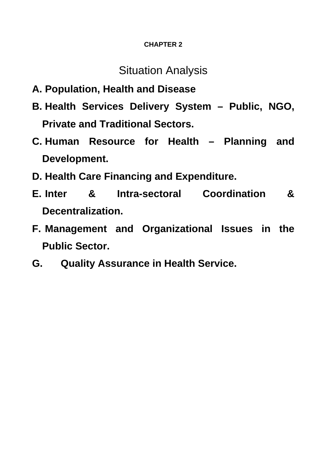#### **CHAPTER 2**

## Situation Analysis

- **A. Population, Health and Disease**
- **B. Health Services Delivery System Public, NGO, Private and Traditional Sectors.**
- **C. Human Resource for Health Planning and Development.**
- **D. Health Care Financing and Expenditure.**
- **E. Inter & Intra-sectoral Coordination & Decentralization.**
- **F. Management and Organizational Issues in the Public Sector.**
- **G. Quality Assurance in Health Service.**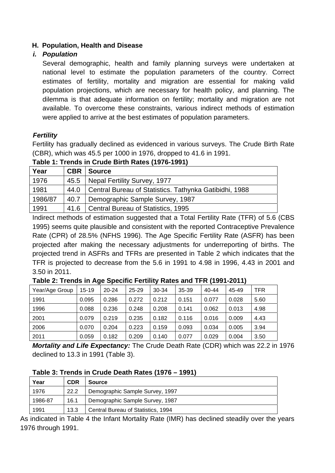#### **H. Population, Health and Disease**

#### *i. Population*

Several demographic, health and family planning surveys were undertaken at national level to estimate the population parameters of the country. Correct estimates of fertility, mortality and migration are essential for making valid population projections, which are necessary for health policy, and planning. The dilemma is that adequate information on fertility; mortality and migration are not available. To overcome these constraints, various indirect methods of estimation were applied to arrive at the best estimates of population parameters.

#### *Fertility*

Fertility has gradually declined as evidenced in various surveys. The Crude Birth Rate (CBR), which was 45.5 per 1000 in 1976, dropped to 41.6 in 1991.

| Year    | <b>CBR</b> | <b>Source</b>                                          |
|---------|------------|--------------------------------------------------------|
| 1976    |            | 45.5   Nepal Fertility Survey, 1977                    |
| 1981    | 44.0       | Central Bureau of Statistics. Tathynka Gatibidhi, 1988 |
| 1986/87 | 40.7       | Demographic Sample Survey, 1987                        |
| 1991    |            | 41.6   Central Bureau of Statistics, 1995              |

#### **Table 1: Trends in Crude Birth Rates (1976-1991)**

Indirect methods of estimation suggested that a Total Fertility Rate (TFR) of 5.6 (CBS 1995) seems quite plausible and consistent with the reported Contraceptive Prevalence Rate (CPR) of 28.5% (NFHS 1996). The Age Specific Fertility Rate (ASFR) has been projected after making the necessary adjustments for underreporting of births. The projected trend in ASFRs and TFRs are presented in Table 2 which indicates that the TFR is projected to decrease from the 5.6 in 1991 to 4.98 in 1996, 4.43 in 2001 and 3.50 in 2011.

| Year/Age Group | $15-19$ | $20 - 24$ | 25-29 | 30-34 | 35-39 | $40 - 44$ | 45-49 | TFR  |  |  |
|----------------|---------|-----------|-------|-------|-------|-----------|-------|------|--|--|
| 1991           | 0.095   | 0.286     | 0.272 | 0.212 | 0.151 | 0.077     | 0.028 | 5.60 |  |  |
| 1996           | 0.088   | 0.236     | 0.248 | 0.208 | 0.141 | 0.062     | 0.013 | 4.98 |  |  |
| 2001           | 0.079   | 0.219     | 0.235 | 0.182 | 0.116 | 0.016     | 0.009 | 4.43 |  |  |
| 2006           | 0.070   | 0.204     | 0.223 | 0.159 | 0.093 | 0.034     | 0.005 | 3.94 |  |  |
| 2011           | 0.059   | 0.182     | 0.209 | 0.140 | 0.077 | 0.029     | 0.004 | 3.50 |  |  |

**Table 2: Trends in Age Specific Fertility Rates and TFR (1991-2011)** 

*Mortality and Life Expectancy:* The Crude Death Rate (CDR) which was 22.2 in 1976 declined to 13.3 in 1991 (Table 3).

#### **Table 3: Trends in Crude Death Rates (1976 – 1991)**

| Year    | <b>CDR</b> | <b>Source</b>                      |
|---------|------------|------------------------------------|
| 1976    | 22.2       | Demographic Sample Survey, 1997    |
| 1986-87 | 16.1       | Demographic Sample Survey, 1987    |
| 1991    | 13.3       | Central Bureau of Statistics, 1994 |

As indicated in Table 4 the Infant Mortality Rate (IMR) has declined steadily over the years 1976 through 1991.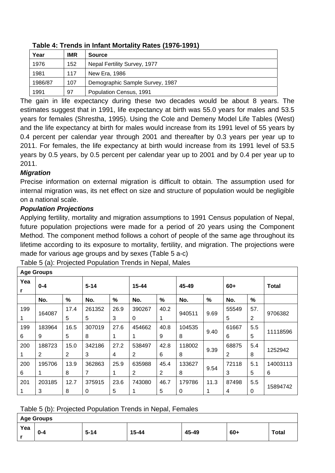| Year    | <b>IMR</b> | <b>Source</b>                   |  |  |  |  |  |  |  |  |
|---------|------------|---------------------------------|--|--|--|--|--|--|--|--|
| 1976    | 152        | Nepal Fertility Survey, 1977    |  |  |  |  |  |  |  |  |
| 1981    | 117        | New Era, 1986                   |  |  |  |  |  |  |  |  |
| 1986/87 | 107        | Demographic Sample Survey, 1987 |  |  |  |  |  |  |  |  |
| 1991    | 97         | Population Census, 1991         |  |  |  |  |  |  |  |  |

#### **Table 4: Trends in Infant Mortality Rates (1976-1991)**

The gain in life expectancy during these two decades would be about 8 years. The estimates suggest that in 1991, life expectancy at birth was 55.0 years for males and 53.5 years for females (Shrestha, 1995). Using the Cole and Demeny Model Life Tables (West) and the life expectancy at birth for males would increase from its 1991 level of 55 years by 0.4 percent per calendar year through 2001 and thereafter by 0.3 years per year up to 2011. For females, the life expectancy at birth would increase from its 1991 level of 53.5 years by 0.5 years, by 0.5 percent per calendar year up to 2001 and by 0.4 per year up to 2011.

#### *Migration*

Precise information on external migration is difficult to obtain. The assumption used for internal migration was, its net effect on size and structure of population would be negligible on a national scale.

### *Population Projections*

Applying fertility, mortality and migration assumptions to 1991 Census population of Nepal, future population projections were made for a period of 20 years using the Component Method. The component method follows a cohort of people of the same age throughout its lifetime according to its exposure to mortality, fertility, and migration. The projections were made for various age groups and by sexes (Table 5 a-c)

|           | <b>Age Groups</b> |      |                |      |                |      |        |      |       |               |              |
|-----------|-------------------|------|----------------|------|----------------|------|--------|------|-------|---------------|--------------|
| Yea<br>r. | $0 - 4$           |      | $5 - 14$       |      | $15 - 44$      |      | 45-49  |      | $60+$ |               | <b>Total</b> |
|           | No.               | %    | No.            | $\%$ | No.            | %    | No.    | %    | No.   | $\frac{9}{6}$ |              |
| 199       | 164087            | 17.4 | 261352         | 26.9 | 390267         | 40.2 | 940511 | 9.69 | 55549 | 57.           | 9706382      |
|           |                   | 5    | 5              | 3    | 0              | 1    |        |      | 5     | 2             |              |
| 199       | 183964            | 16.5 | 307019         | 27.6 | 454662         | 40.8 | 104535 | 9.40 | 61667 | 5.5           | 11118596     |
| 6         | 9                 | 5    | 8              | 1    | 1              | 9    | 8      |      | 6     | 5             |              |
| 200       | 188723            | 15.0 | 342186         | 27.2 | 538497         | 42.8 | 118002 | 9.39 | 68875 | 5.4           | 1252942      |
|           | $\overline{2}$    | 2    | 3              | 4    | $\overline{2}$ | 6    | 8      |      | 2     | 8             |              |
| 200       | 195706            | 13.9 | 362863         | 25.9 | 635988         | 45.4 | 133627 | 9.54 | 72118 | 5.1           | 14003113     |
| 6         | 1                 | 8    | $\overline{7}$ | 1    | 2              | 2    | 8      |      | 3     | 5             | 6            |
| 201       | 203185            | 12.7 | 375915         | 23.6 | 743080         | 46.7 | 179786 | 11.3 | 87498 | 5.5           | 15894742     |
| 1         | 3                 | 8    | 0              | 5    | 1              | 5    | 0      |      | 4     | 0             |              |

Table 5 (a): Projected Population Trends in Nepal, Males

Table 5 (b): Projected Population Trends in Nepal, Females

|     | <b>Age Groups</b> |          |       |       |       |              |  |  |  |  |  |
|-----|-------------------|----------|-------|-------|-------|--------------|--|--|--|--|--|
| Yea | $0 - 4$           | $5 - 14$ | 15-44 | 45-49 | $60+$ | <b>Total</b> |  |  |  |  |  |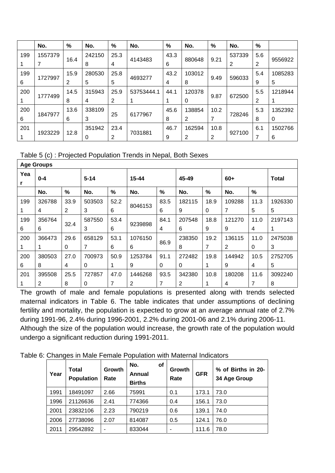|     | No.     | $\%$ | No.    | %    | No.        | %    | No.    | %    | No.    | %   |         |
|-----|---------|------|--------|------|------------|------|--------|------|--------|-----|---------|
| 199 | 1557379 |      | 242150 | 25.3 |            | 43.3 |        |      | 537339 | 5.6 |         |
|     |         | 16.4 | 8      | 4    | 4143483    | 6    | 880648 | 9.21 | 2      | 2   | 9556922 |
| 199 |         | 15.9 | 280530 | 25.8 |            | 43.2 | 103012 |      |        | 5.4 | 1085283 |
| 6   | 1727997 | 2    | 5      | 5    | 4693277    | 4    | 8      | 9.49 | 596033 | 9   | 5       |
| 200 |         | 14.5 | 315943 | 25.9 | 53753444.1 | 44.1 | 120378 |      |        | 5.5 | 1218944 |
|     | 1777499 | 8    | 4      | 2    | 1          |      | 0      | 9.87 | 672500 | 2   |         |
| 200 |         | 13.6 | 338109 |      |            | 45.6 | 138854 | 10.2 |        | 5.3 | 1352392 |
| 6   | 1847977 | 6    | 3      | 25   | 6177967    | 8    | 2      | 7    | 728246 | 8   | 0       |
| 201 |         |      | 351942 | 23.4 |            | 46.7 | 162594 | 10.8 |        | 6.1 | 1502766 |
|     | 1923229 | 12.8 | 0      | 2    | 7031881    | 9    | 2      | 2    | 927100 |     | 6       |

Table 5 (c) : Projected Population Trends in Nepal, Both Sexes

|          | <b>Age Groups</b> |      |          |      |                |          |        |                |        |               |              |
|----------|-------------------|------|----------|------|----------------|----------|--------|----------------|--------|---------------|--------------|
| Yea<br>r | $0 - 4$           |      | $5 - 14$ |      | $15 - 44$      |          | 45-49  |                | 60+    |               | <b>Total</b> |
|          | No.               | %    | No.      | $\%$ | No.            | $\%$     | No.    | $\%$           | No.    | $\frac{0}{0}$ |              |
| 199      | 326788            | 33.9 | 503503   | 52.2 |                | 83.5     | 182115 | 18.9           | 109288 | 11.3          | 1926330      |
|          | 4                 | 2    | 3        | 6    | 8046153        | 6        | 9      | 0              |        | 5             | 5            |
| 199      | 356764            |      | 587550   | 53.4 |                | 84.1     | 207548 | 18.8           | 121270 | 11.0          | 2197143      |
| 6        | 6                 | 32.4 | 3        | 6    | 9239898        | 4        | 6      | 9              | 9      | 4             | 1            |
| 200      | 366473            | 29.6 | 658129   | 53.1 | 1076150        | 86.9     | 238350 | 19.2           | 136115 | 11.0          | 2475038      |
|          | 1                 | 0    | 7        | 6    | 6              |          | 8      | $\overline{7}$ | 2      | $\Omega$      | 3            |
| 200      | 380503            | 27.0 | 700973   | 50.9 | 1253784        | 91.1     | 272482 | 19.8           | 144942 | 10.5          | 2752705      |
| 6        | 8                 | 4    | 0        | 1    | 9              | $\Omega$ | 0      | 1              | 9      | 4             | 5            |
| 201      | 395508            | 25.5 | 727857   | 47.0 | 1446268        | 93.5     | 342380 | 10.8           | 180208 | 11.6          | 3092240      |
|          | 2                 | 8    | 0        | 7    | $\overline{2}$ | 7        | 2      |                | 4      | 7             | 8            |

The growth of male and female populations is presented along with trends selected maternal indicators in Table 6. The table indicates that under assumptions of declining during 1991-96, 2.4% during 1996-2001, 2.2% during 2001-06 and 2.1% during 2006-11. Although the size of the population would increase, the growth rate of the population would undergo a significant reduction during 1991-2011. fertility and mortality, the population is expected to grow at an average annual rate of 2.7%

Table 6: Changes in Male Female Population with Maternal Indicators

| Year | Total<br><b>Population</b> | Growth<br>Rate | No.<br><b>of</b><br>Annual<br><b>Births</b> | Growth<br>Rate | <b>GFR</b> | % of Births in 20-<br>34 Age Group |
|------|----------------------------|----------------|---------------------------------------------|----------------|------------|------------------------------------|
| 1991 | 18491097                   | 2.66           | 75991                                       | 0.1            | 173.1      | 73.0                               |
| 1996 | 21126636                   | 2.41           | 774366                                      | 0.4            | 156.1      | 73.0                               |
| 2001 | 23832106                   | 2.23           | 790219                                      | 0.6            | 139.1      | 74.0                               |
| 2006 | 27738096                   | 2.07           | 814087                                      | 0.5            | 124.1      | 76.0                               |
| 2011 | 29542892                   | ۰              | 833044                                      | ۰              | 111.6      | 78.0                               |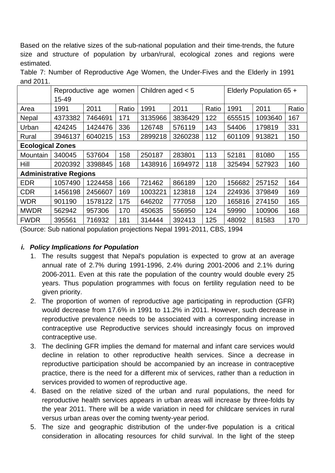Based on the relative sizes of the sub-national population and their time-trends, the future size and structure of population by urban/rural, ecological zones and regions were estimated.

Table 7: Number of Reproductive Age Women, the Under-Fives and the Elderly in 1991 and 2011.

|                         |                               | Reproductive age<br>women |       |         | Children aged $< 5$ |       | Elderly Population 65 + |         |       |
|-------------------------|-------------------------------|---------------------------|-------|---------|---------------------|-------|-------------------------|---------|-------|
|                         | 15-49                         |                           |       |         |                     |       |                         |         |       |
| Area                    | 1991                          | 2011                      | Ratio | 1991    | 2011                | Ratio | 1991                    | 2011    | Ratio |
| Nepal                   | 4373382                       | 7464691                   | 171   | 3135966 | 3836429             | 122   | 655515                  | 1093640 | 167   |
| Urban                   | 424245                        | 1424476                   | 336   | 126748  | 576119              | 143   | 54406                   | 179819  | 331   |
| Rural                   | 3946137                       | 6040215                   | 153   | 2899218 | 3260238             | 112   | 601109                  | 913821  | 150   |
| <b>Ecological Zones</b> |                               |                           |       |         |                     |       |                         |         |       |
| Mountain                | 340045                        | 537604                    | 158   | 250187  | 283801              | 113   | 52181                   | 81080   | 155   |
| Hill                    | 2020392                       | 3398845                   | 168   | 1438916 | 1694972             | 118   | 325494                  | 527923  | 160   |
|                         | <b>Administrative Regions</b> |                           |       |         |                     |       |                         |         |       |
| <b>EDR</b>              | 1057490                       | 1224458                   | 166   | 721462  | 866189              | 120   | 156682                  | 257152  | 164   |
| <b>CDR</b>              | 1456198                       | 2456607                   | 169   | 1003221 | 123818              | 124   | 224936                  | 379849  | 169   |
| <b>WDR</b>              | 901190                        | 1578122                   | 175   | 646202  | 777058              | 120   | 165816                  | 274150  | 165   |
| <b>MWDR</b>             | 562942                        | 957306                    | 170   | 450635  | 556950              | 124   | 59990                   | 100906  | 168   |
| <b>FWDR</b>             | 395561                        | 716932                    | 181   | 314444  | 392413              | 125   | 48092                   | 81583   | 170   |

(Source: Sub national population projections Nepal 1991-2011, CBS, 1994

#### *i. Policy Implications for Population*

- 1. The results suggest that Nepal's population is expected to grow at an average annual rate of 2.7% during 1991-1996, 2.4% during 20 01-2006 and 2.1% during 2006-2011. Even at this rate the population of the country would double every 25 years. Thus population programmes with focus on fertility regulation need to be given priority.
- 2. The proportion of women of reproductive age participating in reproduction (GFR) would decrease from 17.6% in 1991 to 11.2% in 2011. However, such decrease in reproductive prevalence needs to be associated with a corresponding increase in contraceptive use Reproductive services should increasingly focus on improved contraceptive use.
- 3. The declining GFR implies the demand for maternal and infant care services would decline in relation to other reproductive health services. Since a decrease in reproductive participation should be accompanied by an increase in contraceptive practice, there is the need for a different mix of services, rather than a reduction in services provided to women of reproductive age.
- 4. Based on the relative sized of the urban and rural populations, the need for reproductive health services appears in urban areas will increase by three-folds by the year 2011. There will be a wide variation in need for childcare services in rural versus urban areas over the coming twenty-year period.
- 5. The size and geographic distribution of the under-five population is a critical consideration in allocating resources for child survival. In the light of the steep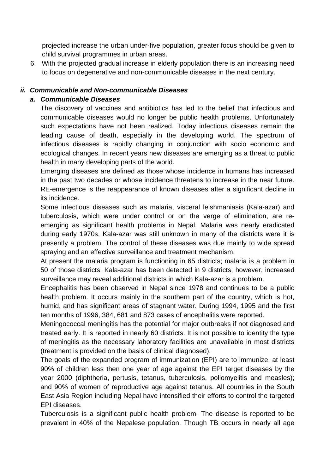projected increase the urban under-five population, greater focus should be given to child survival programmes in urban areas.

6. With the projected gradual increase in elderly population there is an increasing need to focus on degenerative and non-communicable diseases in the next century.

#### *ii. Co mmunicable and Non-communicable Diseases*

#### *a. Communicable Diseases*

The discovery of vaccines and antibiotics has led to the belief that infectious and leading cause of death, especially in the developing world. The spectrum of communicable diseases would no longer be public health problems. Unfortunately such expectations have not been realized. Today infectious diseases remain the infectious diseases is rapidly changing in conjunction with socio economic and ecological changes. In recent years new diseases are emerging as a threat to public health in many developing parts of the world.

Emerging diseases are defined as those whose incidence in humans has increased in the past two decades or whose incidence threatens to increase in the near future. RE-emergence is the reappearance of known diseases after a significant decline in its incidence.

Some infectious diseases such as malaria, visceral leishmaniasis (Kala-azar) and tuberculosis, which were under control or on the verge of elimination, are reemerging as significant health problems in Nepal. Malaria was nearly eradicated during early 1970s, Kala-azar was still unknown in many of the districts were it is presently a problem. The control of these diseases was due mainly to wide spread spraying and an effective surveillance and treatment mechanism.

At present the malaria program is functioning in 65 districts; malaria is a problem in 50 of those districts. Kala-azar has been detected in 9 districts; however, increased surveillance may reveal additional districts in which Kala-azar is a problem.

health problem. It occurs mainly in the southern part of the country, which is hot, Encephalitis has been observed in Nepal since 1978 and continues to be a public humid, and has significant areas of stagnant water. During 1994, 1995 and the first ten months of 1996, 384, 681 and 873 cases of encephalitis were reported.

treated early. It is reported in nearly 60 districts. It is not possible to identity the type Meningococcal meningitis has the potential for major outbreaks if not diagnosed and of meningitis as the necessary laboratory facilities are unavailable in most districts (treatment is provided on the basis of clinical diagnosed).

90% of children less then one year of age against the EPI target diseases by the and 90% of women of reproductive age against tetanus. All countries in the South The goals of the expanded program of immunization (EPI) are to immunize: at least year 2000 (diphtheria, pertusis, tetanus, tuberculosis, poliomyelitis and measles); East Asia Region including Nepal have intensified their efforts to control the targeted EPI diseases.

Tuberculosis is a significant public health problem. The disease is reported to be prevalent in 40% of the Nepalese population. Though TB occurs in nearly all age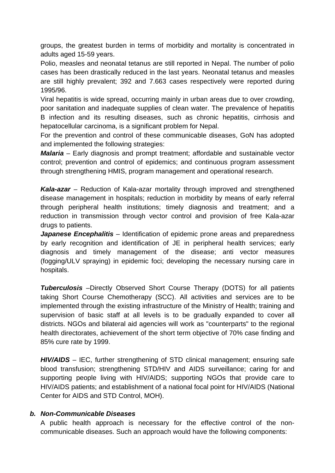groups, the greatest burden in terms of morbidity and mortality is concentrated in adults aged 15-59 years.

Polio, measles and neonatal tetanus are still reported in Nepal. The number of polio cases has been drastically reduced in the last years. Neonatal tetanus and measles are still highly prevalent; 392 and 7.663 cases respectively were reported during 1995/96.

hepatocellular carcinoma, is a significant problem for Nepal. Viral hepatitis is wide spread, occurring mainly in urban areas due to over crowding, poor sanitation and inadequate supplies of clean water. The prevalence of hepatitis B infection and its resulting diseases, such as chronic hepatitis, cirrhosis and

For the prevention and control of these communicable diseases, GoN has adopted and implemented the following strategies:

*Malaria* – Early diagnosis and prompt treatment; affordable and sustainable vector control; prevention and control of epidemics; and continuous program assessment through strengthening HMIS, program management and operational research.

disease management in hospitals; reduction in morbidity by means of early referral through peripheral health institutions; timely diagnosis and treatment; and a *Kala-azar* – Reduction of Kala-azar mortality through improved and strengthened reduction in transmission through vector control and provision of free Kala-azar drugs to patients.

diagnosis and timely management of the disease; anti vector measures (fogging/ULV spraying) in epidemic foci; developing the necessary nursing care in *Japanese Encephalitis* – Identification of epidemic prone areas and preparedness by early recognition and identification of JE in peripheral health services; early hospitals.

**Tuberculosis** –Directly Observed Short Course Therapy (DOTS) for all patients supervision of basic staff at all levels is to be gradually expanded to cover all districts. NGOs and bilateral aid agencies will work as "counterparts" to the regional taking Short Course Chemotherapy (SCC). All activities and services are to be implemented through the existing infrastructure of the Ministry of Health; training and health directorates, achievement of the short term objective of 70% case finding and 85% cure rate by 1999.

HIV/AIDS – IEC, further strengthening of STD clinical management; ensuring safe blood transfusion; strengthening STD/HIV and AIDS surveillance; caring for and supporting people living with HIV/AIDS; supporting NGOs that provide care to HIV/AIDS patients; and establishment of a national focal point for HIV/AIDS (National Center for AIDS and STD Control, MOH).

#### *b. Non-Communicable Diseases*

A public health approach is necessary for the effective control of the noncommunicable diseases. Such an approach would have the following components: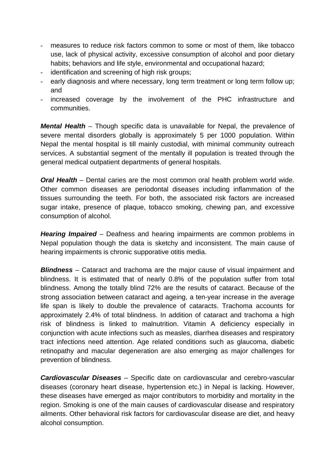- measures to reduce risk factors common to some or most of them, like tobacco use, lack of physical activity, excessive consumption of alcohol and poor dietary habits; behaviors and life style, environmental and occupational hazard;
- identification and screening of high risk groups;
- early diagnosis and where necessary, long term treatment or long term follow up; and
- increased coverage by the involvement of the PHC infrastructure and communities.

**Mental Health** – Though specific data is unavailable for Nepal, the prevalence of severe mental disorders globally is approximately 5 per 1000 population. Within Nepal the mental hospital is till mainly custodial, with minimal community outreach services. A substantial segment of the mentally ill population is treated through the general medical outpatient departments of general hospitals.

*Oral Health* – Dental caries are the most common oral health problem world wide. Other common diseases are periodontal diseases including inflammation of the tissues surrounding the teeth. For both, the associated risk factors are increased sugar intake, presence of plaque, tobacco smoking, chewing pan, and excessive consumption of alcohol.

Hearing Impaired – Deafness and hearing impairments are common problems in Nepal population though the data is sketchy and inconsistent. The main cause of hearing impairments is chronic supporative otitis media.

blindness. Among the totally blind 72% are the results of cataract. Because of the strong association between cataract and ageing, a ten-year increase in the average tract infections need attention. Age related conditions such as glaucoma, diabetic retinopathy and macular degeneration are also emerging as major challenges for *Blindness* – Cataract and trachoma are the major cause of visual impairment and blindness. It is estimated that of nearly 0.8% of the population suffer from total life span is likely to double the prevalence of cataracts. Trachoma accounts for approximately 2.4% of total blindness. In addition of cataract and trachoma a high risk of blindness is linked to malnutrition. Vitamin A deficiency especially in conjunction with acute infections such as measles, diarrhea diseases and respiratory prevention of blindness.

*Cardiovascular Diseases* – Specific date on cardiovascular and cerebro-vascular diseases (coronary heart disease, hypertension etc.) in Nepal is lacking. However, these diseases have emerged as major contributors to morbidity and mortality in the region. Smoking is one of the main causes of cardiovascular disease and respiratory ailments. Other behavioral risk factors for cardiovascular disease are diet, and heavy alcohol consumption.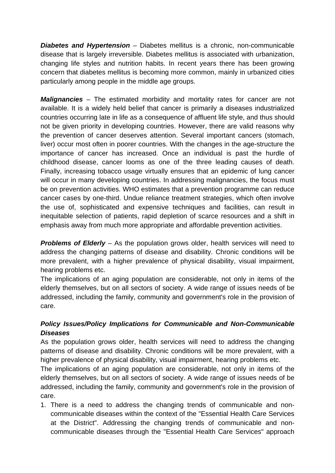**Diabetes and Hypertension** – Diabetes mellitus is a chronic, non-communicable disease that is largely irreversible. Diabetes mellitus is associated with urbanization, changing life styles and nutrition habits. In recent years there has been growing concern that diabetes mellitus is becoming more common, mainly in urbanized cities particularly among people in the middle age groups.

*Malignancies* – The estimated morbidity and mortality rates for cancer are not the prevention of cancer deserves attention. Several important cancers (stomach, Finally, increasing tobacco usage virtually ensures that an epidemic of lung cancer will occur in many developing countries. In addressing malignancies, the focus must cancer cases by one-third. Undue reliance treatment strategies, which often involve available. It is a widely held belief that cancer is primarily a diseases industrialized countries occurring late in life as a consequence of affluent life style, and thus should not be given priority in developing countries. However, there are valid reasons why liver) occur most often in poorer countries. With the changes in the age-structure the importance of cancer has increased. Once an individual is past the hurdle of childhood disease, cancer looms as one of the three leading causes of death. be on prevention activities. WHO estimates that a prevention programme can reduce the use of, sophisticated and expensive techniques and facilities, can result in inequitable selection of patients, rapid depletion of scarce resources and a shift in emphasis away from much more appropriate and affordable prevention activities.

more prevalent, with a higher prevalence of physical disability, visual impairment, **Problems of Elderly** – As the population grows older, health services will need to address the changing patterns of disease and disability. Chronic conditions will be hearing problems etc.

The implications of an aging population are considerable, not only in items of the elderly themselves, but on all sectors of society. A wide range of issues needs of be addressed, including the family, community and government's role in the provision of care.

#### *Policy Issues/Policy Implications for Communicable and Non-Communicable Diseases*

As the population grows older, health services will need to address the changing patterns of disease and disability. Chronic conditions will be more prevalent, with a higher prevalence of physical disability, visual impairment, hearing problems etc.

addressed, including the family, community and government's role in the provision of The implications of an aging population are considerable, not only in items of the elderly themselves, but on all sectors of society. A wide range of issues needs of be care.

at the District". Addressing the changing trends of communicable and noncommunicable diseases through the "Essential Health Care Services" approach 1. There is a need to address the changing trends of communicable and noncommunicable diseases within the context of the "Essential Health Care Services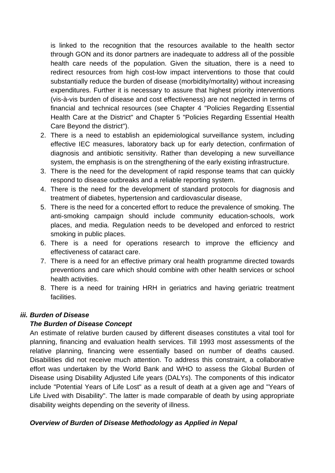is linked to the recognition that the resources available to the health sector through GON and its donor partners are inadequate to address all of the possible redirect resources from high cost-low impact interventions to those that could financial and technical resources (see Chapter 4 "Policies Regarding Essential health care needs of the population. Given the situation, there is a need to substantially reduce the burden of disease (morbidity/mortality) without increasing expenditures. Further it is necessary to assure that highest priority interventions (vis-à-vis burden of disease and cost effectiveness) are not neglected in terms of Health Care at the District" and Chapter 5 "Policies Regarding Essential Health Care Beyond the district").

- diagnosis and antibiotic sensitivity. Rather than developing a new surveillance 2. There is a need to establish an epidemiological surveillance system, including effective IEC measures, laboratory back up for early detection, confirmation of system, the emphasis is on the strengthening of the early existing infrastructure.
- 3. There is the need for the development of rapid response teams that can quickly respond to disease outbreaks and a reliable reporting system.
- 4. There is the need for the development of standard protocols for diagnosis and treatment of diabetes, hypertension and cardiovascular disease,
- 5. There is the need for a concerted effort to reduce the prevalence of smoking. The anti-smoking campaign should include community education-schools, work places, and media. Regulation needs to be developed and enforced to restrict smoking in public places.
- 6. There is a need for operations research to improve the efficiency and effectiveness of cataract care.
- 7. There is a need for an effective primary oral health programme directed towards preventions and care which should combine with other health services or school health activities.
- 8. There is a need for training HRH in geriatrics and having geriatric treatment facilities.

#### *iii. Burden of Disease*

#### *The Burden of Disease Concept*

An estimate of relative burden caused by different diseases constitutes a vital tool for planning, financing and evaluation health services. Till 1993 most assessments of the relative planning, financing were essentially based on number of deaths caused. Disabilities did not receive much attention. To address this constraint, a collaborative effort was undertaken by the World Bank and WHO to assess the Global Burden of Disease using Disability Adjusted Life years (DALYs). The components of this indicator include "Potential Years of Life Lost" as a result of death at a given age and "Years of Life Lived with Disability". The latter is made comparable of death by using appropriate disability weights depending on the severity of illness.

#### *Overview of Burden of Disease Methodology as Applied in Nepal*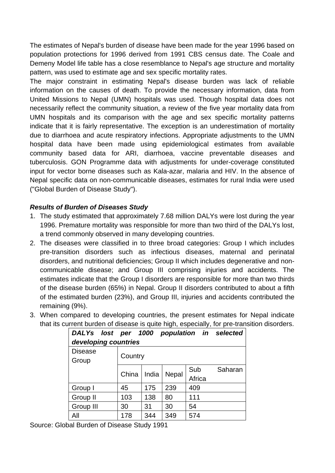The estimates of Nepal's burden of disease have been made for the year 1996 based on population protections for 1996 derived from 1991 CBS census date. The Coale and Demeny Model life table has a close resemblance to Nepal's age structure and mortality pattern, was used to estimate age and sex specific mortality rates.

United Missions to Nepal (UMN) hospitals was used. Though hospital data does not input for vector borne diseases such as Kala-azar, malaria and HIV. In the absence of The major constraint in estimating Nepal's disease burden was lack of reliable information on the causes of death. To provide the necessary information, data from necessarily reflect the community situation, a review of the five year mortality data from UMN hospitals and its comparison with the age and sex specific mortality patterns indicate that it is fairly representative. The exception is an underestimation of mortality due to diarrhoea and acute respiratory infections. Appropriate adjustments to the UMN hospital data have been made using epidemiological estimates from available community based data for ARI, diarrhoea, vaccine preventable diseases and tuberculosis. GON Programme data with adjustments for under-coverage constituted Nepal specific data on non-communicable diseases, estimates for rural India were used ("Global Burden of Disease Study").

#### *Results of Burden of Diseases Study*

- 1. The study estimated that approximately 7.68 million DALYs were lost during the year 1996. Premature mortality was responsible for more than two third of the DALYs lost, a trend commonly observed in many developing countries.
- 2. The diseases were classified in to three broad categories: Group I which includes pre-transition disorders such as infectious diseases, maternal and perinatal disorders, and nutritional deficiencies; Group II which includes degenerative and noncommunicable disease; and Group III comprising injuries and accidents. The estimates indicate that the Group I disorders are responsible for more than two thirds of the disease burden (65%) in Nepal. Group II disorders contributed to about a fifth of the estimated burden (23%), and Group III, injuries and accidents contributed the remaining (9%).
- that its current burden of disease is quite high, especially, for pre-transition disorders. 3. When compared to developing countries, the present estimates for Nepal indicate

| DALYs lost per 1000 population in selected |         |       |       |        |         |  |  |  |  |  |  |  |
|--------------------------------------------|---------|-------|-------|--------|---------|--|--|--|--|--|--|--|
| developing countries                       |         |       |       |        |         |  |  |  |  |  |  |  |
| <b>Disease</b>                             |         |       |       |        |         |  |  |  |  |  |  |  |
| Group                                      | Country |       |       |        |         |  |  |  |  |  |  |  |
|                                            |         |       |       | Sub    | Saharan |  |  |  |  |  |  |  |
|                                            | China   | India | Nepal | Africa |         |  |  |  |  |  |  |  |
| Group I                                    | 45      | 175   | 239   | 409    |         |  |  |  |  |  |  |  |
| Group II                                   | 103     | 138   | 80    | 111    |         |  |  |  |  |  |  |  |
| Group III                                  | 30      | 31    | 30    | 54     |         |  |  |  |  |  |  |  |
| All                                        | 178     | 344   | 349   | 574    |         |  |  |  |  |  |  |  |

Source: Global Burden of Disease Study 1991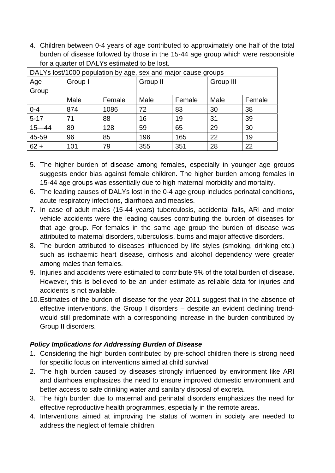4. Children between 0-4 years of age contributed to approximately one half of the total burden of disease followed by those in the 15-44 age group which were responsible for a quarter of DALYs estimated to be lost.

| DALYs lost/1000 population by age, sex and major cause groups |         |        |          |        |           |        |  |  |  |  |
|---------------------------------------------------------------|---------|--------|----------|--------|-----------|--------|--|--|--|--|
| Age                                                           | Group I |        | Group II |        | Group III |        |  |  |  |  |
| Group                                                         |         |        |          |        |           |        |  |  |  |  |
|                                                               | Male    | Female | Male     | Female | Male      | Female |  |  |  |  |
| $0 - 4$                                                       | 874     | 1086   | 72       | 83     | 30        | 38     |  |  |  |  |
| $5 - 17$                                                      | 71      | 88     | 16       | 19     | 31        | 39     |  |  |  |  |
| $15 - 44$                                                     | 89      | 128    | 59       | 65     | 29        | 30     |  |  |  |  |
| 45-59                                                         | 96      | 85     | 196      | 165    | 22        | 19     |  |  |  |  |
| $62 +$                                                        | 101     | 79     | 355      | 351    | 28        | 22     |  |  |  |  |

- 5. The higher burden of disease among females, especially in younger age groups suggests ender bias against female children. The higher burden among females in 15-44 age groups was essentially due to high maternal morbidity and mortality.
- 6. The leading causes of DALYs lost in the 0-4 age group includes perinatal conditions, acute respiratory infections, diarrhoea and measles.
- 7. In case of adult males (15-44 years) tuberculosis, accidental falls, ARI and motor vehicle accidents were the leading causes contributing the burden of diseases for that age group. For females in the same age group the burden of disease was attributed to maternal disorders, tuberculosis, burns and major affective disorders.
- 8. The burden attributed to diseases influenced by life styles (smoking, drinking etc.) such as ischaemic heart disease, cirrhosis and alcohol dependency were greater among males than females.
- 9. Injuries and accidents were estimated to contribute 9% of the total burden of disease. However, this is believed to be an under estimate as reliable data for injuries and accidents is not available.
- effective interventions, the Group I disorders despite an evident declining trend-10. Estimates of the burden of disease for the year 2011 suggest that in the absence of would still predominate with a corresponding increase in the burden contributed by Group II disorders.

#### **Policy Implications for Addressing Burden of Disease**

- for specific focus on interventions aimed at child survival. 1. Considering the high burden contributed by pre-school children there is strong need
- and diarrhoea emphasizes the need to ensure improved domestic environment and better access to safe drinking water and sanitary disposal of excreta. 2. The high burden caused by diseases strongly influenced by environment like ARI
- 3. The high burden due to maternal and perinatal disorders emphasizes the need for effective reproductive health programmes, especially in the remote areas.
- 4. Interventions aimed at improving the status of women in society are needed to address the neglect of female children.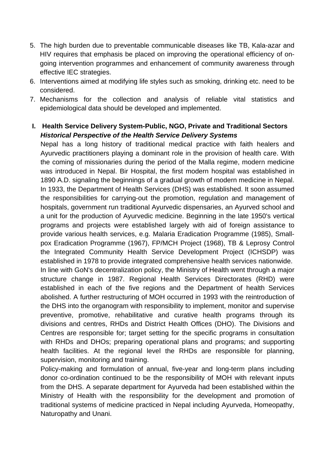- 5. The high burden due to preventable communicable diseases like TB, Kala-azar and HIV requires that emphasis be placed on improving the operational efficiency of ongoing intervention programmes and enhancement of community awareness through effective IEC strategies.
- 6. Interventions aimed at modifying life styles such as smoking, drinking etc. need to be considered.
- 7. Mechanisms for the collection and analysis of reliable vital statistics and epidemiological data should be developed and implemented.
- **I. Health Service Delivery System-Public, NGO, Private and Traditional Sectors**  *Historical Perspective of the Health Service Delivery Systems*

provide various health services, e.g. Malaria Eradication Programme (1985), Small-Nepal has a long history of traditional medical practice with faith healers and Ayurvedic practitioners playing a dominant role in the provision of health care. With the coming of missionaries during the period of the Malla regime, modern medicine was introduced in Nepal. Bir Hospital, the first modern hospital was established in 1890 A.D. signaling the beginnings of a gradual growth of modern medicine in Nepal. In 1933, the Department of Health Services (DHS) was established. It soon assumed the responsibilities for carrying-out the promotion, regulation and management of hospitals, government run traditional Ayurvedic dispensaries, an Ayurved school and a unit for the production of Ayurvedic medicine. Beginning in the late 1950's vertical programs and projects were established largely with aid of foreign assistance to pox Eradication Programme (1967), FP/MCH Project (1968), TB & Leprosy Control the Integrated Community Health Service Development Project (ICHSDP) was established in 1978 to provide integrated comprehensive health services nationwide.

established in each of the five regions and the Department of health Services abolished. A further restructuring of MOH occurred in 1993 with the reintroduction of supervision, monitoring and training. In line with GoN's decentralization policy, the Ministry of Health went through a major structure change in 1987. Regional Health Services Directorates (RHD) were the DHS into the organogram with responsibility to implement, monitor and supervise preventive, promotive, rehabilitative and curative health programs through its divisions and centres, RHDs and District Health Offices (DHO). The Divisions and Centres are responsible for; target setting for the specific programs in consultation with RHDs and DHOs; preparing operational plans and programs; and supporting health facilities. At the regional level the RHDs are responsible for planning,

Policy-making and formulation of annual, five-year and long-term plans including from the DHS. A separate department for Ayurveda had been established within the Ministry of Health with the responsibility for the development and promotion of traditional systems of medicine practiced in Nepal including Ayurveda, Homeopathy, donor co-ordination continued to be the responsibility of MOH with relevant inputs Naturopathy and Unani.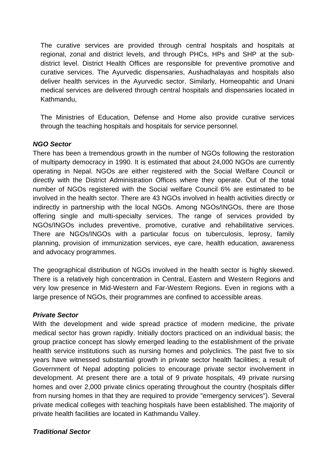The curative services are provided through central hospitals and hospitals at regional, zonal and district levels, and through PHCs, HPs and SHP at the subdistrict level. District Health Offices are responsible for preventive promotive and curative services. The Ayurvedic dispensaries, Aushadhalayas and hospitals also deliver health services in the Ayurvedic sector. Similarly, Homeopahtic and Unani medical services are delivered through central hospitals and dispensaries located in Kathmandu,

The Ministries of Education, Defense and Home also provide curative services through the teaching hospitals and hospitals for service personnel.

#### *NGO Sector*

of multiparty democracy in 1990. It is estimated that about 24,000 NGOs are currently perating in Nepal. NGOs are either registered with the Social Welfare Council or o directly with the District Administration Offices where they operate. Out of the total There has been a tremendous growth in the number of NGOs following the restoration number of NGOs registered with the Social welfare Council 6% are estimated to be involved in the health sector. There are 43 NGOs involved in health activities directly or indirectly in partnership with the local NGOs. Among NGOs/INGOs, there are those offering single and multi-specialty services. The range of services provided by NGOs/INGOs includes preventive, promotive, curative and rehabilitative services. There are NGOs/INGOs with a particular focus on tuberculosis, leprosy, family planning, provision of immunization services, eye care, health education, awareness and advocacy programmes.

There is a relatively high concentration in Central, Eastern and Western Regions and very low presence in Mid-Western and Far-Western Regions. Even in regions with a large presence of NGOs, their programmes are confined to accessible areas. The geographical distribution of NGOs involved in the health sector is highly skewed.

#### *Private Sector*

development. At present there are a total of 9 private hospitals, 49 private nursing homes and over 2,000 private clinics operating throughout the country (hospitals differ With the development and wide spread practice of modern medicine, the private medical sector has grown rapidly. Initially doctors practiced on an individual basis; the group practice concept has slowly emerged leading to the establishment of the private health service institutions such as nursing homes and polyclinics. The past five to six years have witnessed substantial growth in private sector health facilities; a result of Government of Nepal adopting policies to encourage private sector involvement in from nursing homes in that they are required to provide "emergency services"). Several private medical colleges with teaching hospitals have been established. The majority of private health facilities are located in Kathmandu Valley.

#### *Traditional Sector*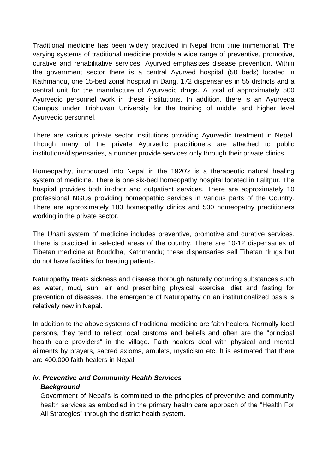Traditional medicine has been widely practiced in Nepal from time immemorial. The varying systems of traditional medicine provide a wide range of preventive, promotive, curative and rehabilitative services. Ayurved emphasizes disease prevention. Within the government sector there is a central Ayurved hospital (50 beds) located in Kathmandu, one 15-bed zonal hospital in Dang, 172 dispensaries in 55 districts and a central unit for the manufacture of Ayurvedic drugs. A total of approximately 500 Ayurvedic personnel work in these institutions. In addition, there is an Ayurveda Campus under Tribhuvan University for the training of middle and higher level Ayurvedic personnel.

There are various private sector institutions providing Ayurvedic treatment in Nepal. Though many of the private Ayurvedic practitioners are attached to public institutions/dispensaries, a number provide services only through their private clinics.

system of medicine. There is one six-bed homeopathy hospital located in Lalitpur. The hospital provides both in-door and outpatient services. There are approximately 10 Homeopathy, introduced into Nepal in the 1920's is a therapeutic natural healing professional NGOs providing homeopathic services in various parts of the Country. There are approximately 100 homeopathy clinics and 500 homeopathy practitioners working in the private sector.

The Unani system of medicine includes preventive, promotive and curative services. There is practiced in selected areas of the country. There are 10-12 dispensaries of Tibetan medicine at Bouddha, Kathmandu; these dispensaries sell Tibetan drugs but do not have facilities for treating patients.

Na turopathy treats sickness and disease thorough naturally occurring substances such as water, mud, sun, air and prescribing physical exercise, diet and fasting for prevention of diseases. The emergence of Naturopathy on an institutionalized basis is re latively new in Nepal.

In addition to the above systems of traditional medicine are faith healers. Normally local pe rsons, they tend to reflect local customs and beliefs and often are the "principal he alth care providers" in the village. Faith healers deal with physical and mental ailments by prayers, sacred axioms, amulets, mysticism etc. It is estimated that there are 400,000 faith healers in Nepal.

#### *iv. Preventive and Community Health Services Background*

Government of Nepal's is committed to the principles of preventive and community health services as embodied in the primary health care approach of the "Health For All Strategies" through the district health system.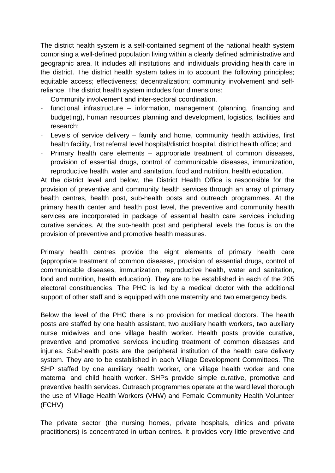The district health system is a self-contained segment of the national health system comprising a well-defined population living within a clearly defined administrative and geographic area. It includes all institutions and individuals providing health care in the district. The district health system takes in to account the following principles; equitable access; effectiveness; decentralization; community involvement and selfreliance. The district health system includes four dimensions:

- Community involvement and inter-sectoral coordination.
- functional infrastructure information, management (planning, financing and budgeting), human resources planning and development, logistics, facilities and research;
- Levels of service delivery  $-$  family and home, community health activities, first health facility, first referral level hospital/district hospital, district health office; and
- , provision of essential drugs, control of communicable diseases, immunization reproductive health, water and sanitation, food and nutrition, health education. - Primary health care elements – appropriate treatment of common diseases,

At the district level and below, the District Health Office is responsible for the provision of preventive and community health services through an array of primary health centres, health post, sub-health posts and outreach programmes. At the primary health center and health post level, the preventive and community health services are incorporated in package of essential health care services including curative services. At the sub-health post and peripheral levels the focus is on the provision of preventive and promotive health measures.

communicable diseases, immunization, reproductive health, water and sanitation, food and nutrition, health education). They are to be established in each of the 205 Primary health centres provide the eight elements of primary health care (appropriate treatment of common diseases, provision of essential drugs, control of electoral constituencies. The PHC is led by a medical doctor with the additional support of other staff and is equipped with one maternity and two emergency beds.

injuries. Sub-health posts are the peripheral institution of the health care delivery system. They are to be established in each Village Development Committees. The maternal and child health worker. SHPs provide simple curative, promotive and preventive health services. Outreach programmes operate at the ward level thorough the use of Village Health Workers (VHW) and Female Community Health Volunteer Below the level of the PHC there is no provision for medical doctors. The health posts are staffed by one health assistant, two auxiliary health workers, two auxiliary nurse midwives and one village health worker. Health posts provide curative, preventive and promotive services including treatment of common diseases and SHP staffed by one auxiliary health worker, one village health worker and one (FCHV)

practitioners) is concentrated in urban centres. It provides very little preventive and The private sector (the nursing homes, private hospitals, clinics and private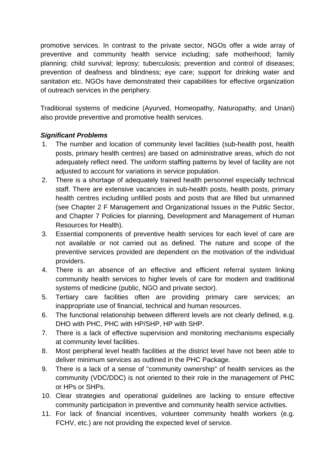promotive services. In contrast to the private sector, NGOs offer a wide array of preventive and community health service including; safe motherhood; family planning; child survival; leprosy; tuberculosis; prevention and control of diseases; prevention of deafness and blindness; eye care; support for drinking water and sanitation etc. NGOs have demonstrated their capabilities for effective organization of outreach services in the periphery.

Traditional systems of medicine (Ayurved, Homeopathy, Naturopathy, and Unani) also provide preventive and promotive health services.

### *Significant Problems*

- 1. The number and location of community level facilities (sub-health post, health posts, primary health centres) are based on administrative areas, which do not adequately reflect need. The uniform staffing patterns by level of facility are not adjusted to account for variations in service population.
- staff. There are extensive vacancies in sub-health posts, health posts, primary (see Chapter 2 F Management and Organizational Issues in the Public Sector, 2. There is a shortage of adequately trained health personnel especially technical health centres including unfilled posts and posts that are filled but unmanned and Chapter 7 Policies for planning, Development and Management of Human Resources for Health).
- preventive services provided are dependent on the motivation of the individual 3. Essential components of preventive health services for each level of care are not available or not carried out as defined. The nature and scope of the providers.
- 4. There is an absence of an effective and efficient referral system linking community health services to higher levels of care for modern and traditional systems of medicine (public, NGO and private sector).
- 5. Tertiary care facilities often are providing primary care services; an inappropriate use of financial, technical and human resources.
- 6. The functional relationship between different levels are not clearly defined, e.g. DHO with PHC, PHC with HP/SHP, HP with SHP.
- 7. There is a lack of effective supervision and monitoring mechanisms especially at community level facilities.
- 8. Most peripheral level health facilities at the district level have not been able to deliver minimum services as outlined in the PHC Package.
- 9. There is a lack of a sense of "community ownership" of health services as the community (VDC/DDC) is not oriented to their role in the management of PHC or HPs or SHPs.
- 10. Clear strategies and operational guidelines are lacking to ensure effective community participation in preventive and community health service activities.
- 11. For lack of financial incentives, volunteer community health workers (e.g. FCHV, etc.) are not providing the expected level of service.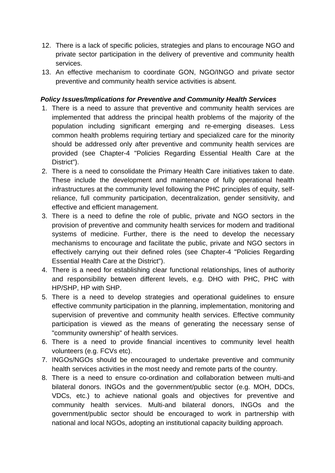- 12. There is a lack of specific policies, strategies and plans to encourage NGO and private sector participation in the delivery of preventive and community health services.
- 13. An effective mechanism to coordinate GON, NGO/INGO and private sector preventive and community health service activities is absent.

#### *Policy Issues/Implications for Preventive and Community Health Services*

- 1. There is a need to assure that preventive and community health services are implemented that address the principal health problems of the majority of the should be addressed only after preventive and community health services are population including significant emerging and re-emerging diseases. Less common health problems requiring tertiary and specialized care for the minority provided (see Chapter-4 "Policies Regarding Essential Health Care at the District").
- infrastructures at the community level following the PHC principles of equity, selfeffective and efficient management. 2. There is a need to consolidate the Primary Health Care initiatives taken to date. These include the development and maintenance of fully operational health reliance, full community participation, decentralization, gender sensitivity, and
- provision of preventive and community health services for modern and traditional 3. There is a need to define the role of public, private and NGO sectors in the systems of medicine. Further, there is the need to develop the necessary mechanisms to encourage and facilitate the public, private and NGO sectors in effectively carrying out their defined roles (see Chapter-4 "Policies Regarding Essential Health Care at the District").
- and responsibility between different levels, e.g. DHO with PHC, PHC with 4. There is a need for establishing clear functional relationships, lines of authority HP/SHP, HP with SHP.
- "community ownership" of health services. 5. There is a need to develop strategies and operational guidelines to ensure effective community participation in the planning, implementation, monitoring and supervision of preventive and community health services. Effective community participation is viewed as the means of generating the necessary sense of
- 6. There is a need to provide financial incentives to community level health volunteers (e.g. FCVs etc).
- health services activities in the most needy and remote parts of the country. 7. INGOs/NGOs should be encouraged to undertake preventive and community
- government/public sector should be encouraged to work in partnership with 8. There is a need to ensure co-ordination and collaboration between multi-and bilateral donors. INGOs and the government/public sector (e.g. MOH, DDCs, VDCs, etc.) to achieve national goals and objectives for preventive and community health services. Multi-and bilateral donors, INGOs and the national and local NGOs, adopting an institutional capacity building approach.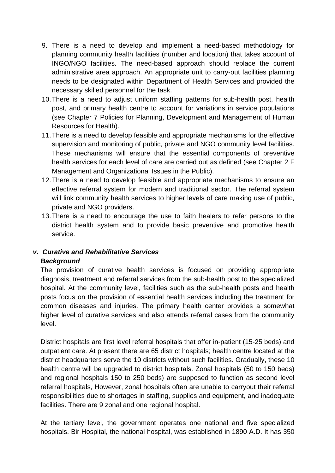- 9. There is a need to develop and implement a need-based methodology for planning community health facilities (number and location) that takes account of needs to be designated within Department of Health Services and provided the necessary skilled personnel for the task. INGO/NGO facilities. The need-based approach should replace the current administrative area approach. An appropriate unit to carry-out facilities planning
- 10. There is a need to adjust uniform staffing patterns for sub-health post, health post, and primary health centre to account for variations in service populations (see Chapter 7 Policies for Planning, Development and Management of Human Resources for Health).
- Management and Organizational Issues in the Public). 11. There is a need to develop feasible and appropriate mechanisms for the effective supervision and monitoring of public, private and NGO community level facilities. These mechanisms will ensure that the essential components of preventive health services for each level of care are carried out as defined (see Chapter 2 F
- 12. There is a need to develop feasible and appropriate mechanisms to ensure an effective referral system for modern and traditional sector. The referral system will link community health services to higher levels of care making use of public, private and NGO providers.
- 13. There is a need to encourage the use to faith healers to refer persons to the district health system and to provide basic preventive and promotive health service.

## *v. Curative and Rehabilitative Services*  **Background**

The provision of curative health services is focused on providing appropriate diagnosis, treatment and referral services from the sub-health post to the specialized hospital. At the community level, facilities such as the sub-health posts and health posts focus on the provision of essential health services including the treatment for common diseases and injuries. The primary health center provides a somewhat higher level of curative services and also attends referral cases from the community level.

and regional hospitals 150 to 250 beds) are supposed to function as second level referral hospitals, However, zonal hospitals often are unable to carryout their referral District hospitals are first level referral hospitals that offer in-patient (15-25 beds) and outpatient care. At present there are 65 district hospitals; health centre located at the district headquarters serve the 10 districts without such facilities. Gradually, these 10 health centre will be upgraded to district hospitals. Zonal hospitals (50 to 150 beds) responsibilities due to shortages in staffing, supplies and equipment, and inadequate facilities. There are 9 zonal and one regional hospital.

At the tertiary level, the government operates one national and five specialized hospitals. Bir Hospital, the national hospital, was established in 1890 A.D. It has 350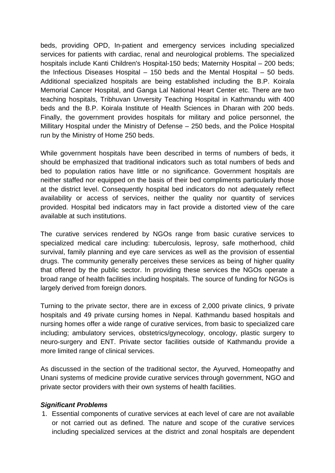beds, providing OPD, In-patient and emergency services including specialized services for patients with cardiac, renal and neurological problems. The specialized hospitals include Kanti Children's Hospital-150 beds; Maternity Hospital – 200 beds; the Infectious Diseases Hospital  $-$  150 beds and the Mental Hospital  $-$  50 beds. run by the Ministry of Home 250 beds. Additional specialized hospitals are being established including the B.P. Koirala Memorial Cancer Hospital, and Ganga Lal National Heart Center etc. There are two teaching hospitals, Tribhuvan Unversity Teaching Hospital in Kathmandu with 400 beds and the B.P. Koirala Institute of Health Sciences in Dharan with 200 beds. Finally, the government provides hospitals for military and police personnel, the Millitary Hospital under the Ministry of Defense – 250 beds, and the Police Hospital

availability or access of services, neither the quality nor quantity of services provided. Hospital bed indicators may in fact provide a distorted view of the care While government hospitals have been described in terms of numbers of beds, it should be emphasized that traditional indicators such as total numbers of beds and bed to population ratios have little or no significance. Government hospitals are neither staffed nor equipped on the basis of their bed compliments particularly those at the district level. Consequently hospital bed indicators do not adequately reflect available at such institutions.

The curative services rendered by NGOs range from basic curative services to specialized medical care including: tuberculosis, leprosy, safe motherhood, child survival, family planning and eye care services as well as the provision of essential drugs. The community generally perceives these services as being of higher quality that offered by the public sector. In providing these services the NGOs operate a broad range of health facilities including hospitals. The source of funding for NGOs is largely derived from foreign donors.

hospitals and 49 private cursing homes in Nepal. Kathmandu based hospitals and neuro-surgery and ENT. Private sector facilities outside of Kathmandu provide a Turning to the private sector, there are in excess of 2,000 private clinics, 9 private nursing homes offer a wide range of curative services, from basic to specialized care including; ambulatory services, obstetrics/gynecology, oncology, plastic surgery to more limited range of clinical services.

As discussed in the section of the traditional sector, the Ayurved, Homeopathy and Unani systems of medicine provide curative services through government, NGO and private sector providers with their own systems of health facilities.

#### *Significant Problems*

1. Essential components of curative services at each level of care are not available or not carried out as defined. The nature and scope of the curative services including specialized services at the district and zonal hospitals are dependent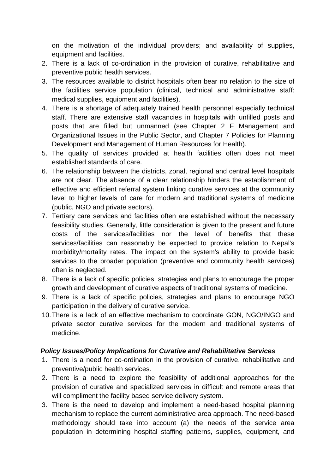on the motivation of the individual providers; and availability of supplies, equipment and facilities.

- 2. There is a lack of co-ordination in the provision of curative, rehabilitative and preventive public health services.
- 3. The resources available to district hospitals often bear no relation to the size of the facilities service population (clinical, technical and administrative staff: medical supplies, equipment and facilities).
- 4. There is a shortage of adequately trained health personnel especially technical staff. There are extensive staff vacancies in hospitals with unfilled posts and Organizational Issues in the Public Sector, and Chapter 7 Policies for Planning posts that are filled but unmanned (see Chapter 2 F Management and Development and Management of Human Resources for Health).
- 5. The quality of services provided at health facilities often does not meet established standards of care.
- are not clear. The absence of a clear relationship hinders the establishment of effective and efficient referral system linking curative services at the community level to higher levels of care for modern and traditional systems of medicine 6. The relationship between the districts, zonal, regional and central level hospitals (public, NGO and private sectors).
- 7. Tertiary care services and facilities often are established without the necessary services/facilities can reasonably be expected to provide relation to Nepal's feasibility studies. Generally, little consideration is given to the present and future costs of the services/facilities nor the level of benefits that these morbidity/mortality rates. The impact on the system's ability to provide basic services to the broader population (preventive and community health services) often is neglected.
- 8. There is a lack of specific policies, strategies and plans to encourage the proper growth and development of curative aspects of traditional systems of medicine.
- 9. There is a lack of specific policies, strategies and plans to encourage NGO participation in the delivery of curative service.
- 10. There is a lack of an effective mechanism to coordinate GON, NGO/INGO and private sector curative services for the modern and traditional systems of medicine.

### *Policy Issues/Policy Implications for Curative and Rehabilitative Services*

- 1. There is a need for co-ordination in the provision of curative, rehabilitative and preventive/public health services.
- 2. There is a need to explore the feasibility of additional approaches for the provision of curative and specialized services in difficult and remote areas that will compliment the facility based service delivery system.
- methodology should take into account (a) the needs of the service area population in determining hospital staffing patterns, supplies, equipment, and 3. There is the need to develop and implement a need-based hospital planning mechanism to replace the current administrative area approach. The need-based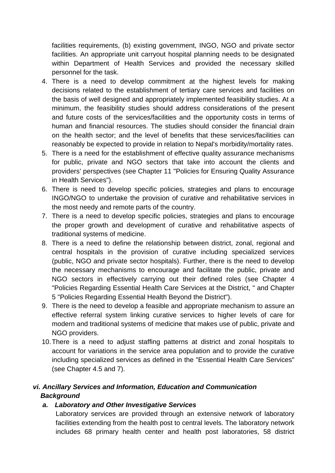facilities requirements, (b) existing government, INGO, NGO and private sector facilities. An appropriate unit carryout hospital planning needs to be designated within Department of Health Services and provided the necessary skilled personnel for the task.

- decisions related to the establishment of tertiary care services and facilities on 4. There is a need to develop commitment at the highest levels for making the basis of well designed and appropriately implemented feasibility studies. At a minimum, the feasibility studies should address considerations of the present and future costs of the services/facilities and the opportunity costs in terms of human and financial resources. The studies should consider the financial drain on the health sector; and the level of benefits that these services/facilities can reasonably be expected to provide in relation to Nepal's morbidity/mortality rates.
- 5. There is a need for the establishment of effective quality assurance mechanisms for public, private and NGO sectors that take into account the clients and providers' perspectives (see Chapter 11 "Policies for Ensuring Quality Assurance in Health Services").
- 6. There is need to develop specific policies, strategies and plans to encourage INGO/NGO to undertake the provision of curative and rehabilitative services in the most needy and remote parts of the country.
- the proper growth and development of curative and rehabilitative aspects of traditional systems of medicine. 7. There is a need to develop specific policies, strategies and plans to encourage
- 8. There is a need to define the relationship between district, zonal, regional and central hospitals in the provision of curative including specialized services (public, NGO and private sector hospitals). Further, there is the need to develop th e necessary mechanisms to encourage and facilitate the public, private and N GO sectors in effectively carrying out their defined roles (see Chapter 4 " Policies Regarding Essential Health Care Services at the District, " and Chapter 5 "Policies Regarding Essential Health Beyond the District").
- 9. T here is the need to develop a feasible and appropriate mechanism to assure an e ffective referral system linking curative services to higher levels of care for m odern and traditional systems of medicine that makes use of public, private and N GO providers.
- 10. T here is a need to adjust staffing patterns at district and zonal hospitals to a ccount for variations in the service area population and to provide the curative in cluding specialized services as defined in the "Essential Health Care Services" ( see Chapter 4.5 and 7).

# *vi. Anc illary Services and Information, Education and Communication Back ground*

### *a. Laboratory and Other Investigative Services*

Laboratory services are provided through an extensive network of laboratory facilities extending from the health post to central levels. The laboratory network includes 68 primary health center and health post laboratories, 58 district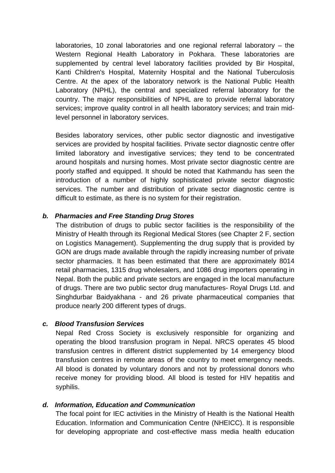laboratories, 10 zonal laboratories and one regional referral laboratory – the Western Regional Health Laboratory in Pokhara. These laboratories are supplemented by central level laboratory facilities provided by Bir Hospital, Kanti Children's Hospital, Maternity Hospital and the National Tuberculosis Centre. At the apex of the laboratory network is the National Public Health Laboratory (NPHL), the central and specialized referral laboratory for the country. The major responsibilities of NPHL are to provide referral laboratory services; improve quality control in all health laboratory services; and train midlevel personnel in laboratory services.

around hospitals and nursing homes. Most private sector diagnostic centre are poorly staffed and equipped. It should be noted that Kathmandu has seen the introduction of a number of highly sophisticated private sector diagnostic Besides laboratory services, other public sector diagnostic and investigative services are provided by hospital facilities. Private sector diagnostic centre offer limited laboratory and investigative services; they tend to be concentrated services. The number and distribution of private sector diagnostic centre is difficult to estimate, as there is no system for their registration.

#### *b. Pharmacies and Free Standing Drug Stores*

on Logistics Management). Supplementing the drug supply that is provided by GON are drugs made available through the rapidly increasing number of private sector pharmacies. It has been estimated that there are approximately 8014 The distribution of drugs to public sector facilities is the responsibility of the Ministry of Health through its Regional Medical Stores (see Chapter 2 F, section retail pharmacies, 1315 drug wholesalers, and 1086 drug importers operating in Nepal. Both the public and private sectors are engaged in the local manufacture of drugs. There are two public sector drug manufactures- Royal Drugs Ltd. and Singhdurbar Baidyakhana - and 26 private pharmaceutical companies that produce nearly 200 different types of drugs.

#### *c. Blood Transfusion Services*

Nepal Red Cross Society is exclusively responsible for organizing and operating the blood transfusion program in Nepal. NRCS operates 45 blood transfusion centres in remote areas of the country to meet emergency needs. receive money for providing blood. All blood is tested for HIV hepatitis and transfusion centres in different district supplemented by 14 emergency blood All blood is donated by voluntary donors and not by professional donors who syphilis.

#### *d. Information, Education and Communication*

The focal point for IEC activities in the Ministry of Health is the National Health Education. Information and Communication Centre (NHEICC). It is responsible for developing appropriate and cost-effective mass media health education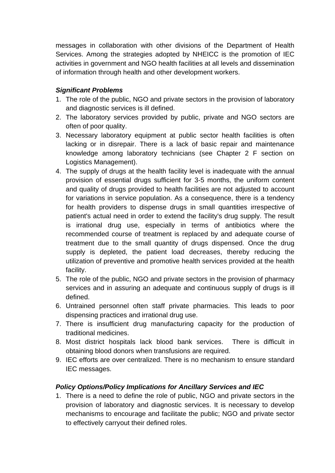messages in collaboration with other divisions of the Department of Health Services. Among the strategies adopted by NHEICC is the promotion of IEC activities in government and NGO health facilities at all levels and dissemination of information through health and other development workers.

## *Significant Problems*

- 1. The role of the public, NGO and private sectors in the provision of laboratory and diagnostic services is ill defined.
- 2. The laboratory services provided by public, private and NGO sectors are often of poor quality.
- knowledge among laboratory technicians (see Chapter 2 F section on 3. Necessary laboratory equipment at public sector health facilities is often lacking or in disrepair. There is a lack of basic repair and maintenance Logistics Management).
- 4. The supply of drugs at the health facility level is inadequate with the annual and quality of drugs provided to health facilities are not adjusted to account for health providers to dispense drugs in small quantities irrespective of is irrational drug use, especially in terms of antibiotics where the recommended course of treatment is replaced by and adequate course of treatment due to the small quantity of drugs dispensed. Once the drug provision of essential drugs sufficient for 3-5 months, the uniform content for variations in service population. As a consequence, there is a tendency patient's actual need in order to extend the facility's drug supply. The result supply is depleted, the patient load decreases, thereby reducing the utilization of preventive and promotive health services provided at the health facility.
- 5. The role of the public, NGO and private sectors in the provision of pharmacy services and in assuring an adequate and continuous supply of drugs is ill defined.
- dispensing practices and irrational drug use. 6. Untrained personnel often staff private pharmacies. This leads to poor
- 7. There is insufficient drug manufacturing capacity for the production of traditional medicines.
- 8. Most district hospitals lack blood bank services. There is difficult in obtaining blood donors when transfusions are required.
- 9. IEC efforts are over centralized. There is no mechanism to ensure standard IEC messages.

### *Policy Options/Policy Implications for Ancillary Services and IEC*

provision of laboratory and diagnostic services. It is necessary to develop 1. There is a need to define the role of public, NGO and private sectors in the mechanisms to encourage and facilitate the public; NGO and private sector to effectively carryout their defined roles.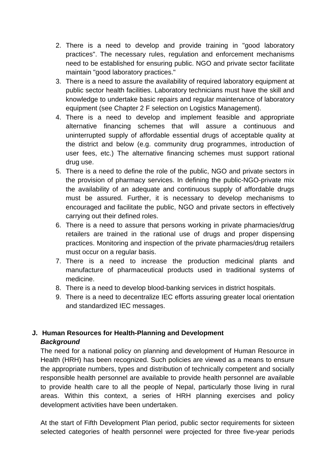- 2. There is a need to develop and provide training in "good laboratory practices". The necessary rules, regulation and enforcement mechanisms need to be established for ensuring public. NGO and private sector facilitate maintain "good laboratory practices."
- knowledge to undertake basic repairs and regular maintenance of laboratory 3. There is a need to assure the availability of required laboratory equipment at public sector health facilities. Laboratory technicians must have the skill and equipment (see Chapter 2 F selection on Logistics Management).
- alternative financing schemes that will assure a continuous and uninterrupted supply of affordable essential drugs of acceptable quality at user fees, etc.) The alternative financing schemes must support rational drug use. 4. There is a need to develop and implement feasible and appropriate the district and below (e.g. community drug programmes, introduction of
- . There is a need to define the role of the public, NGO and private sectors in 5 the provision of pharmacy services. In defining the public-NGO-private mix the availability of an adequate and continuous supply of affordable drugs must be assured. Further, it is necessary to develop mechanisms to encouraged and facilitate the public, NGO and private sectors in effectively carrying out their defined roles.
- 6. There is a need to assure that persons working in private pharmacies/drug retailers are trained in the rational use of drugs and proper dispensing practices. Monitoring and inspection of the private pharmacies/drug retailers must occur on a regular basis.
- 7. There is a need to increase the production medicinal plants and manufacture of pharmaceutical products used in traditional systems of medicine.
- 8. There is a need to develop blood-banking services in district hospitals.
- 9. There is a need to decentralize IEC efforts assuring greater local orientation and standardized IEC messages.

## **J. Human Resources for Health-Planning and Development**  *Background*

Health (HRH) has been recognized. Such policies are viewed as a means to ensure The need for a national policy on planning and development of Human Resource in the appropriate numbers, types and distribution of technically competent and socially responsible health personnel are available to provide health personnel are available to provide health care to all the people of Nepal, particularly those living in rural areas. Within this context, a series of HRH planning exercises and policy development activities have been undertaken.

At the start of Fifth Development Plan period, public sector requirements for sixteen selected categories of health personnel were projected for three five-year periods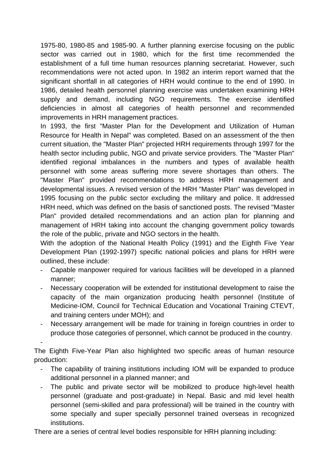1975-80, 1980-85 and 1985-90. A further planning exercise focusing on the public sector was carried out in 1980, which for the first time recommended the establishment of a full time human resources planning secretariat. However, such recommendations were not acted upon. In 1982 an interim report warned that the significant shortfall in all categories of HRH would continue to the end of 1990. In deficiencies in almost all categories of health personnel and recommended 1986, detailed health personnel planning exercise was undertaken examining HRH supply and demand, including NGO requirements. The exercise identified improvements in HRH management practices.

In 1993, the first "Master Plan for the Development and Utilization of Human identified regional imbalances in the numbers and types of available health developmental issues. A revised version of the HRH "Master Plan" was developed in HRH need, which was defined on the basis of sanctioned posts. The revised "Master management of HRH taking into account the changing government policy towards Resource for Health in Nepal" was completed. Based on an assessment of the then current situation, the "Master Plan" projected HRH requirements through 1997 for the health sector including public, NGO and private service providers. The "Master Plan" personnel with some areas suffering more severe shortages than others. The "Master Plan" provided recommendations to address HRH management and 1995 focusing on the public sector excluding the military and police. It addressed Plan" provided detailed recommendations and an action plan for planning and the role of the public, private and NGO sectors in the health.

With the adoption of the National Health Policy (1991) and the Eighth Five Year Development Plan (1992-1997) specific national policies and plans for HRH were outlined, these include:

- Capable manpower required for various facilities will be developed in a planned manner;
- capacity of the main organization producing health personnel (Institute of and training centers under MOH); and - Necessary cooperation will be extended for institutional development to raise the Medicine-IOM, Council for Technical Education and Vocational Training CTEVT,
- produce those categories of personnel, which cannot be produced in the country. Necessary arrangement will be made for training in foreign countries in order to -

The Eighth Five-Year Plan also highlighted two specific areas of human resource production:

- The capability of training institutions including IOM will be expanded to produce additional personnel in a planned manner; and
- The public and private sector will be mobilized to produce high-level health personnel (graduate and post-graduate) in Nepal. Basic and mid level health personnel (semi-skilled and para professional) will be trained in the country with some specially and super specially personnel trained overseas in recognized institutions.

There are a series of central level bodies responsible for HRH planning including: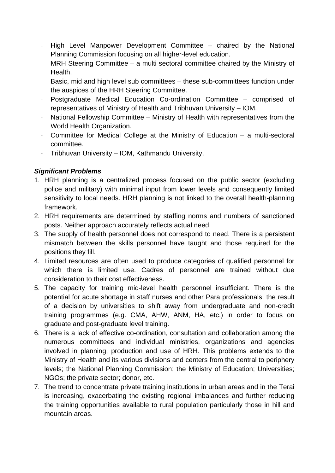- High Level Manpower Development Committee chaired by the National Planning Commission focusing on all higher-level education.
- MRH Steering Committee a multi sectoral committee chaired by the Ministry of Health.
- Basic, mid and high level sub committees these sub-committees function under the auspices of the HRH Steering Committee.
- Postgraduate Medical Education Co-ordination Committee comprised of representatives of Ministry of Health and Tribhuvan University – IOM.
- National Fellowship Committee Ministry of Health with representatives from the World Health Organization.
- Committee for Medical College at the Ministry of Education a multi-sectoral committee.
- Tribhuvan University IOM, Kathmandu University.

## *Significant Problems*

- 1. HRH planning is a centralized process focused on the public sector (excluding police and military) with minimal input from lower levels and consequently limited sensitivity to local needs. HRH planning is not linked to the overall health-planning framework.
- posts. Neither approach accurately reflects actual need. 2. HRH requirements are determined by staffing norms and numbers of sanctioned
- 3. The supply of health personnel does not correspond to need. There is a persistent mismatch between the skills personnel have taught and those required for the positions they fill.
- 4. Limited resources are often used to produce categories of qualified personnel for which there is limited use. Cadres of personnel are trained without due consideration to their cost effectiveness.
- 5. The capacity for training mid-level health personnel insufficient. There is the potential for acute shortage in staff nurses and other Para professionals; the result of a decision by universities to shift away from undergraduate and non-credit training programmes (e.g. CMA, AHW, ANM, HA, etc.) in order to focus on graduate and post-graduate level training.
- NGOs; the private sector; donor, etc. 6. There is a lack of effective co-ordination, consultation and collaboration among the numerous committees and individual ministries, organizations and agencies involved in planning, production and use of HRH. This problems extends to the Ministry of Health and its various divisions and centers from the central to periphery levels; the National Planning Commission; the Ministry of Education; Universities;
- the training opportunities available to rural population particularly those in hill and 7. The trend to concentrate private training institutions in urban areas and in the Terai is increasing, exacerbating the existing regional imbalances and further reducing mountain areas.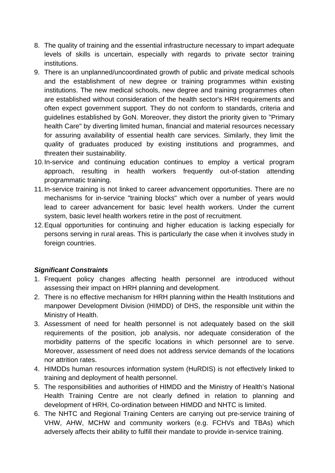- 8. The quality of training and the essential infrastructure necessary to impart adequate levels of skills is uncertain, especially with regards to private sector training institutions.
- and the establishment of new degree or training programmes within existing institutions. The new medical schools, new degree and training programmes often are established without consideration of the health sector's HRH requirements and often expect government support. They do not conform to standards, criteria and health Care" by diverting limited human, financial and material resources necessary threaten their sustainability. 9. There is an unplanned/uncoordinated growth of public and private medical schools guidelines established by GoN. Moreover, they distort the priority given to "Primary for assuring availability of essential health care services. Similarly, they limit the quality of graduates produced by existing institutions and programmes, and
- 10. In-service and continuing education continues to employ a vertical program approach, resulting in health workers frequently out-of-station attending programmatic training.
- mechanisms for in-service "training blocks" which over a number of years would system, basic level health workers retire in the post of recruitment. 11. In-service training is not linked to career advancement opportunities. There are no lead to career advancement for basic level health workers. Under the current
- 12. Equal opportunities for continuing and higher education is lacking especially for persons serving in rural areas. This is particularly the case when it involves study in foreign countries.

### *Significant Constraints*

- assessing their impact on HRH planning and development. 1. Frequent policy changes affecting health personnel are introduced without
- 2. There is no effective mechanism for HRH planning within the Health Institutions and manpower Development Division (HIMDD) of DHS, the responsible unit within the Ministry of Health.
- 3. Assessment of need for health personnel is not adequately based on the skill requirements of the position, job analysis, nor adequate consideration of the morbidity patterns of the specific locations in which personnel are to serve. Moreover, assessment of need does not address service demands of the locations nor attrition rates.
- 4. HIMDDs human resources information system (HuRDIS) is not effectively linked to training and deployment of health personnel.
- Health Training Centre are not clearly defined in relation to planning and 5. The responsibilities and authorities of HIMDD and the Ministry of Health's National development of HRH, Co-ordination between HIMDD and NHTC is limited.
- adversely affects their ability to fulfill their mandate to provide in-service training. 6. The NHTC and Regional Training Centers are carrying out pre-service training of VHW, AHW, MCHW and community workers (e.g. FCHVs and TBAs) which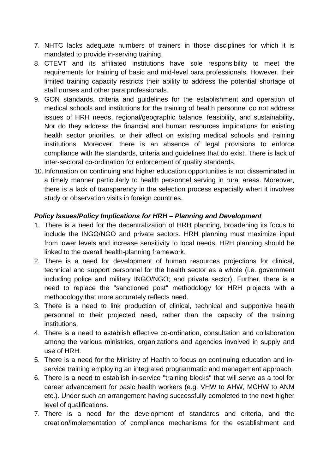- 7. NHTC lacks adequate numbers of trainers in those disciplines for which it is mandated to provide in-serving training.
- 8. CTEVT and its affiliated institutions have sole responsibility to meet the requirements for training of basic and mid-level para professionals. However, their limited training capacity restricts their ability to address the potential shortage of staff nurses and other para professionals.
- health sector priorities, or their affect on existing medical schools and training inter-sectoral co-ordination for enforcement of quality standards. 9. GON standards, criteria and guidelines for the establishment and operation of medical schools and institutions for the training of health personnel do not address issues of HRH needs, regional/geographic balance, feasibility, and sustainability, Nor do they address the financial and human resources implications for existing institutions. Moreover, there is an absence of legal provisions to enforce compliance with the standards, criteria and guidelines that do exist. There is lack of
- there is a lack of transparency in the selection process especially when it involves 10. Information on continuing and higher education opportunities is not disseminated in a timely manner particularly to health personnel serving in rural areas. Moreover, study or observation visits in foreign countries.

#### *Policy Issues/Policy Implications for HRH – Planning and Development*

- from lower levels and increase sensitivity to local needs. HRH planning should be 1. There is a need for the decentralization of HRH planning, broadening its focus to include the INGO/NGO and private sectors. HRH planning must maximize input linked to the overall health-planning framework.
- including police and military INGO/NGO; and private sector). Further, there is a 2. There is a need for development of human resources projections for clinical, technical and support personnel for the health sector as a whole (i.e. government need to replace the "sanctioned post" methodology for HRH projects with a methodology that more accurately reflects need.
- 3. There is a need to link production of clinical, technical and supportive health personnel to their projected need, rather than the capacity of the training institutions.
- 4. There is a need to establish effective co-ordination, consultation and collaboration among the various ministries, organizations and agencies involved in supply and use of HRH.
- service training employing an integrated programmatic and management approach. 5. There is a need for the Ministry of Health to focus on continuing education and in-
- etc.). Under such an arrangement having successfully completed to the next higher level of qualifications. 6. There is a need to establish in-service "training blocks" that will serve as a tool for career advancement for basic health workers (e.g. VHW to AHW, MCHW to ANM
- creation/implementation of compliance mechanisms for the establishment and 7. There is a need for the development of standards and criteria, and the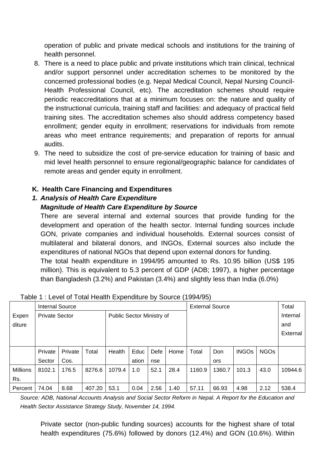operation of public and private medical schools and institutions for the training of health personnel.

- There is a need to place public and private institutions which train clinical, technical 8. and/or support personnel under accreditation schemes to be monitored by the concerned professional bodies (e.g. Nepal Medical Council, Nepal Nursing C ouncilthe instructional curricula, training staff and facilities: and adequacy of practical field training sites. The accreditation schemes also should address competency based enrollment; gender equity in enrollment; reservations for individuals from remote areas who meet entrance requirements; and preparation of reports for annual Health Professional Council, etc). The accreditation schemes should require periodic reaccreditations that at a minimum focuses on: the nature and quality of audits.
- 9. The need to subsidize the cost of pre-service education for training of basic and mid level health personnel to ensure regional/geographic balance for candidate s of remote areas and gender equity in enrollment.

### **K. Health Care Financing and Expenditures**

#### **1. Analysis of Health Care Expenditure**

#### *Magnitude of Health Care Expenditure by Source*

There are several internal and external sources that provide funding for the GON, private companies and individual households. External sources consist of multilateral and bilateral donors, and INGOs, External sources also include the development and operation of the health sector. Internal funding sources include expenditures of national NGOs that depend upon external donors for funding. The total health expenditure in 1994/95 amounted to Rs. 10.95 billion (US\$ 195 million). This is equivalent to 5.3 percent of GDP (ADB; 1997), a higher percentage than Bangladesh (3.2%) and Pakistan (3.4%) and slightly less than India (6.0%)

|                 |                        |         |        | . .                       |       |      |                        |        |          |              |             |          |
|-----------------|------------------------|---------|--------|---------------------------|-------|------|------------------------|--------|----------|--------------|-------------|----------|
|                 | <b>Internal Source</b> |         |        |                           |       |      | <b>External Source</b> |        |          |              | Total       |          |
| Expen           | <b>Private Sector</b>  |         |        | Public Sector Ministry of |       |      |                        |        | Internal |              |             |          |
| diture          |                        |         |        |                           |       |      |                        |        |          |              | and         |          |
|                 |                        |         |        |                           |       |      |                        |        |          |              |             | External |
|                 |                        |         |        |                           |       |      |                        |        |          |              |             |          |
|                 | Private                | Private | Total  | Health                    | Educ  | Defe | Home                   | Total  | Don      | <b>INGOs</b> | <b>NGOs</b> |          |
|                 | Sector                 | Cos.    |        |                           | ation | nse  |                        |        | ors      |              |             |          |
| <b>Millions</b> | 8102.1                 | 176.5   | 8276.6 | 1079.4                    | 1.0   | 52.1 | 28.4                   | 1160.9 | 1360.7   | 101.3        | 43.0        | 10944.6  |
| Rs.             |                        |         |        |                           |       |      |                        |        |          |              |             |          |
| Percent         | 74.04                  | 8.68    | 407.20 | 53.1                      | 0.04  | 2.56 | 1.40                   | 57.11  | 66.93    | 4.98         | 2.12        | 538.4    |

#### Table 1 : Level of Total Health Expenditure by Source (1994/95)

*Source: ADB, National Accounts Analysis and Social Sector Reform in Nepal. A Report for the Education and Health S ector Assistance Strategy Study, November 14, 1994.* 

Private sector (non-public funding sources) accounts for the highest share of total health expenditures (75.6%) followed by donors (12.4%) and GON (10.6%). Within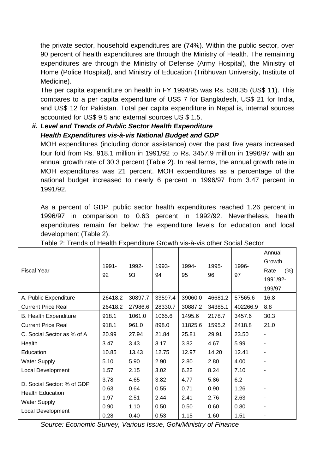the private sector, household expenditures are (74%). Within the public sector, over 90 percent of health expenditures are through the Ministry of Health. The remaining expenditures are through the Ministry of Defense (Army Hospital), the Ministry of Home (Police Hospital), and Ministry of Education (Tribhuvan University, Institute of Medicine).

The per capita expenditure on health in FY 1994/95 was Rs. 538.35 (US\$ 11). This compares to a per capita expenditure of US\$ 7 for Bangladesh, US\$ 21 for India, and US\$ 12 for Pakistan. Total per capita expenditure in Nepal is, internal sources accounted for US\$ 9.5 and external sources US \$ 1.5.

# *ii. Level and Trends of Public Sector Health Expenditure*  **Health Expenditures vis-à-vis National Budget and GDP**

MOH expenditures (including donor assistance) over the past five years increased four fold from Rs. 918.1 million in 1991/92 to Rs. 3457.9 million in 1996/97 with an annual growth rate of 30.3 percent (Table 2). In real terms, the annual growth rate in MOH expenditures was 21 percent. MOH expenditures as a percentage of the national budget increased to nearly 6 percent in 1996/97 from 3.47 percent in 1991/92.

As a percent of GDP, public sector health expenditures reached 1.26 percent in 1996/97 in comparison to 0.63 percent in 1992/92. Nevertheless, health expenditures remain far below the expenditure levels for education and local development (Table 2).

| <b>Fiscal Year</b>           | 1991-<br>92 | 1992-<br>93 | 1993-<br>94 | 1994-<br>95 | 1995-<br>96 | 1996-<br>97 | Annual<br>Growth<br>(% )<br>Rate<br>1991/92-<br>199/97 |
|------------------------------|-------------|-------------|-------------|-------------|-------------|-------------|--------------------------------------------------------|
| A. Public Expenditure        | 26418.2     | 30897.7     | 33597.4     | 39060.0     | 46681.2     | 57565.6     | 16.8                                                   |
| <b>Current Price Real</b>    | 26418.2     | 27986.6     | 28330.7     | 30887.2     | 34385.1     | 402266.9    | 8.8                                                    |
| <b>B. Health Expenditure</b> | 918.1       | 1061.0      | 1065.6      | 1495.6      | 2178.7      | 3457.6      | 30.3                                                   |
| <b>Current Price Real</b>    | 918.1       | 961.0       | 898.0       | 11825.6     | 1595.2      | 2418.8      | 21.0                                                   |
| C. Social Sector as % of A   | 20.99       | 27.94       | 21.84       | 25.81       | 29.91       | 23.50       |                                                        |
| Health                       | 3.47        | 3.43        | 3.17        | 3.82        | 4.67        | 5.99        |                                                        |
| Education                    | 10.85       | 13.43       | 12.75       | 12.97       | 14.20       | 12.41       |                                                        |
| <b>Water Supply</b>          | 5.10        | 5.90        | 2.90        | 2.80        | 2.80        | 4.00        | ٠                                                      |
| Local Development            | 1.57        | 2.15        | 3.02        | 6.22        | 8.24        | 7.10        | ٠                                                      |
| D. Social Sector: % of GDP   | 3.78        | 4.65        | 3.82        | 4.77        | 5.86        | 6.2         |                                                        |
|                              | 0.63        | 0.64        | 0.55        | 0.71        | 0.90        | 1.26        |                                                        |
| <b>Health Education</b>      | 1.97        | 2.51        | 2.44        | 2.41        | 2.76        | 2.63        |                                                        |
| <b>Water Supply</b>          | 0.90        | 1.10        | 0.50        | 0.50        | 0.60        | 0.80        |                                                        |
| <b>Local Development</b>     | 0.28        | 0.40        | 0.53        | 1.15        | 1.60        | 1.51        |                                                        |

Table 2: Trends of Health Expenditure Growth vis-à-vis other Social Sector

*Source: Economic Survey, Various Issue, GoN/Ministry of Finance*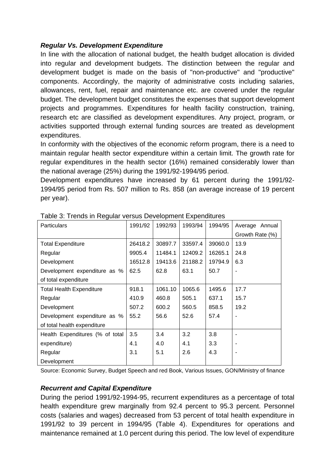#### *Regular Vs. Development Expenditure*

In line with the allocation of national budget, the health budget allocation is divided into regular and development budgets. The distinction between the regular and development budget is made on the basis of "non-productive" and "productive" components. Accordingly, the majority of administrative costs including salaries, allowances, rent, fuel, repair and maintenance etc. are covered under the regular budget. The development budget constitutes the expenses that support development projects and programmes. Expenditures for health facility construction, training, research etc are classified as development expenditures. Any project, program, or activities supported through external funding sources are treated as development expenditures.

In conformity with the objectives of the economic reform program, there is a need to maintain regular health sector expenditure within a certain limit. The growth rate for regular expenditures in the health sector (16%) remained considerably lower than the national average (25%) during the 1991/92-1994/95 period.

Development expenditures have increased by 61 percent during the 1991/92-1994/95 period from Rs. 507 million to Rs. 858 (an average increase of 19 percent per year).

| <b>Particulars</b>              | 1991/92 | 1992/93 | 1993/94 | 1994/95 | Average Annual           |
|---------------------------------|---------|---------|---------|---------|--------------------------|
|                                 |         |         |         |         | Growth Rate (%)          |
| <b>Total Expenditure</b>        | 26418.2 | 30897.7 | 33597.4 | 39060.0 | 13.9                     |
| Regular                         | 9905.4  | 11484.1 | 12409.2 | 16265.1 | 24.8                     |
| Development                     | 16512.8 | 19413.6 | 21188.2 | 19794.9 | 6.3                      |
| Development expenditure as %    | 62.5    | 62.8    | 63.1    | 50.7    | $\overline{\phantom{a}}$ |
| of total expenditure            |         |         |         |         |                          |
| <b>Total Health Expenditure</b> | 918.1   | 1061.10 | 1065.6  | 1495.6  | 17.7                     |
| Regular                         | 410.9   | 460.8   | 505.1   | 637.1   | 15.7                     |
| Development                     | 507.2   | 600.2   | 560.5   | 858.5   | 19.2                     |
| Development expenditure as %    | 55.2    | 56.6    | 52.6    | 57.4    |                          |
| of total health expenditure     |         |         |         |         |                          |
| Health Expenditures (% of total | 3.5     | 3.4     | 3.2     | 3.8     |                          |
| expenditure)                    | 4.1     | 4.0     | 4.1     | 3.3     |                          |
| Regular                         | 3.1     | 5.1     | 2.6     | 4.3     |                          |
| Development                     |         |         |         |         |                          |

Table 3: Trends in Regular versus Development Expenditures

Source: Economic Survey, Budget Speech and red Book, Various Issues, GON/Ministry of finance

### *Recurrent and Capital Expenditure*

During the period 1991/92-1994-95, recurrent expenditures as a percentage of total health expenditure grew marginally from 92.4 percent to 95.3 percent. Personnel costs (salaries and wages) decreased from 53 percent of total health expenditure in 1991/92 to 39 percent in 1994/95 (Table 4). Expenditures for operations and maintenance remained at 1.0 percent during this period. The low level of expenditure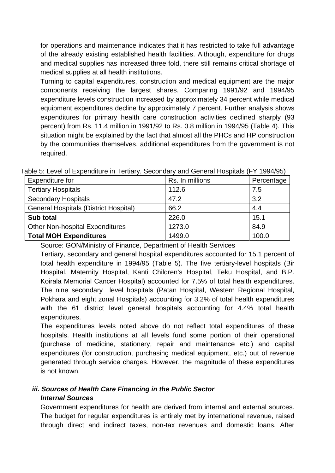for operations and maintenance indicates that it has restricted to take full advantage of the already existing established health facilities. Although, expenditure for drugs and medical supplies has increased three fold, there still remains critical shortage of medical supplies at all health institutions.

Turning to capital expenditures, construction and medical equipment are the major components receiving the largest shares. Comparing 1991/92 and 1994/95 expenditure levels construction increased by approximately 34 percent while medical equipment expenditures decline by approximately 7 percent. Further analysis shows expenditures for primary health care construction activities declined sharply (93 percent) from Rs. 11.4 million in 1991/92 to Rs. 0.8 million in 1994/95 (Table 4). This situation might be explained by the fact that almost all the PHCs and HP construction by the communities themselves, additional expenditures from the government is not required.

| Expenditure for                              | Rs. In millions | Percentage |
|----------------------------------------------|-----------------|------------|
| <b>Tertiary Hospitals</b>                    | 112.6           | 7.5        |
| <b>Secondary Hospitals</b>                   | 47.2            | 3.2        |
| <b>General Hospitals (District Hospital)</b> | 66.2            | 4.4        |
| <b>Sub total</b>                             | 226.0           | 15.1       |
| <b>Other Non-hospital Expenditures</b>       | 1273.0          | 84.9       |
| <b>Total MOH Expenditures</b>                | 1499.0          | 100.0      |

Table 5: Level of Expenditure in Tertiary, Secondary and General Hospitals (FY 1994/95)

Source: GON/Ministry of Finance, Department of Health Services

Tertiary, secondary and general hospital expenditures accounted for 15.1 percent of total health expenditure in 1994/95 (Table 5). The five tertiary-level hospitals (Bir Hospital, Maternity Hospital, Kanti Children's Hospital, Teku Hospital, and B.P. Koirala Memorial Cancer Hospital) accounted for 7.5% of total health expenditures. The nine secondary level hospitals (Patan Hospital, Western Regional Hospital, Pokhara and eight zonal Hospitals) accounting for 3.2% of total health expenditures with the 61 district level general hospitals accounting for 4.4% total health expenditures.

hospitals. Health institutions at all levels fund some portion of their operational (purchase of medicine, stationery, repair and maintenance etc.) and capital expenditures (for construction, purchasing medical equipment, etc.) out of revenue generated through service charges. However, the magnitude of these expenditures The expenditures levels noted above do not reflect total expenditures of these is not known.

# *iii. Sources of Health Care Financing in the Public Sector*

### *Internal Sources*

Government expenditures for health are derived from internal and external sources. The budget for regular expenditures is entirely met by international revenue, raised through direct and indirect taxes, non-tax revenues and domestic loans. After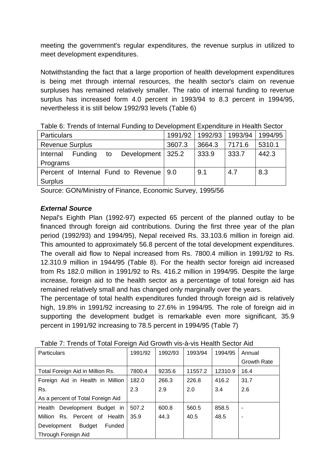meeting the government's regular expenditures, the revenue surplus in utilized to meet development expenditures.

Notwithstanding the fact that a large proportion of health development expenditures is being met through internal resources, the health sector's claim on revenue surpluses has remained relatively smaller. The ratio of internal funding to revenue surplus has increased form 4.0 percent in 1993/94 to 8.3 percent in 1994/95, nevertheless it is still below 1992/93 levels (Table 6)

| <b>Particulars</b>                                      | 1991/92 | 1992/93 | 1993/94 | 1994/95 |
|---------------------------------------------------------|---------|---------|---------|---------|
| <b>Revenue Surplus</b>                                  | 3607.3  | 3664.3  | 7171.6  | 5310.1  |
| Development   325.2<br><b>Funding</b><br>Internal<br>to |         | 333.9   | 333.7   | 442.3   |
| Programs                                                |         |         |         |         |
| Percent of Internal Fund to Revenue   9.0               |         | 9.1     | 4.7     | 8.3     |
| Surplus                                                 |         |         |         |         |

Table 6: Trends of Internal Funding to Development Expenditure in Health Sector

Source: GON/Ministry of Finance, Economic Survey, 1995/56

### *External Source*

Nepal's Eighth Plan (1992-97) expected 65 percent of the planned outlay to be financed through foreign aid contributions. During the first three year of the plan period (1992/93) and 1994/95), Nepal received Rs. 33.103.6 million in foreign aid. This amounted to approximately 56.8 percent of the total development expenditures. The overall aid flow to Nepal increased from Rs. 7800.4 million in 1991/92 to Rs. 12.310.9 million in 1944/95 (Table 8). For the health sector foreign aid increased from Rs 182.0 million in 1991/92 to Rs. 416.2 million in 1994/95. Despite the large increase, foreign aid to the health sector as a percentage of total foreign aid has remained relatively small and has changed only marginally over the years.

percent in 1991/92 increasing to 78.5 percent in 1994/95 (Table 7) The percentage of total health expenditures funded through foreign aid is relatively high, 19.8% in 1991/92 increasing to 27.6% in 1994/95. The role of foreign aid in supporting the development budget is remarkable even more significant, 35.9

| <b>Particulars</b>                | 1991/92 | 1992/93 | 1993/94 | 1994/95 | Annual             |
|-----------------------------------|---------|---------|---------|---------|--------------------|
|                                   |         |         |         |         | <b>Growth Rate</b> |
| Total Foreign Aid in Million Rs.  | 7800.4  | 9235.6  | 11557.2 | 12310.9 | 16.4               |
| Foreign Aid in Health in Million  | 182.0   | 266.3   | 226.8   | 416.2   | 31.7               |
| Rs.                               | 2.3     | 2.9     | 2.0     | 3.4     | 2.6                |
| As a percent of Total Foreign Aid |         |         |         |         |                    |
| Health Development Budget in      | 507.2   | 600.8   | 560.5   | 858.5   |                    |
| Million Rs. Percent of Health     | 35.9    | 44.3    | 40.5    | 48.5    | ۰                  |
| Budget<br>Funded<br>Development   |         |         |         |         |                    |
| Through Foreign Aid               |         |         |         |         |                    |

Table 7: Trends of Total Foreign Aid Growth vis-à-vis Health Sector Aid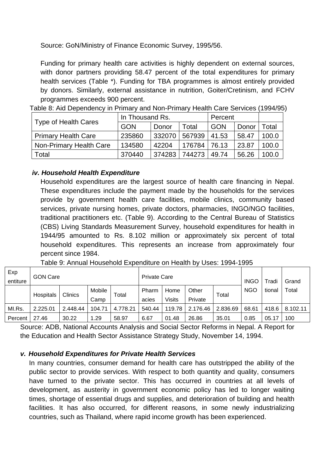Source: GoN/Ministry of Finance Economic Survey, 1995/56.

Funding for primary health care activities is highly dependent on external sources, with donor partners providing 58.47 percent of the total expenditures for primary health services (Table \*). Funding for TBA programmes is almost entirely provided by donors. Similarly, external assistance in nutrition, Goiter/Cretinism, and FCHV programmes exceeds 900 percent.

|  |  |  | Table 8: Aid Dependency in Primary and Non-Primary Health Care Services (1994/95) |  |
|--|--|--|-----------------------------------------------------------------------------------|--|
|--|--|--|-----------------------------------------------------------------------------------|--|

| Type of Health Cares       | In Thousand Rs. |        | Percent      |       |                                  |       |
|----------------------------|-----------------|--------|--------------|-------|----------------------------------|-------|
|                            | <b>GON</b>      | Donor  | Total        | GON   | Donor<br>58.47<br>23.87<br>56.26 | Total |
| <b>Primary Health Care</b> | 235860          | 332070 | 567939       | 41.53 |                                  | 100.0 |
| Non-Primary Health Care    | 134580          | 42204  | 176784 76.13 |       |                                  | 100.0 |
| Total                      | 370440          | 374283 | 744273       | 49.74 |                                  | 100.0 |

#### *iv. Household Health Expenditure*

Household expenditures are the largest source of health care financing in Nepal. household expenditures. This represents an increase from approximately four percent since 1984. These expenditures include the payment made by the households for the services provide by government health care facilities, mobile clinics, community based services, private nursing homes, private doctors, pharmacies, INGO/NGO facilities, traditional practitioners etc. (Table 9). According to the Central Bureau of Statistics (CBS) Living Standards Measurement Survey, household expenditures for health in 1944/95 amounted to Rs. 8.102 million or approximately six percent of total

| Exp<br>entiture | <b>GON Care</b> |          |                |          | <b>Private Care</b> |                |                  |          | <b>INGO</b> | Tradi  | Grand    |
|-----------------|-----------------|----------|----------------|----------|---------------------|----------------|------------------|----------|-------------|--------|----------|
|                 | Hospitals       | Clinics  | Mobile<br>Camp | Total    | Pharm<br>acies      | Home<br>Visits | Other<br>Private | Total    | <b>NGO</b>  | tional | Total    |
| MI.Rs.          | 2.225.01        | 2.448.44 | 104.71         | 4.778.21 | 540.44              | 119.78         | 2.176.46         | 2.836.69 | 68.61       | 418.6  | 8.102.11 |
| Percent         | 27.46           | 30.22    | . .29          | 58.97    | 6.67                | 01.48          | 26.86            | 35.01    | 0.85        | 05.17  | 100      |

Table 9: Annual Household Expenditure on Health by Uses: 1994-1995

Source: ADB, National Accounts Analysis and Social Sector Reforms in Nepal. A Report for the Education and Health Sector Assistance Strategy Study, November 14, 1994.

#### *v. Household Expenditures for Private Health Services*

In many countries, consumer demand for health care has outstripped the ability of the public sector to provide services. With respect to both quantity and quality, consumers have turned to the private sector. This has occurred in countries at all levels of development, as austerity in government economic policy has led to longer waiting times, shortage of essential drugs and supplies, and deterioration of building and health facilities. It has also occurred, for different reasons, in some newly industrializing countries, such as Thailand, where rapid income growth has been experienced.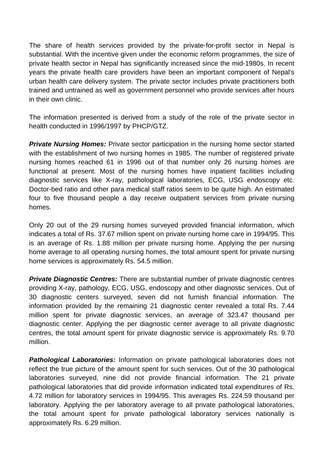The share of health services provided by the private-for-profit sector in Nepal is substantial. With the incentive given under the economic reform programmes, the size of private health sector in Nepal has significantly increased since the mid-1980s. In recent years the private health care providers have been an important component of Nepal's urban health care delivery system. The private sector includes private practitioners both trained and untrained as well as government personnel who provide services after hours in their own clinic.

The information presented is derived from a study of the role of the private sector in health conducted in 1996/1997 by PHCP/GTZ.

nursing homes reached 61 in 1996 out of that number only 26 nursing homes are functional at present. Most of the nursing homes have inpatient facilities including **Private Nursing Homes:** Private sector participation in the nursing home sector started with the establishment of two nursing homes in 1985. The number of registered private diagnostic services like X-ray, pathological laboratories, ECG, USG endoscopy etc. Doctor-bed ratio and other para medical staff ratios seem to be quite high. An estimated four to five thousand people a day receive outpatient services from private nursing homes.

is an average of Rs. 1.88 million per private nursing home. Applying the per nursing Only 20 out of the 29 nursing homes surveyed provided financial information, which indicates a total of Rs. 37.67 million spent on private nursing home care in 1994/95. This home average to all operating nursing homes, the total amount spent for private nursing home services is approximately Rs. 54.5 million.

**Private Diagnostic Centres:** There are substantial number of private diagnostic centres providing X-ray, pathology, ECG, USG, endoscopy and other diagnostic services. Out of diagnostic center. Applying the per diagnostic center average to all private diagnostic 30 diagnostic centers surveyed, seven did not furnish financial information. The information provided by the remaining 21 diagnostic center revealed a total Rs. 7.44 million spent for private diagnostic services, an average of 323.47 thousand per centres, the total amount spent for private diagnostic service is approximately Rs. 9.70 million.

reflect the true picture of the amount spent for such services. Out of the 30 pathological laboratory. Applying the per laboratory average to all private pathological laboratories, the total amount spent for private pathological laboratory services nationally is *Pathological Laboratories:* Information on private pathological laboratories does not laboratories surveyed, nine did not provide financial information. The 21 private pathological laboratories that did provide information indicated total expenditures of Rs. 4.72 million for laboratory services in 1994/95. This averages Rs. 224.59 thousand per approximately Rs. 6.29 million.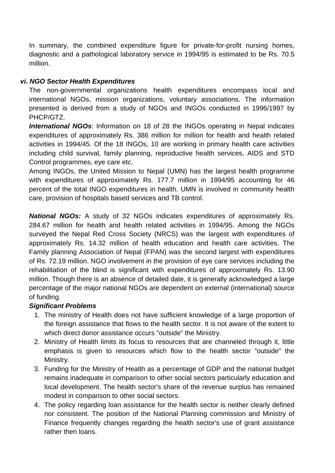In summary, the combined expenditure figure for private-for-profit nursing homes, diagnostic and a pathological laboratory service in 1994/95 is estimated to be Rs. 70.5 million.

## *NGO Sector Health Expenditures vi.*

The non-governmental organizations health expenditures encompass local and international NGOs, mission organizations, voluntary associations. The information presented i s derived from a study of NGOs and INGOs conducted in 1996/1997 by PHCP/GTZ.

activities in 1994/45. Of the 18 INGOs, 10 are working in primary health care activities *International NGOs*: Information on 18 of 28 the INGOs operating in Nepal indicates expenditures of approximately Rs. 386 million for million for health and health related including child survival, family planning, reproductive health services, AIDS and STD Control programmes, eye care etc.

Among INGOs, the United Mission to Nepal (UMN) has the largest health programme with expenditures of approximately Rs. 177.7 million in 1994/95 accounting for 46 percent of the total INGO expenditures in health. UMN is involved in community health care, provision of hospitals based services and TB control.

approximately Rs. 14.32 million of health education and health care activities. The *National NGOs:* A study of 32 NGOs indicates expenditures of approximately Rs. 284.67 million for health and health related activities in 1994/95. Among the NGOs surveyed the Nepal Red Cross Society (NRCS) was the largest with expenditures of Family planning Association of Nepal (FPAN) was the second largest with expenditures of Rs. 72.19 million. NGO involvement in the provision of eye care services including the rehabilitation of the blind is significant with expenditures of approximately Rs. 13.90 million. Though there is an absence of detailed date, it is generally acknowledged a large percentage of the major national NGOs are dependent on external (international) source of funding.

### *Significant Problems*

- 1. The ministry of Health does not have sufficient knowledge of a large proportion of the foreign assistance that flows to the health sector. It is not aware of the extent to which direct donor assistance occurs "outside" the Ministry.
- 2. Ministry of Health limits its focus to resources that are channeled through it, little emphasis is given to resources which flow to the health sector "outside" the Ministry.
- local development. The health sector's share of the revenue surplus has remained 3. Funding for the Ministry of Health as a percentage of GDP and the national budget remains inadequate in comparison to other social sectors particularly education and modest in comparison to other social sectors.
- rather then loans. 4. The policy regarding loan assistance for the health sector is neither clearly defined nor consistent. The position of the National Planning commission and Ministry of Finance frequently changes regarding the health sector's use of grant assistance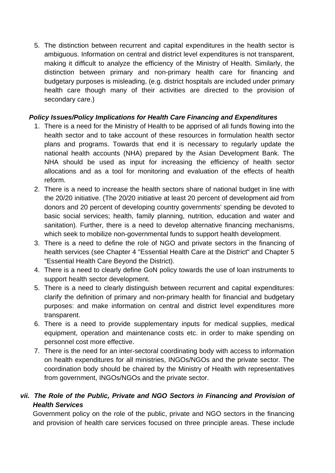5. The distinction between recurrent and capital expenditures in the health sector is ambiguous. Information on central and district level expenditures is not transparent, budgetary purposes is misleading, (e.g. district hospitals are included under primary making it difficult to analyze the efficiency of the Ministry of Health. Similarly, the distinction between primary and non-primary health care for financing and health care though many of their activities are directed to the provision of secondary care.)

#### *Policy Issues/Policy Implications for Health Care Financing and Expenditures*

- health sector and to take account of these resources in formulation health sector NHA should be used as input for increasing the efficiency of health sector 1. There is a need for the Ministry of Health to be apprised of all funds flowing into the plans and programs. Towards that end it is necessary to regularly update the national health accounts (NHA) prepared by the Asian Development Bank. The allocations and as a tool for monitoring and evaluation of the effects of health reform.
- the 20/20 initiative. (The 20/20 initiative at least 20 percent of development aid from donors and 20 percent of developing country governments' spending be devoted to sanitation). Further, there is a need to develop alternative financing mechanisms, 2. There is a need to increase the health sectors share of national budget in line with basic social services; health, family planning, nutrition, education and water and which seek to mobilize non-governmental funds to support health development.
- 3. There is a need to define the role of NGO and private sectors in the financing of health services (see Chapter 4 "Essential Health Care at the District" and Chapter 5 "Essential Health Care Beyond the District).
- There is a need to clearly define GoN policy towards the use of loan instruments to 4. support health sector development.
- 5. There is a need to clearly distinguish between recurrent and capital expenditures: clarify the definition of primary and non-primary health for financial and budgetary purposes: and make information on central and district level expenditures more transparent.
- There is a need to provide supplementary inputs for medical supplies, medical 6. equipment, operation and maintenance costs etc. in order to make spending on personnel cost more effective.
- 7. There is the need for an inter-sectoral coordinating body with access to information on health expenditures for all ministries, INGOs/NGOs and the private sector. The coordination body should be chaired by the Ministry of Health with representatives from government, INGOs/NGOs and the private sector.

# vii. The Role of the Public, Private and NGO Sectors in Financing and Provision of *Health Services*

and provision of health care services focused on three principle areas. These include Government policy on the role of the public, private and NGO sectors in the financing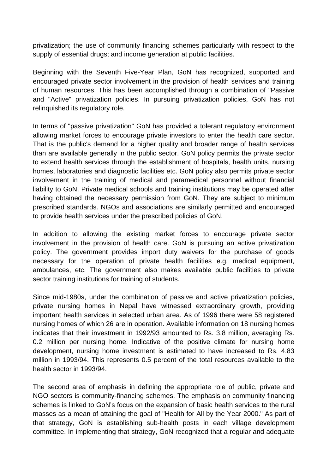privatization; the use of community financing schemes particularly with respect to the supply of essential drugs; and income generation at public facilities.

Beginning with the Seventh Five-Year Plan, GoN has recognized, supported and encouraged private sector involvement in the provision of health services and training of human resources. This has been accomplished through a combination of "Passive and "Active" privatization policies. In pursuing privatization policies, GoN has not relinquished its regulatory role.

involvement in the training of medical and paramedical personnel without financial liability to GoN. Private medical schools and training institutions may be operated after In terms of "passive privatization" GoN has provided a tolerant regulatory environment allowing market forces to encourage private investors to enter the health care sector. That is the public's demand for a higher quality and broader range of health services than are available generally in the public sector. GoN policy permits the private sector to extend health services through the establishment of hospitals, health units, nursing homes, laboratories and diagnostic facilities etc. GoN policy also permits private sector having obtained the necessary permission from GoN. They are subject to minimum prescribed standards. NGOs and associations are similarly permitted and encouraged to provide health services under the prescribed policies of GoN.

In addition to allowing the existing market forces to encourage private sector involvement in the provision of health care. GoN is pursuing an active privatization policy. The government provides import duty waivers for the purchase of goods necessary for the operation of private health facilities e.g. medical equipment, ambulances, etc. The government also makes available public facilities to private sector training institutions for training of students.

private nursing homes in Nepal have witnessed extraordinary growth, providing development, nursing home investment is estimated to have increased to Rs. 4.83 Since mid-1980s, under the combination of passive and active privatization policies, important health services in selected urban area. As of 1996 there were 58 registered nursing homes of which 26 are in operation. Available information on 18 nursing homes indicates that their investment in 1992/93 amounted to Rs. 3.8 million, averaging Rs. 0.2 million per nursing home. Indicative of the positive climate for nursing home million in 1993/94. This represents 0.5 percent of the total resources available to the health sector in 1993/94.

The second area of emphasis in defining the appropriate role of public, private and committee. In implementing that strategy, GoN recognized that a regular and adequate NGO sectors is community-financing schemes. The emphasis on community financing schemes is linked to GoN's focus on the expansion of basic health services to the rural masses as a mean of attaining the goal of "Health for All by the Year 2000." As part of that strategy, GoN is establishing sub-health posts in each village development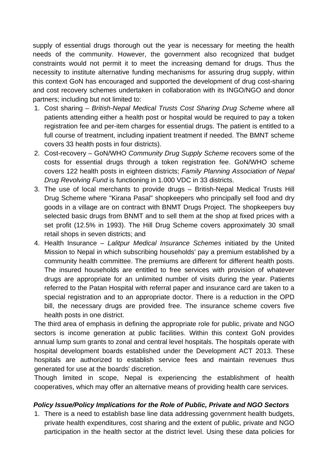supply of essential drugs thorough out the year is necessary for meeting the health needs of the community. However, the government also recognized that budget constraints would not permit it to meet the increasing demand for drugs. Thus the necessity to institute alternative funding mechanisms for assuring drug supply, within this context GoN has encouraged and supported the development of drug cost-sharing and cost recovery schemes undertaken in collaboration with its INGO/NGO and donor partners; including but not limited to:

- full course of treatment, including inpatient treatment if needed. The BMNT scheme 1. Cost sharing – *British-Nepal Medical Trusts Cost Sharing Drug Scheme* where all patients attending either a health post or hospital would be required to pay a token registration fee and per-item charges for essential drugs. The patient is entitled to a covers 33 health posts in four districts).
- 2. Cost-recovery GoN/WHO *Community Drug Supply Scheme* recovers some of the costs for essential drugs through a token registration fee. GoN/WHO scheme covers 122 health posts in eighteen districts; *Family Planning Association of Nepal Drug Revolving Fund* is functioning in 1.000 VDC in 33 districts.
- 3. The use of local merchants to provide drugs British-Nepal Medical Trusts Hill selected basic drugs from BNMT and to sell them at the shop at fixed prices with a set profit (12.5% in 1993). The Hill Drug Scheme covers approximately 30 small Drug Scheme where "Kirana Pasal" shopkeepers who principally sell food and dry goods in a village are on contract with BNMT Drugs Project. The shopkeepers buy retail shops in seven districts; and
- The insured households are entitled to free services with provision of whatever 4. Health Insurance – *Lalitpur Medical Insurance Schemes* initiated by the United Mission to Nepal in which subscribing households' pay a premium established by a community health committee. The premiums are different for different health posts. drugs are appropriate for an unlimited number of visits during the year. Patients referred to the Patan Hospital with referral paper and insurance card are taken to a special registration and to an appropriate doctor. There is a reduction in the OPD bill, the necessary drugs are provided free. The insurance scheme covers five health posts in one district.

The third area of emphasis in defining the appropriate role for public, private and NGO sectors is income generation at public facilities. Within this context GoN provides annual lump sum grants to zonal and central level hospitals. The hospitals operate with hospital development boards established under the Development ACT 2013. These hospitals are authorized to establish service fees and maintain revenues thus generated for use at the boards' discretion.

Though limited in scope, Nepal is experiencing the establishment of health ooperatives, which may offer an alternative means of providing health care services. c

#### **Policy Issue/Policy Implications for the Role of Public, Private and NGO Sectors**

1. There is a need to establish base line data addressing government health budgets, private health expenditures, cost sharing and the extent of public, private and NGO participation in the health sector at the district level. Using these data policies for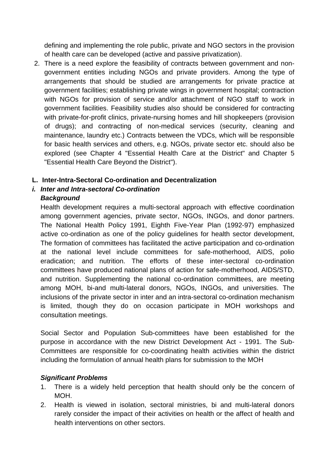defining and implementing the role public, private and NGO sectors in the provision of health care can be developed (active and passive privatization).

 There is a need explore the feasibility of contracts between government and non-2. government entities including NGOs and private providers. Among the type of arrangements that should be studied are arrangements for private practice at government facilities; establishing private wings in government hospital; contraction with NGOs for provision of service and/or attachment of NGO staff to work in government facilities. Feasibility studies also should be considered for contracting with private-for-profit clinics, private-nursing homes and hill shopkeepers (provision of drugs); and contracting of non-medical services (security, cleaning and maintenance, laundry etc.) Contracts betwe en the VDCs, which will be responsible for basic health services and others, e.g. NGOs, private sector etc. should also be explored (see Chapter 4 "Essential Health Care at the District" and Chapter 5 "Essential Health Care Beyond the District").

### **L. Inter-Intra-Sectoral Co-ordination and Decentralization**

# *i.* Inter and Intra-sectoral Co-ordination

### *Background*

among government agencies, private sector, NGOs, INGOs, and donor partners. The formation of committees has facilitated the active participation and co-ordination committees have produced national plans of action for safe-motherhood, AIDS/STD, is limited, though they do on occasion participate in MOH workshops and Health development requires a multi-sectoral approach with effective coordination The National Health Policy 1991, Eighth Five-Year Plan (1992-97) emphasized active co-ordination as one of the policy guidelines for health sector development, at the national level include committees for safe-motherhood, AIDS, polio eradication; and nutrition. The efforts of these inter-sectoral co-ordination and nutrition. Supplementing the national co-ordination committees, are meeting among MOH, bi-and multi-lateral donors, NGOs, INGOs, and universities. The inclusions of the private sector in inter and an intra-sectoral co-ordination mechanism consultation meetings.

Social Sector and Population Sub-committees have been established for the Committees are responsible for co-coordinating health activities within the district purpose in accordance with the new District Development Act - 1991. The Subincluding the formulation of annual health plans for submission to the MOH

### *Significant Problems*

- 1. There is a widely held perception that health should only be the concern of MOH.
- 2. Health is viewed in isolation, sectoral ministries, bi and multi-lateral donors rarely consider the impact of their activities on health or the affect of health and health interventions on other sectors.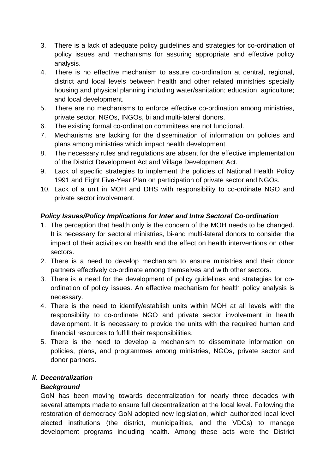- 3. There is a lack of adequate policy guidelines and strategies for co-ordination of policy issues and mechanisms for assuring appropriate and effective policy analysis.
- 4. There is no effective mechanism to assure co-ordination at central, regional, housing and physical planning including water/sanitation; education; agriculture; district and local levels between health and other related ministries specially and local development.
- private sector, NGOs, INGOs, bi and multi-lateral donors. 5. There are no mechanisms to enforce effective co-ordination among ministries,
- 6. The existing formal co-ordination committees are not functional.
- 7. Mechanisms are lacking for the dissemination of information on policies and plans among ministries which impact health development.
- 8. The necessary rules and regulations are absent for the effective implementation of the District Development Act and Village Development Act.
- 1991 and Eight Five-Year Plan on participation of private sector and NGOs. 9. Lack of specific strategies to implement the policies of National Health Policy
- 0. Lack of a unit in MOH and DHS with responsibility to co-ordinate NGO and 1 private sector involvement.

# *Policy Issues/Policy Implications for Inter and Intra Sectoral Co-ordination*

- 1. The perception that health only is the concern of the MOH needs to be changed. It is necessary for sectoral ministries, bi-and multi-lateral donors to consider the impact of their activities on health and the effect on health interventions on other sectors.
- 2. There is a need to develop mechanism to ensure ministries and their donor partners effectively co-ordinate among themselves and with other sectors.
- 3. There is a need for the development of policy guidelines and strategies for coordination of policy issues. An effective mechanism for health policy analysis is necessary.
- responsibility to co-ordinate NGO and private sector involvement in health development. It is necessary to provide the units with the required human and 4. There is the need to identify/establish units within MOH at all levels with the financial resources to fulfill their responsibilities.
- 5. There is the need to develop a mechanism to disseminate information on policies, plans, and programmes among ministries, NGOs, private sector and donor partners.

# *ii. Decentralization*

# *Background*

development programs including health. Among these acts were the District GoN has been moving towards decentralization for nearly three decades with several attempts made to ensure full decentralization at the local level. Following the restoration of democracy GoN adopted new legislation, which authorized local level elected institutions (the district, municipalities, and the VDCs) to manage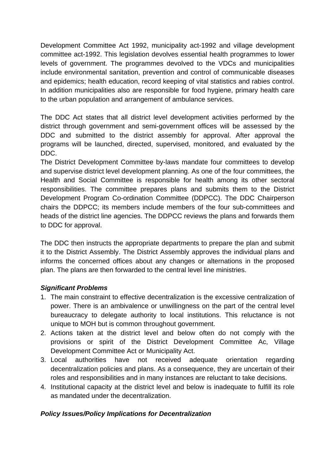Development Committee Act 1992, municipality act-1992 and village development committee act-1992. This legislation devolves essential health programmes to lower levels of government. The programmes devolved to the VDCs and municipalities include environmental sanitation, prevention and control of communicable diseases and epidemics; health education, record keeping of vital statistics and rabies control. In addition municipalities also are responsible for food hygiene, primary health care to the urban population and arrangement of ambulance services.

The DDC Act states that all district level development activities performed by the district through government and semi-government offices will be assessed by the DDC and submitted to the district assembly for approval. After approval the programs will be launched, directed, supervised, monitored, and evaluated by the DDC.

Health and Social Committee is responsible for health among its other sectoral chairs the DDPCC; its members include members of the four sub-committees and The District Development Committee by-laws mandate four committees to develop and supervise district level development planning. As one of the four committees, the responsibilities. The committee prepares plans and submits them to the District Development Program Co-ordination Committee (DDPCC). The DDC Chairperson heads of the district line agencies. The DDPCC reviews the plans and forwards them to DDC for approval.

The DDC then instructs the appropriate departments to prepare the plan and submit plan. The plans are then forwarded to the central level line ministries. it to the District Assembly. The District Assembly approves the individual plans and informs the concerned offices about any changes or alternations in the proposed

### *Significant Problems*

- 1. The main constraint to effective decentralization is the excessive centralization of unique to MOH but is common throughout government. power. There is an ambivalence or unwillingness on the part of the central level bureaucracy to delegate authority to local institutions. This reluctance is not
- provisions or spirit of the District Development Committee Ac, Village 2. Actions taken at the district level and below often do not comply with the Development Committee Act or Municipality Act.
- decentralization policies and plans. As a consequence, they are uncertain of their 3. Local authorities have not received adequate orientation regarding roles and responsibilities and in many instances are reluctant to take decisions.
- 4. Institutional capacity at the district level and below is inadequate to fulfill its role as mandated under the decentralization.

### *Policy Issues/Policy Implications for Decentralization*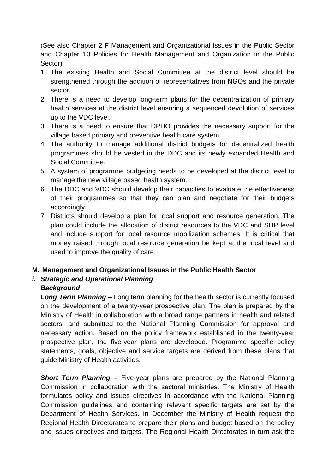(See also Chapter 2 F Management and Organizational Issues in the Public Sector and Chapter 10 Policies for Health Management and Organization in the Public Sector)

- 1. The existing Health and Social Committee at the district level should be strengthened through the addition of representatives from NGOs and the private sector.
- 2. There is a need to develop long-term plans for the decentralization of primary health services at the district level ensuring a sequenced devolution of services up to the VDC level.
- 3. There is a need to ensure that DPHO provides the necessary support for the village based primary and preventive health care system.
- 4. The authority to manage additional district budgets for decentralized health programmes should be vested in the DDC and its newly expanded Health and Social Committee.
- 5. A system of programme budgeting needs to be developed at the district level to manage the new village based health system.
- 6. The DDC and VDC should develop their capacities to evaluate the effectiveness of their programmes so that they can plan and negotiate for their budgets accordingly.
- 7. Districts should develop a plan for local support and resource generation. The plan could include the allocation of district resources to the VDC and SHP level and include support for local resource mobilization schemes. It is critical that money raised through local resource generation be kept at the local level and used to improve the quality of care.

### **M. Management and Organizational Issues in the Public Health Sector**

#### *i. Strategic and Operational Planning Background*

Ministry of Health in collaboration with a broad range partners in health and related sectors, and submitted to the National Planning Commission for approval and statements, goals, objective and service targets are derived from these plans that guide Ministry of Health activities. *Long Term Planning* – Long term planning for the health sector is currently focused on the development of a twenty-year prospective plan. The plan is prepared by the necessary action. Based on the policy framework established in the twenty-year prospective plan, the five-year plans are developed. Programme specific policy

formulates policy and issues directives in accordance with the National Planning Department of Health Services. In December the Ministry of Health request the *Short Term Planning* – Five-year plans are prepared by the National Planning Commission in collaboration with the sectoral ministries. The Ministry of Health Commission guidelines and containing relevant specific targets are set by the Regional Health Directorates to prepare their plans and budget based on the policy and issues directives and targets. The Regional Health Directorates in turn ask the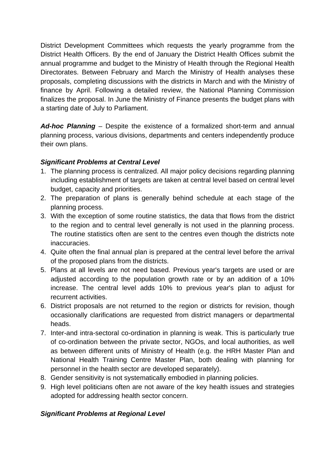District Development Committees which requests the yearly programme from the District Health Officers. By the end of January the District Health Offices submit the Directorates. Between February and March the Ministry of Health analyses these a starting date of July to Parliament. annual programme and budget to the Ministry of Health through the Regional Health proposals, completing discussions with the districts in March and with the Ministry of finance by April. Following a detailed review, the National Planning Commission finalizes the proposal. In June the Ministry of Finance presents the budget plans with

planning process, various divisions, departments and centers independently produce *Ad-hoc Planning* – Despite the existence of a formalized short-term and annual their own plans.

### *Significant Problems at Central Level*

- including establishment of targets are taken at central level based on central level 1. The planning process is centralized. All major policy decisions regarding planning budget, capacity and priorities.
- 2. The preparation of plans is generally behind schedule at each stage of the planning process.
- . With the exception of some routine statistics, the data that flows from the district 3 to the region and to central level generally is not used in the planning process. The routine statistics often are sent to the centres even though the districts note inaccuracies.
- 4. Quite often the final annual plan is prepared at the central level before the arrival of the proposed plans from the districts.
- adjusted according to the population growth rate or by an addition of a 10% increase. The central level adds 10% to previous year's plan to adjust for 5. Plans at all levels are not need based. Previous year's targets are used or are recurrent activities.
- 6. District proposals are not returned to the region or districts for revision, though occasionally clarifications are requested from district managers or departmental heads.
- 7. Inter-and intra-sectoral co-ordination in planning is weak. This is particularly true as between different units of Ministry of Health (e.g. the HRH Master Plan and personnel in the health sector are developed separately). of co-ordination between the private sector, NGOs, and local authorities, as well National Health Training Centre Master Plan, both dealing with planning for
- . Gender sensitivity is not systematically embodied in planning policies. 8
- adopted for addressing health sector concern. 9. High level politicians often are not aware of the key health issues and strategies

### *Significant Problems at Regional Level*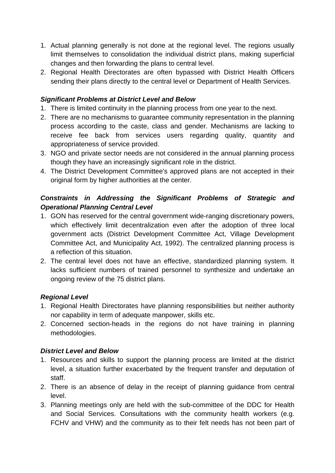- 1. Actual planning generally is not done at the regional level. The regions usually limit themselves to consolidation the individual district plans, making superficial changes and then forwarding the plans to central level.
- sending their plans directly to the central level or Department of Health Services. 2. Regional Health Directorates are often bypassed with District Health Officers

## **Significant Problems at District Level and Below**

- 1. There is limited continuity in the planning process from one year to the next.
- 2. There are no mechanisms to guarantee community representation in the planning receive fee back from services users regarding quality, quantity and appropriateness of service provided. process according to the caste, class and gender. Mechanisms are lacking to
- 3. NGO and private sector needs are not considered in the annual planning process though they have an increasingly significant role in the district.
- original form by higher authorities at the center. 4. The District Development Committee's approved plans are not accepted in their

# **Constraints in Addressing the Significant Problems of Strategic and** *Operational Planning Central Level*

- Committee Act, and Municipality Act, 1992). The centralized planning process is 1. GON has reserved for the central government wide-ranging discretionary powers, which effectively limit decentralization even after the adoption of three local government acts (District Development Committee Act, Village Development a reflection of this situation.
- . The central level does not have an effective, standardized planning system. It 2 lacks sufficient numbers of trained personnel to synthesize and undertake an ongoing review of the 75 district plans.

# *Regional Level*

- 1. Regional Health Directorates have planning responsibilities but neither authority nor capability in term of adequate manpower, skills etc.
- 2. Concerned section-heads in the regions do not have training in planning methodologies.

# **District Level and Below**

- 1. Resources and skills to support the planning process are limited at the district level, a situation further exacerbated by the frequent transfer and deputation of staff.
- 2. There is an absence of delay in the receipt of planning guidance from central level.
- 3. Planning meetings only are held with the sub-committee of the DDC for Health FCHV and VHW) and the community as to their felt needs has not been part of and Social Services. Consultations with the community health workers (e.g.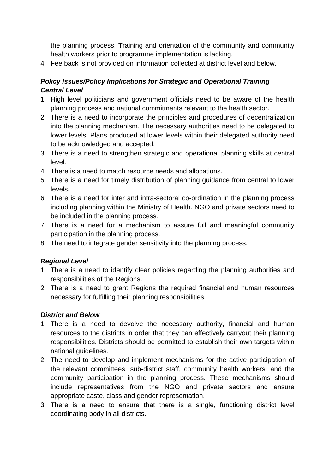the planning process. Training and orientation of the community and community health workers prior to programme implementation is lacking.

4. Fee back is not provided on information collected at district level and below.

# *Policy Issues/Policy Implications for Strategic and Operational Training Central Level*

- . High level politicians and government officials need to be aware of the health 1 planning process and national commitments relevant to the health sector.
- to be acknowledged and accepted. 2. There is a need to incorporate the principles and procedures of decentralization into the planning mechanism. The necessary authorities need to be delegated to lower levels. Plans produced at lower levels within their delegated authority need
- 3. There is a need to strengthen strategic and operational planning skills at central level.
- 4. There is a need to match resource needs and allocations.
- 5. There is a need for timely distribution of planning guidance from central to lower levels.
- including planning within the Ministry of Health. NGO and private sectors need to 6. There is a need for inter and intra-sectoral co-ordination in the planning process be included in the planning process.
- participation in the planning process. 7. There is a need for a mechanism to assure full and meaningful community
- 8. The need to integrate gender sensitivity into the planning process.

### **Regional Level**

- 1. There is a need to identify clear policies regarding the planning authorities and responsibilities of the Regions.
- 2. There is a need to grant Regions the required financial and human resources necessary for fulfilling their planning responsibilities.

### *District and Below*

- 1. There is a need to devolve the necessary authority, financial and human resources to the districts in order that they can effectively carryout their planning responsibilities. Districts should be permitted to establish their own targets within national guidelines.
- community participation in the planning process. These mechanisms should include representatives from the NGO and private sectors and ensure 2. The need to develop and implement mechanisms for the active participation of the relevant committees, sub-district staff, community health workers, and the appropriate caste, class and gender representation.
- 3. There is a need to ensure that there is a single, functioning district level coordinating body in all districts.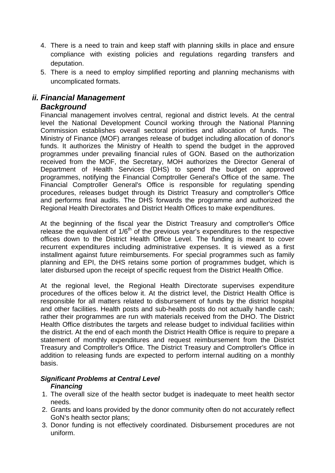- 4. There is a need to train and keep staff with planning skills in place and ensure compliance with existing policies and regulations regarding transfers and deputation.
- 5. There is a need to employ simplified reporting and planning mechanisms with uncomplicated formats.

# *ii. Financial Management*

## *Background*

funds. It authorizes the Ministry of Health to spend the budget in the approved programmes under prevailing financial rules of GON. Based on the authorization received from the MOF, the Secretary, MOH authorizes the Director General of Department of Health Services (DHS) to spend the budget on approved Financial Comptroller General's Office is responsible for regulating spending and performs final audits. The DHS forwards the programme and authorized the Financial management involves central, regional and district levels. At the central level the National Development Council working through the National Planning Commission establishes overall sectoral priorities and allocation of funds. The Ministry of Finance (MOF) arranges release of budget including allocation of donor's programmes, notifying the Financial Comptroller General's Office of the same. The procedures, releases budget through its District Treasury and comptroller's Office Regional Health Directorates and District Health Offices to make expenditures.

release the equivalent of  $1/6<sup>th</sup>$  of the previous year's expenditures to the respective offi ces down to the District Health Office Level. The funding is meant to cover recurrent expenditures including administrative expenses. It is viewed as a first installment against future reimbursements. For special programmes such as family planning and EPI, the DHS retains some portion of programmes budget, which is At the beginning of the fiscal year the District Treasury and comptroller's Office later disbursed upon the receipt of specific request from the District Health Office.

At the regional level, the Regional Health Directorate supervises expenditure the district. At the end of each month the District Health Office is require to prepare a Treasury and Comptroller's Office. The District Treasury and Comptroller's Office in procedures of the offices below it. At the district level, the District Health Office is responsible for all matters related to disbursement of funds by the district hospital and other facilities. Health posts and sub-health posts do not actually handle cash; rather their programmes are run with materials received from the DHO. The District Health Office distributes the targets and release budget to individual facilities within statement of monthly expenditures and request reimbursement from the District addition to releasing funds are expected to perform internal auditing on a monthly basis.

#### *Significant Problems at Central Level Financing*

- 1. The overall size of the health sector budget is inadequate to meet health sector needs.
- 2. Grants and loans provided by the donor community often do not accurately reflect GoN's health sector plans;
- 3. Donor funding is not effectively coordinated. Disbursement procedures are not uniform.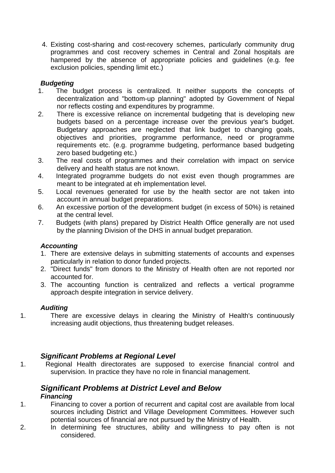4. Existing cost-sharing and cost-recovery schemes, particularly community drug programmes and cost recovery schemes in Central and Zonal hospitals are hampered by the absence of appropriate policies and guidelines (e.g. fee exclusion policies, spending limit etc.)

## *Budgeting*

- 1. The budget process is centralized. It neither supports the concepts of decentralization and "bottom-up planning" adopted by Government of Nepal nor reflects costing and expenditures by programme.
- 2. budgets based on a percentage increase over the previous year's budget. Budgetary approaches are neglected that link budget to changing goals, objectives and priorities, programme performance, need or programme requirements etc. (e.g. programme budgeting, performance based budgeting There is excessive reliance on incremental budgeting that is developing new zero based budgeting etc.)
- 3. The real costs of programmes and their correlation with impact on service delivery and health status are not known.
- 4. Integrated programme budgets do not exist even though programmes are meant to be integrated at eh implementation level.
- 5 . Local revenues generated for use by the health sector are not taken into account in annual budget preparations.
- 6. An excessive portion of the development budget (in excess of 50%) is retained at the central level.
- by the planning Division of the DHS in annual budget preparation. 7. Budgets (with plans) prepared by District Health Office generally are not used

### *Accounting*

- 1. There are extensive delays in submitting statements of accounts and expenses particularly in relation to donor funded projects.
- 2. "Direct funds" from donors to the Ministry of Health often are not reported nor accounted for.
- 3. The accounting function is centralized and reflects a vertical programme approach despite integration in service delivery.

### *Auditing*

1. There are excessive delays in clearing the Ministry of Health's continuously increasing audit objections, thus threatening budget releases.

# **Significant Problems at Regional Level**

1. Regional Health directorates are supposed to exercise financial control and supervision. In practice they have no role in financial management.

#### **Significant Problems at District Level and Below** *Financing*

- 1. Financing to cover a portion of recurrent and capital cost are available from local sources including District and Village Development Committees. However such potential sources of financial are not pursued by the Ministry of Health.
- 2. considered. In determining fee structures, ability and willingness to pay often is not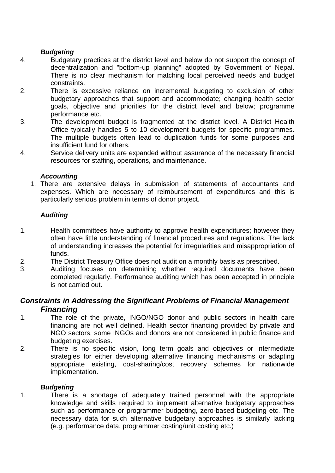#### *Budgeting*

- 4. Budgetary practices at the district level and below do not support the concept of decentralization and "bottom-up planning" adopted by Government of Nepal. There is no clear mechanism for matching local perceived needs and budget constraints.
- 2. There is excessive reliance on incremental budgeting to exclusion of other budgetary approaches that support and accommodate; changing health sector goals, objective and priorities for the district level and below; programme performance etc.
- 3. The development budget is fragmented at the district level. A District Health Office typically handles 5 to 10 development budgets for specific programmes. The multiple budgets often lead to duplication funds for some purposes and insufficient fund for others.
- 4. Service delivery units are expanded without assurance of the necessary financial resources for staffing, operations, and maintenance.

#### Accounting

1. There are extensive delays in submission of statements of accountants and expenses. Which are necessary of reimbursement of expenditures and this is particularly serious problem in terms of donor project.

#### *Auditing*

- 1. Health committees have authority to approve health expenditures; however they often have little understanding of financial procedures and regulations. The lack of understanding increases the potential for irregularities and misappropriation of funds.
- 2. The District Treasury Office does not audit on a monthly basis as prescribed.
- 3. Auditing focuses on determining whether required documents have been completed regularly. Performance auditing which has been accepted in principle is not carried out.

## **Constraints in Addressing the Significant Problems of Financial Management** *Financing*

- 1. The role of the private, INGO/NGO donor and public sectors in health care financing are not well defined. Health sector financing provided by private and NGO sectors, some INGOs and donors are not considered in public finance and budgeting exercises.
- 2. appropriate existing, cost-sharing/cost recovery schemes for nationwide implementation. There is no specific vision, long term goals and objectives or intermediate strategies for either developing alternative financing mechanisms or adapting

#### **Budgeting**

1. There is a shortage of adequately trained personnel with the appropriate knowledge and skills required to implement alternative budgetary approaches such as performance or programmer budgeting, zero-based budgeting etc. The necessary data for such alternative budgetary approaches is similarly lacking (e.g. performance data, programmer costing/unit costing etc.)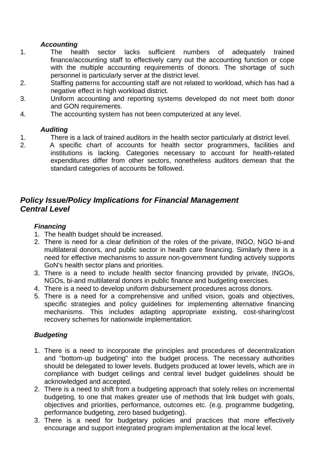### *Accounting*

- 1. The health sector lacks sufficient numbers of adequately trained finance/accounting staff to effectively carry out the accounting function or cope with the multiple accounting requirements of donors. The shortage of such personnel is particularly server at the district level.
- 2. Staffing patterns for accounting staff are not related to workload, which has had a negative effect in high workload district.
- 3. Uniform accounting and reporting systems developed do not meet both donor and GON requirements.
- 4. The accounting system has not been computerized at any level.

#### *Auditing*

- 1. There is a lack of trained auditors in the health sector particularly at district level.
- 2. A specific chart of accounts for health sector programmers, facilities and institutions is lacking. Categories necessary to account for health-related expenditures differ from other sectors, nonetheless auditors demean that the standard categories of accounts be followed.

# *Policy Issue/Policy Implications for Financial Management Central Level*

### *Financing*

- 1. The health budget should be increased.
- 2. There is need for a clear definition of the roles of the private, INGO, NGO bi-and multilateral donors, and public sector in health care financing. Similarly there is a need for effective mechanisms to assure non-government funding actively supports GoN's health sector plans and priorities.
- 3. There is a need to include health sector financing provided by private, INGOs, NGOs, bi-and multilateral donors in public finance and budgeting exercises.
- 4. There is a need to develop uniform disbursement procedures across donors.
- 5. There is a need for a comprehensive and unified vision, goals and objectives, specific strategies and policy guidelines for implementing alternative financing mechanisms. This includes adapting appropriate existing, cost-sharing/cost recovery schemes for nationwide implementation.

### *Budgeting*

- 1. There is a need to incorporate the principles and procedures of decentralization and "bottom-up budgeting" into the budget process. The necessary authorities should be delegated to lower levels. Budgets produced at lower levels, which are in compliance with budget ceilings and central level budget guidelines should be acknowledged and accepted.
- 2. There is a need to shift from a budgeting approach that solely relies on incremental budgeting, to one that makes greater use of methods that link budget with goals, objectives and priorities, performance, outcomes etc. (e.g. programme budgeting, performance budgeting, zero based budgeting).
- encourage and support integrated program implementation at the local level. 3. There is a need for budgetary policies and practices that more effectively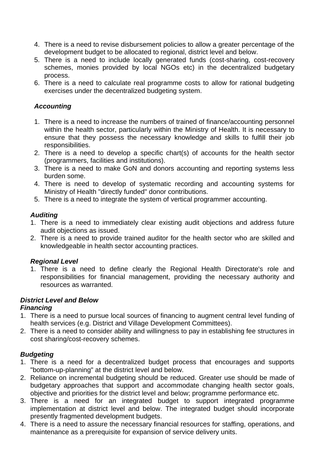- 4. There is a need to revise disbursement policies to allow a greater percentage of the development budget to be allocated to regional, district level and below.
- 5. There is a need to include locally generated funds (cost-sharing, cost-recovery schemes, monies provided by local NGOs etc) in the decentralized budgetary process.
- exercises under the decentralized budgeting system. 6. There is a need to calculate real programme costs to allow for rational budgeting

### *Accounting*

- within the health sector, particularly within the Ministry of Health. It is necessary to 1. There is a need to increase the numbers of trained of finance/accounting personnel ensure that they possess the necessary knowledge and skills to fulfill their job responsibilities.
- 2. There is a need to develop a specific chart(s) of accounts for the health sector (programmers, facilities and institutions).
- 3. There is a need to make GoN and donors accounting and reporting systems less burden some.
- 4. There is need to develop of systematic recording and accounting systems for Ministry of Health "directly funded" donor contributions.
- 5. There is a need to integrate the system of vertical programmer accounting.

### *Auditing*

- 1. There is a need to immediately clear existing audit objections and address future audit objections as issued.
- 2. There is a need to provide trained auditor for the health sector who are skilled and knowledgeable in health sector accounting practices.

### **Regional Level**

1. There is a need to define clearly the Regional Health Directorate's role and responsibilities for financial management, providing the necessary authority and resources as warranted.

### *District Level and Below*

### *Financing*

- 1. There is a need to pursue local sources of financing to augment central level funding of health services (e.g. District and Village Development Committees).
- 2. There is a need to consider ability and willingness to pay in establishing fee structures in cost sharing/cost-recovery schemes.

### *B udgeting*

- 1. There is a need for a decentralized budget process that encourages and supports "bottom-up-planning" at the district level and below.
- 2. Reliance on incremental budgeting should be reduced. Greater use should be made of objective and priorities for the district level and below; programme performance etc. budgetary approaches that support and accommodate changing health sector goals,
- implementation at district level and below. The integrated budget should incorporate 3. There is a need for an integrated budget to support integrated programme presently fragmented development budgets.
- 4. There is a need to assure the necessary financial resources for staffing, operations, and maintenance as a prerequisite for expansion of service delivery units.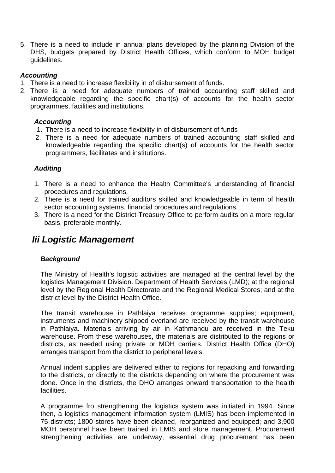5. There is a need to include in annual plans developed by the planning Division of the DHS, budgets prepared by District Health Offices, which conform to MOH budget guidelines.

## *Accounting*

- 1. The re is a need to increase flexibility in of disbursement of funds.
- 2. The re is a need for adequate numbers of trained accounting staff skilled and kno wledgeable regarding the specific chart(s) of accounts for the health sector pro grammes, facilities and institutions.

#### *A ccounting*

- 1 . There is a need to increase flexibility in of disbursement of funds
- 2 . There is a need for adequate numbers of trained accounting staff skilled and knowledgeable regarding the specific chart(s) of accounts for the health sector programmers, facilitates and institutions.

#### *Auditing*

- 1. There is a need to enhance the Health Committee's understanding of financial procedures and regulations.
- 2. There is a need for trained auditors skilled and knowledgeable in term of health sector accounting systems, financial procedures and regulations.
- 3. There is a need for the District Treasury Office to perform audits on a more regular basis, preferable monthly.

## *Iii Logistic Management*

### *Background*

The Ministry of Health's logistic activities are managed at the central level by the logistics Management Division. Department of Health Services (LMD); at the regional level by the Regional Health Directorate and the Regional Medical Stores; and at the district level by the District Health Office.

The transit warehouse in Pathlaiya receives programme supplies; equipment, instruments and machinery shipped overland are received by the transit warehouse in Pathlaiya. Materials arriving by air in Kathmandu are received in the Teku warehouse. From these warehouses, the materials are distributed to the regions or districts, as needed using private or MOH carriers. District Health Office (DHO) arranges transport from the district to peripheral levels.

Annual indent supplies are delivered either to regions for repacking and forwarding to the districts, or directly to the districts depending on where the procurement was done. Once in the districts, the DHO arranges onward transportation to the health facilities.

A programme fro strengthening the logistics system was initiated in 1994. Since strengthening activities are underway, essential drug procurement has been then, a logistics management information system (LMIS) has been implemented in 75 districts; 1800 stores have been cleaned, reorganized and equipped; and 3,900 MOH personnel have been trained in LMIS and store management. Procurement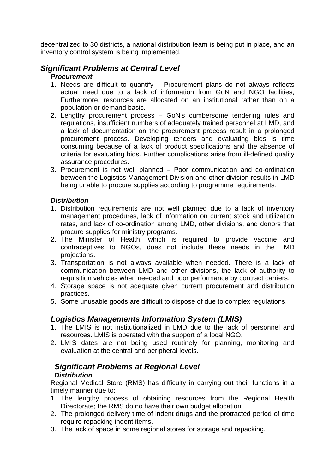decentralized to 30 districts, a national distribution team is being put in place, and an inventory control system is being implemented.

## *Significant Problems at Central Level*

#### *Procurement*

- 1. Needs are difficult to quantify Procurement plans do not always reflects Furthermore, resources are allocated on an institutional rather than on a actual need due to a lack of information from GoN and NGO facilities, population or demand basis.
- . Lengthy procurement process GoN's cumbersome tendering rules and 2 regulations, insufficient numbers of adequately trained personnel at LMD, and procurement process. Developing tenders and evaluating bids is time criteria for evaluating bids. Further complications arise from ill-defined quality assurance procedures. a lack of documentation on the procurement process result in a prolonged consuming because of a lack of product specifications and the absence of
- 3. Procurement is not well planned Poor communication and co-ordination between the Logistics Management Division and other division results in LMD being unable to procure supplies according to programme requirements.

### *Distribution*

- 1. Distribution requirements are not well planned due to a lack of inventory management procedures, lack of information on current stock and utilization rates, and lack of co-ordination among LMD, other divisions, and donors that procure supplies for ministry programs.
- contraceptives to NGOs, does not include these needs in the LMD 2. The Minister of Health, which is required to provide vaccine and projections.
- 3. Transportation is not always available when needed. There is a lack of communication between LMD and other divisions, the lack of authority to requisition vehicles when needed and poor performance by contract carriers.
- 4. Storage space is not adequate given current procurement and distribution practices.
- 5. Some unusable goods are difficult to dispose of due to complex regulations.

## **Logistics Managements Information System (LMIS)**

- resources. LMIS is operated with the support of a local NGO. 1. The LMIS is not institutionalized in LMD due to the lack of personnel and
- 2. LMIS dates are not being used routinely for planning, monitoring and evaluation at the central and peripheral levels.

### **Significant Problems at Regional Level** *Distribution*

Regional Medical Store (RMS) has difficulty in carrying out their functions in a timely manner due to:

- 1. The lengthy process of obtaining resources from the Regional Health Directorate; the RMS do no have their own budget allocation.
- require repacking indent items. 2. The prolonged delivery time of indent drugs and the protracted period of time
- 3. The lack of space in some regional stores for storage and repacking.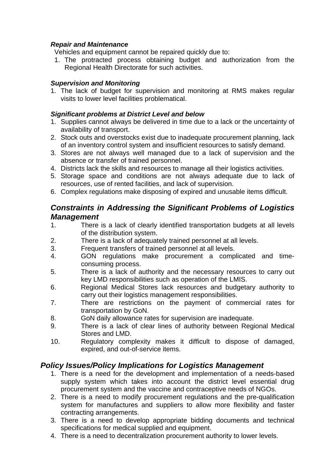#### *Repair and Maintenance*

Vehicles and equipment cannot be repaired quickly due to:

1. The protracted process obtaining budget and authorization from the Regional Health Directorate for such activities.

#### *Su pervision and Monitoring*

1. The lack of budget for supervision and monitoring at RMS makes regular visits to lower level facilities problematical.

#### **Significant problems at District Level and below**

- 1. Supplies cannot always be delivered in time due to a lack or the uncertainty of availability of transport.
- 2. Stock outs and overstocks exist due to inadequate procurement planning, lack of an inventory control system and insufficient resources to satisfy demand.
- 3. Stores are not always well managed due to a lack of supervision and the absence or transfer of trained personnel.
- 4. Districts lack the skills and resources to manage all their logistics activities.
- 5. Storage space and conditions are not always adequate due to lack of resources, use of rented facilities, and lack of supervision.
- 6. Complex regulations make disposing of expired and unusable items difficult.

## *Constraints in Addressing the Significant Problems of Logistics Management*

- 1. There is a lack of clearly identified transportation budgets at all levels of the distribution system.
- 2. There is a lack of adequately trained personnel at all levels.
- 3. Frequent transfers of trained personnel at all levels.
- 4. GON regulations make procurement a complicated and timeconsuming process.
- 5. There is a lack of authority and the necessary resources to carry out key LMD responsibilities such as operation of the LMIS.
- carry out their logistics management responsibilities. 6. Regional Medical Stores lack resources and budgetary authority to
- 7. There are restrictions on the payment of commercial rates for transportation by GoN.
- 8. GoN daily allowance rates for supervision are inadequate.
- 9. There is a lack of clear lines of authority between Regional Medical Stores and LMD.
- Regulatory complexity makes it difficult to dispose of damaged, expired, and out-of-service items.  $10<sub>l</sub>$

## *Policy Issues/Policy Implications for Logistics Management*

- 1. There is a need for the development and implementation of a needs-based supply system which takes into account the district level essential drug procurement system and the vaccine and contraceptive needs of NGOs.
- 2. There is a need to modify procurement regulations and the pre-qualification system for manufactures and suppliers to allow more flexibility and faster contracting arrangements.
- 3. There is a need to develop appropriate bidding documents and technical specifications for medical supplied and equipment.
- 4. There is a need to decentralization procurement authority to lower levels.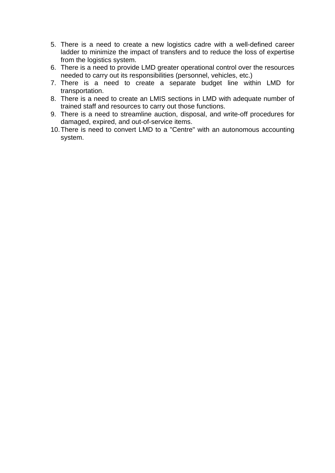- 5. There is a need to create a new logistics cadre wit h a well-defined career ladder to minimize the impact of transfers and to reduce the loss of expertise from the logistics system.
- 6. There is a need to provide LMD greater operational control over the resources needed to carry out its responsibilities (personnel, vehicles, etc.)
- 7. There is a need to create a separate budget line within LMD for transportation.
- 8. There is a need to create an LMIS sections in LMD with adequate number of trained staff and resources to carry out those functions.
- 9. There is a need to streamline auction, disposal, and write-off procedures for damaged, expired, and out-of-service items.
- 10. There is need to convert LMD to a "Centre" with an autonomous accounting system.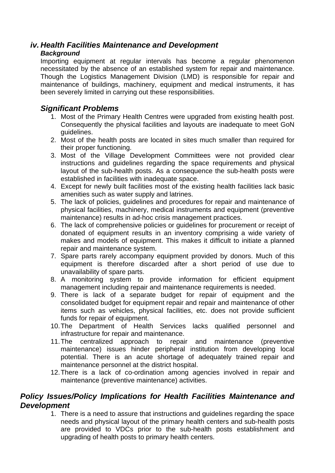## *iv. Health Facilities Maintenance and Development*

### *Background*

Importing equipment at regular intervals has become a regular phenomenon necessitated by the absence of an established system for repair and maintenance. maintenance of buildings, machinery, equipment and medical instruments, it has Though the Logistics Management Division (LMD) is responsible for repair and been severely limited in carrying out these responsibilities.

## *Significant Problems*

- 1. Most of the Primary Health Centres were upgraded from existing health post. Consequently the physical facilities and layouts are inadequate to meet GoN guidelines.
- 2. Most of the health posts are located in sites much smaller than required for their proper functioning.
- 3. Most of the Village Development Committees were not provided clear instructions and guidelines regarding the space requirements and physical layout of the sub-health posts. As a consequence the sub-health posts were established in facilities with inadequate space.
- 4. Except for newly built facilities most of the existing health facilities lack basic amenities such as water supply and latrines.
- 5. The lack of policies, guidelines and procedures for repair and maintenance of physical facilities, machinery, medical instruments and equipment (preventive maintenance) results in ad-hoc crisis management practices.
- 6. The lack of comprehensive policies or guidelines for procurement or receipt of donated of equipment results in an inventory comprising a wide variety of makes and models of equipment. This makes it difficult to initiate a planned repair and maintenance system.
- 7. Spare parts rarely accompany equipment provided by donors. Much of this equipment is therefore discarded after a short period of use due to unavailability of spare parts.
- 8. A monitoring system to provide information for efficient equipment management including repair and maintenance requirements is needed.
- 9. There is lack of a separate budget for repair of equipment and the consolidated budget for equipment repair and repair and maintenance of other funds for repair of equipment. items such as vehicles, physical facilities, etc. does not provide sufficient
- 10. The Department of Health Services lacks qualified personnel and infrastructure for repair and maintenance.
- maintenance) issues hinder peripheral institution from developing local potential. There is an acute shortage of adequately trained repair and maintenance personnel at the district hospital. 11. The centralized approach to repair and maintenance (preventive
- 12. There is a lack of co-ordination among agencies involved in repair and maintenance (preventive maintenance) activities.

## **Policy Issues/Policy Implications for Health Facilities Maintenance and** *De velopment*

1. There is a need to assure that instructions and guidelines regarding the space needs and physical layout of the primary health centers and sub-health posts are provided to VDCs prior to the sub-health posts establishment and upgrading of health posts to primary health centers.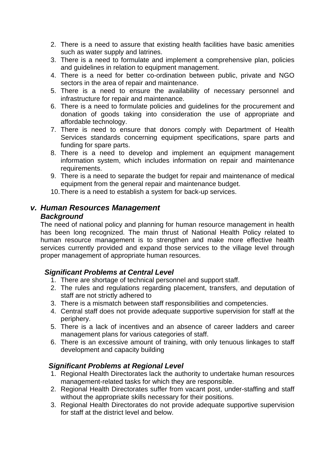- 2. There is a need to assure that existing health facilities have basic amenities such as water supply and latrines.
- 3. There is a need to formulate and implement a comprehensive plan, policies and guidelines in relation to equipment management.
- sectors in the area of repair and maintenance. 4. There is a need for better co-ordination between public, private and NGO
- 5. There is a need to ensure the availability of necessary personnel and infrastructure for repair and maintenance.
- donation of goods taking into consideration the use of appropriate and 6. There is a need to formulate policies and guidelines for the procurement and affordable technology.
- 7. There is need to ensure that donors comply with Department of Health Services standards concerning equipment specifications, spare parts and funding for spare parts.
- 8. There is a need to develop and implement an equipment management information system, which includes information on repair and maintenance requirements.
- 9. There is a need to separate the budget for repair and maintenance of medical equipment from the general repair and maintenance budget.
- 10. There is a need to establish a system for back-up services.

## *v. Human Resources Management*

## *Background*

The need of national policy and planning for human resource management in health services currently provided and expand those services to the village level through has been long recognized. The main thrust of National Health Policy related to human resource management is to strengthen and make more effective health proper management of appropriate human resources.

## *Significant Problems at Central Level*

- 1. There are shortage of technical personnel and support staff.
- 2. The rules and regulations regarding placement, transfers, and deputation of staff are not strictly adhered to
- 3. There is a mismatch between staff responsibilities and competencies.
- 4. Central staff does not provide adequate supportive supervision for staff at the periphery.
- management plans for various categories of staff. 5. There is a lack of incentives and an absence of career ladders and career
- 6. There is an excessive amount of training, with only tenuous linkages to staff development and capacity building

## *Significant Problems at Regional Level*

- 1. Regional Health Directorates lack the authority to undertake human resources management-related tasks for which they are responsible.
- without the appropriate skills necessary for their positions. 2. Regional Health Directorates suffer from vacant post, under-staffing and staff
- 3. Regional Health Directorates do not provide adequate supportive supervision for staff at the district level and below.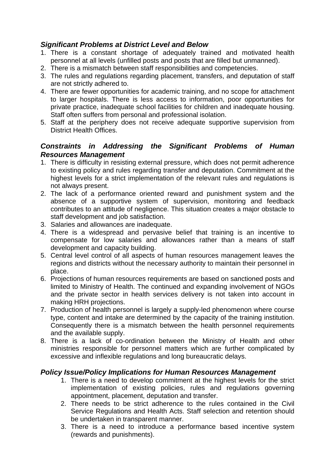## *Significant Problems at District Level and Below*

- 1. There is a constant shortage of adequately trained and motivated health personnel at all levels (unfilled posts and p osts that are filled but unmanned).
- 2. There is a mismatch between staff responsibilities and competencies.
- 3. The rules and regulations regarding placement, transfers, and deputation of staff are not strictly adhered to.
- private practice, inadequate school facilities for children and inadequate housing. 4. There are fewer opportunities for academic training, and no scope for attachment to larger hospitals. There is less access to information, poor opportunities for Staff often suffers from personal and professional isolation.
- 5. Staff at the periphery does not receive adequate supportive supervision from . District Health Offices

## **Constraints in Addressing the Significant Problems of Human** *Re sources Management*

- 1. There is difficulty in resisting external pressure, which does not permit adherence to existing policy and rules regarding transfer and deputation. Commitment at the highest levels for a strict implementation of the relevant rules and regulations is not always present.
- 2. The lack of a performance oriented reward and punishment system and the absence of a supportive system of supervision, monitoring and feedback contributes to an attitude of negligence. This situation creates a major obstacle to staff development and job satisfaction.
- 3. Salaries and allowances are inadequate.
- 4. There is a widespread and pervasive belief that training is an incentive to compensate for low salaries and allowances rather than a means of staff development and capacity building.
- 5. Central level control of all aspects of human resources management leaves the regions and districts without the necessary authority to maintain their personnel in place.
- 6. Projections of human resources requirements are based on sanctioned posts and limited to Ministry of Health. The continued and expanding involvement of NGOs and the private sector in health services delivery is not taken into account in making HRH projections.
- 7. Production of health personnel is largely a supply-led phenomenon where course type, content and intake are determined by the capacity of the training institution. Consequently there is a mismatch between the health personnel requirements and the available supply.
- 8. There is a lack of co-ordination between the Ministry of Health and other ministries responsible for personnel matters which are further complicated by excessive and inflexible regulations and long bureaucratic delays.

### *Policy Issue/Policy Implications for Human Resources Management*

- 1. There is a need to develop commitment at the highest levels for the strict implementation of existing policies, rules and regulations governing appointment, placement, deputation and transfer.
- be undertaken in transparent manner. 2. There needs to be strict adherence to the rules contained in the Civil Service Regulations and Health Acts. Staff selection and retention should
- 3. There is a need to introduce a performance based incentive system (rewards and punishments).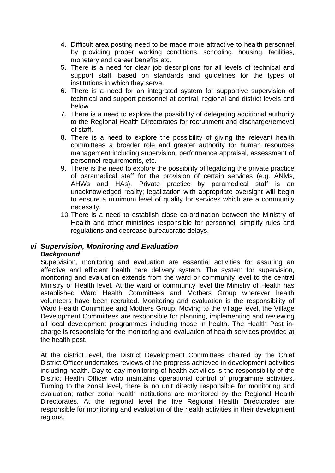- 4. Difficult area posting need to be made more attractive to health personnel by providing proper working conditions, schooling, housing, facilities, monetary and career benefits etc.
- 5. There is a need for clear job descriptions for all levels of technical and support staff, based on standards and guidelines for the types of institutions in which they serve.
- 6. There is a need for an integrated system for supportive supervision of technical and support personnel at central, regional and district levels and below.
- 7. There is a need to explore the possibility of delegating additional authority to the Regional Health Directorates for recruitment and discharge/removal of staff.
- 8. There is a need to explore the possibility of giving the relevant health committees a broader role and greater authority for human resources management including supervision, performance appraisal, assessment of personnel requirements, etc.
- 9. There is the need to explore the possibility of legalizing the private practice AHWs and HAs). Private practice by paramedical staff is an of paramedical staff for the provision of certain services (e.g. ANMs, unacknowledged reality; legalization with appropriate oversight will begin to ensure a minimum level of quality for services which are a community necessity.
- Health and other ministries responsible for personnel, simplify rules and 10. There is a need to establish close co-ordination between the Ministry of regulations and decrease bureaucratic delays.

#### *vi Supervision, Monitoring and Evaluation Background*

Supervision, monitoring and evaluation are essential activities for assuring an Ministry of Health level. At the ward or community level the Ministry of Health has volunteers have been recruited. Monitoring and evaluation is the responsibility of all local development programmes including those in health. The Health Post ineffective and efficient health care delivery system. The system for supervision, monitoring and evaluation extends from the ward or community level to the central established Ward Health Committees and Mothers Group wherever health Ward Health Committee and Mothers Group. Moving to the village level, the Village Development Committees are responsible for planning, implementing and reviewing charge is responsible for the monitoring and evaluation of health services provided at the health post.

District Officer undertakes reviews of the progress achieved in development activities including health. Day-to-day monitoring of health activities is the responsibility of the Dis trict Health Officer who maintains operational control of programme activities. Turning to the zonal level, there is no unit directly responsible for monitoring and Directorates. At the regional level the five Regional Health Directorates are regions. At the district level, the District Development Committees chaired by the Chief evaluation; rather zonal health institutions are monitored by the Regional Health responsible for monitoring and evaluation of the health activities in their development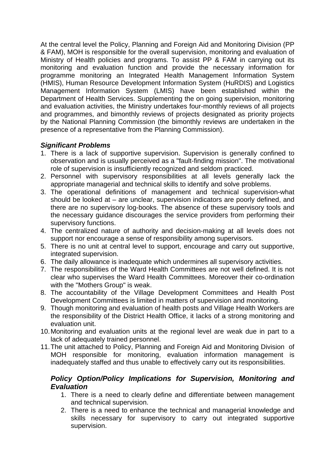At the central level the Policy, Planning and Foreign Aid and Monitoring Division (PP & FAM), MOH is responsible for the overall supervision, monitoring and evaluation of Ministry of Health policies and programs. To assist PP & FAM in carrying out its pro gramme monitoring an Integrated Health Management Information System (H MIS), Human Resource Development Information System (HuRDIS) and Logistics Ma nagement Information System (LMIS) have been established within the Department of Health Services. Supplementing the on going supervision, monitoring an d programmes, and bimonthly reviews of projects designated as priority projects by the National Planning Commission (the bimonthly reviews are undertaken in the presence of a representative from the Planning Commission). monitoring and evaluation function and provide the necessary information for and evaluation activities, the Ministry undertakes four-monthly reviews of all projects

## *Si gnificant Problems*

- 1. There is a lack of supportive supervision. Supervision is generally confined to observation and is usually perceived as a "fault-finding mission". The motivational role of supervision is insufficiently recognized and seldom practiced.
- 2. Personnel with supervisory responsibilities at all levels generally lack the appropriate managerial and technical skills to identify and solve problems.
- 3. The operational definitions of management and technical supervision-what should be looked at – are unclear, supervision indicators are poorly defined, and the necessary guidance discourages the service providers from performing their there are no supervisory log-books. The absence of these supervisory tools and supervisory functions.
- 4. The centralized nature of authority and decision-making at all levels does not support nor encourage a sense of responsibility among supervisors.
- 5. There is no unit at central level to support, encourage and carry out supportive, integrated supervision.
- 6. The daily allowance is inadequate which undermines all supervisory activities.
- . The responsibilities of the Ward Health Committees are not well defined. It is not 7 clear who supervises the Ward Health Committees. Moreover their co-ordination with the "Mothers Group" is weak.
- 8. The accountability of the Village Development Committees and Health Post Development Committees is limited in matters of supervision and monitoring.
- 9. Though monitoring and evaluation of health posts and Village Health Workers are the responsibility of the District Health Office, it lacks of a strong monitoring and evaluation unit.
- 10. Monitoring and evaluation units at the regional level are weak due in part to a lack of adequately trained personnel.
- MOH responsible for monitoring, evaluation information management is 11. The unit attached to Policy, Planning and Foreign Aid and Monitoring Division of inadequately staffed and thus unable to effectively carry out its responsibilities.

## *Policy Option/Policy Implications for Supervision, Monitoring and Evaluation*

- 1. There is a need to clearly define and differentiate between management and technical supervision.
- 2. There is a need to enhance the technical and managerial knowledge and skills necessary for supervisory to carry out integrated supportive supervision.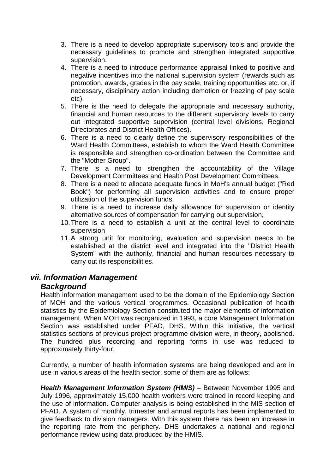- 3. There is a need to develop appropriate supervisory tools and provide the necessary guidelines to promote and strengthen integrated supportive supervision.
- 4. There is a need to introduce performance appraisal linked to positive and negative incentives into the national supervision system (rewards such as promotion, awards, grades in the pay scale, training opportunities etc. or, if necessary, disciplinary action including demotion or freezing of pay scale etc).
- Directorates and District Health Offices). 5. There is the need to delegate the appropriate and necessary authority, financial and human resources to the different supervisory levels to carry out integrated supportive supervision (central level divisions, Regional
- 6. There is a need to clearly define the supervisory responsibilities of the Ward Health Committees, establish to whom the Ward Health Committee is responsible and strengthen co-ordination between the Committee and the "Mother Group".
- 7. There is a need to strengthen the accountability of the Village Development Committees and Health Post Development Committees.
- 8. There is a need to allocate adequate funds in MoH's annual budget ("Red Book") for performing all supervision activities and to ensure proper utilization of the supervision funds.
- 9. There is a need to increase daily allowance for supervision or identity alternative sources of compensation for carrying out supervision,
- 10. There is a need to establish a unit at the central level to coordinate supervision
- System" with the authority, financial and human resources necessary to carry out its responsibilities. 11. A strong unit for monitoring, evaluation and supervision needs to be established at the district level and integrated into the "District Health

## *vii . Information Management*

## *Background*

Section was established under PFAD, DHS. Within this initiative, the vertical statistics sections of previous project programme division were, in theory, abolished. The hundred plus recording and reporting forms in use was reduced to Health information management used to be the domain of the Epidemiology Section of MOH and the various vertical programmes. Occasional publication of health statistics by the Epidemiology Section constituted the major elements of information management. When MOH was reorganized in 1993, a core Management Information approximately thirty-four.

Currently, a number of health information systems are being developed and are in use in various areas of the health sector, some of them are as follows:

July 1996, approximately 15,000 health workers were trained in record keeping and the reporting rate from the periphery. DHS undertakes a national and regional performance review using data produced by the HMIS. *Health Management Information System (HMIS)* **–** Between November 1995 and the use of information. Computer analysis is being established in the MIS section of PFAD. A system of monthly, trimester and annual reports has been implemented to give feedback to division managers. With this system there has been an increase in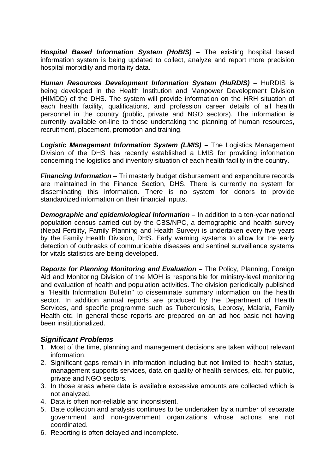*Hospital Based Information System (HoBIS)* **–** The existing hospital based hospital morbidity and mortality data. information system is being updated to collect, analyze and report more precision

**Human Resources Development Information System (HuRDIS)** – HuRDIS is being developed in the Health Institution and Manpower Development Division (HIMDD) of the DHS. The system will provide information on the HRH situation of recruitment, placement, promotion and training. each health facility, qualifications, and profession career details of all health personnel in the country (public, private and NGO sectors). The information is currently available on-line to those undertaking the planning of human resources,

Logistic Management Information System (LMIS) - The Logistics Management concerning the logistics and inventory situation of each health facility in the country. Division of the DHS has recently established a LMIS for providing information

**Financing Information** – Tri masterly budget disbursement and expenditure records disseminating this information. There is no system for donors to provide are maintained in the Finance Section, DHS. There is currently no system for standardized information on their financial inputs.

by the Family Health Division, DHS. Early warning systems to allow for the early detection of outbreaks of commu nicable diseases and sentinel surveillance systems *Demographic and epidemiological Information –* **In addition to a ten-year national** population census carried out by the CBS/NPC, a demographic and health survey (Nepal Fertility, Family Planning and Health Survey) is undertaken every five years for vitals statistics are being developed.

**Reports for Planning Monitoring and Evaluation -** The Policy, Planning, Foreign Aid and Monitoring Division of the MOH is responsible for ministry-level monitoring and evaluation of health and population activities. The division periodically published a "Health Information Bulletin" to disseminate summary information on the health sector. In addition annual reports are produced by the Department of Health Services, and specific programme such as Tuberculosis, Leprosy, Malaria, Family Health etc. In general these reports are prepared on an ad hoc basic not having been institutionalized.

### *Significant Problems*

- 1. Most of the time, planning and management decisions are taken without relevant information.
- 2. Significant gaps remain in information including but not limited to: health status, management supports services, data on quality of health services, etc. for public, private and NGO sectors.
- 3. In those areas where data is available excessive amounts are collected which is not analyzed.
- 4. Data is often non-reliable and inconsistent.
- 5. Date collection and analysis continues to be undertaken by a number of separate government and non-government organizations whose actions are not coordinated.
- 6. Reporting is often delayed and incomplete.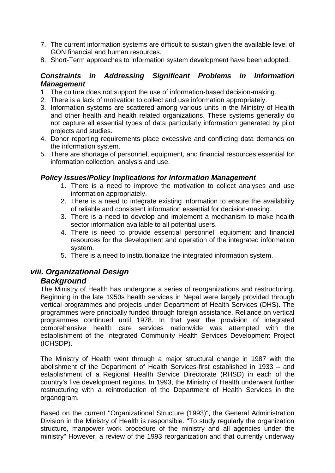- 7. The current information systems are difficult to sustain given the available level of GON financial and human resources.
- 8. Short-Term approaches to information system development have been adopted.

## *Constraints in Addressing Significant Problems in Information Management*

- 1. The culture does not support the use of information-based decision-making.
- 2. There is a lack of motivation to collect and use information appropriately.
- and other health and health related organizations. These systems generally do 3. Information systems are scattered among various units in the Ministry of Health not capture all essential types of data particularly information generated by pilot projects and studies.
- 4. Donor reporting requirements place excessive and conflicting data demands on the information system.
- 5. There are shortage of personnel, equipment, and financial resources essential for information collection, analysis and use.

### **Policy Issues/Policy Implications for Information Management**

- 1. There is a need to improve the motivation to collect analyses and use information appropriately.
- 2. There is a need to integrate existing information to ensure the availability of reliable and consistent information essential for decision-making.
- 3. There is a need to develop and implement a mechanism to make health sector information available to all potential users.
- 4. There is need to provide essential personnel, equipment and financial resources for the development and operation of the integrated information system.
- 5. There is a need to institutionalize the integrated information system.

## *viii. Organizational Design*

### *Background*

establishment of the Integrated Community Health Services Development Project The Ministry of Health has undergone a series of reorganizations and restructuring. Beginning in the late 1950s health services in Nepal were largely provided through vertical programmes and projects under Department of Health Services (DHS). The programmes were principally funded through foreign assistance. Reliance on vertical programmes continued until 1978. In that year the provision of integrated comprehensive health care services nationwide was attempted with the (ICHSDP).

The Ministry of Health went through a major structural change in 1987 with the abolishment of the Department of Health Services-first established in 1933 – and establishment of a Regional Health Service Directorate (RHSD) in each of the country's five development regions. In 1993, the Ministry of Health underwent further restructuring with a reintroduction of the Department of Health Services in the organogram.

structure, manpower work procedure of the ministry and all agencies under the ministry" However, a review of the 1993 reorganization and that currently underway Based on the current "Organizational Structure (1993)", the General Administration Division in the Ministry of Health is responsible. "To study regularly the organization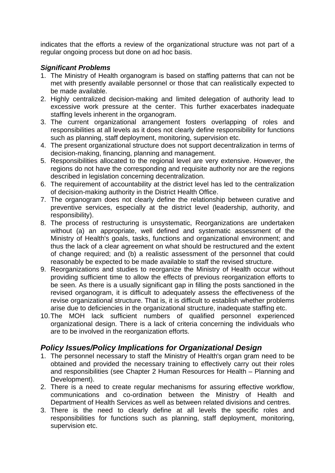indicates that the efforts a review of the organizational structure was not part of a regular ongoing process but done on ad hoc basis.

## *Significant Problems*

- 1. The Ministry of Health organogram is based on staffing patterns that can not be met with presently available personnel or those that can realistically expected to be made available.
- 2. Highly centralized decision-making and limited delegation of authority lead to excessive work pressure at the center. This further exacerbates inadequate staffing levels inherent in the organogram.
- responsibilities at all levels as it does not clearly define responsibility for functions 3. The current organizational arrangement fosters overlapping of roles and such as planning, staff deployment, monitoring, supervision etc.
- 4. The present organizational structure does not support decentralization in terms of decision-making, financing, planning and management.
- 5. Responsibilities allocated to the regional level are very extensive. However, the regions do not have the corresponding and requisite authority nor are the regions described in legislation concerning decentralization.
- 6. The requirement of accountability at the district level has led to the centralization of decision-making authority in the District Health Office.
- 7. The organogram does not clearly define the relationship between curative and preventive services, especially at the district level (leadership, authority, and responsibility).
- . The process of restructuring is unsystematic, Reorganizations are undertaken 8 without (a) an appropriate, well defined and systematic assessment of the Ministry of Health's goals, tasks, functions and organizational environment; and thus the lack of a clear agreement on what should be restructured and the extent of change required; and (b) a realistic assessment of the personnel that could reasonably be expected to be made available to staff the revised structure.
- 9. Reorganizations and studies to reorganize the Ministry of Health occur without providing sufficient time to allow the effects of previous reorganization efforts to be seen. As there is a usually significant gap in filling the posts sanctioned in the revised organogram, it is difficult to adequately assess the effectiveness of the revise organizational structure. That is, it is difficult to establish whether problems arise due to deficiencies in the organizational structure, inadequate staffing etc.
- organizational design. There is a lack of criteria concerning the individuals who are to be involved in the reorganization efforts. 10. The MOH lack sufficient numbers of qualified personnel experienced

## **Policy Issues/Policy Implications for Organizational Design**

- 1. The personnel necessary to staff the Ministry of Health's organ gram need to be and responsibilities (see Chapter 2 Human Resources for Health – Planning and obtained and provided the necessary training to effectively carry out their roles Development).
- 2. There is a need to create regular mechanisms for assuring effective workflow, Department of Health Services as well as between related divisions and centres. communications and co-ordination between the Ministry of Health and
- responsibilities for functions such as planning, staff deployment, monitoring, 3. There is the need to clearly define at all levels the specific roles and supervision etc.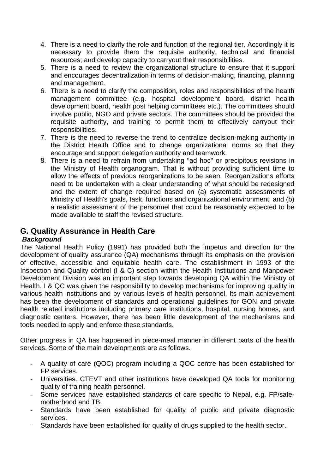- 4. There is a need to clarify the role and function of the regional tier. Accordingly it is necessary to provide them the requisite authority, technical and financial resources; and develop capacity to carryout their responsibilities.
- 5. There is a need to review the organizational structure to ensure that it support and encourages decentralization in terms of decision-making, financing, planning and management.
- 6. There is a need to clarify the composition, roles and responsibilities of the health management committee (e.g. hospital development board, district health development board, health post helping committees etc.). The committees should involve public, NGO and private sectors. The committees should be provided the requisite authority, and training to permit them to effectively carryout their responsibilities.
- 7. There is the need to reverse the trend to centralize decision-making authority in the District Health Office and to change organizational norms so that they encourage and support delegation authority and teamwork.
- need to be undertaken with a clear understanding of what should be redesigned 8. There is a need to refrain from undertaking "ad hoc" or precipitous revisions in the Ministry of Health organogram. That is without providing sufficient time to allow the effects of previous reorganizations to be seen. Reorganizations efforts and the extent of change required based on (a) systematic assessments of Ministry of Health's goals, task, functions and organizational environment; and (b) a realistic assessment of the personnel that could be reasonably expected to be made available to staff the revised structure.

## **G. Quality Assurance in Health Care**

## *Background*

development of quality assurance (QA) mechanisms through its emphasis on the provision Inspection and Quality control (I & C) section within the Health Institutions and Manpower Development Division was an important step towards developing QA within the Ministry of Health. I & QC was given the responsibility to develop mechanisms for improving quality in has been the development of standards and operational guidelines for GON and private dia gnostic centers. However, there has been little development of the mechanisms and tools needed to apply and enforce these standards. The National Health Policy (1991) has provided both the impetus and direction for the of effective, accessible and equitable health care. The establishment in 1993 of the various health institutions and by various levels of health personnel. Its main achievement health related institutions including primary care institutions, hospital, nursing homes, and

Other progress in QA has happened in piece-meal manner in different parts of the health services. Some of the main developments are as follows.

- A quality of care (QOC) program including a QOC centre has been established for FP services.
- Universities. CTEVT and other institutions have developed QA tools for monitoring quality of training health personnel.
- Some services have established standards of care specific to Nepal, e.g. FP/safemotherhood and TB.
- Standards have been established for quality of public and private diagnostic services.
- Standards have been established for quality of drugs supplied to the health sector.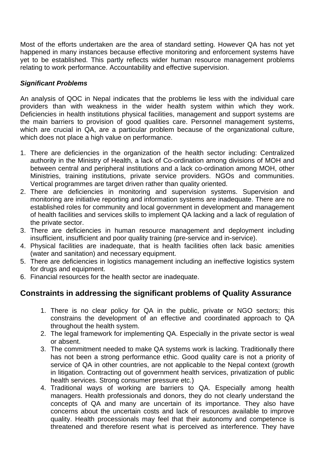Mo st of the efforts undertaken are the area of standard setting. However QA has not yet happened in many instances because effective monitoring and enforcement systems have rel ating to work performance. Accountability and effective supervision. yet to be established. This partly reflects wider human resource management problems

#### *Significant Problems*

An analys is of QOC in Nepal indicates that the problems lie less with the individual care pro viders than with weakness in the wider health system within which they work. Deficiencies in health institutions physical facilities, management and support systems are which are crucial in QA, are a particular problem because of the organizational culture, the main barriers to provision of good qualities care. Personnel management systems, which does not place a high value on performance.

- 1. There are deficiencies in the organization of the health sector including: Centralized authority in the Ministry of Health, a lack of Co-ordination among divisions of MOH and between central and peripheral institutions and a lack co-ordination among MOH, other Ministries, training institutions, private service providers. NGOs and communities. Vertical programmes are target driven rather than quality oriented.
- of health facilities and services skills to implement QA lacking and a lack of regulation of 2. There are deficiencies in monitoring and supervision systems. Supervision and monitoring are initiative reporting and information systems are inadequate. There are no established roles for community and local government in development and management the private sector.
- 3. There are deficiencies in human resource management and deployment including insufficient, insufficient and poor quality training (pre-service and in-service).
- 4. Physical facilities are inadequate, that is health facilities often lack basic amenities (water and sanitation) and necessary equipment.
- 5. There are deficiencies in logistics management including an ineffective logistics system for drugs and equipment.
- 6. Financial resources for the health sector are inadequate.

## **Constraints in addressing the significant problems of Quality Assurance**

- 1. There is no clear policy for QA in the public, private or NGO sectors; this constrains the development of an effective and coordinated approach to QA throughout the health system.
- 2. The legal framework for implementing QA. Especially in the private sector is weal or absent.
- 3. The commitment needed to make QA systems work is lacking. Traditionally there has not been a strong performance ethic. Good quality care is not a priority of service of QA in other countries, are not applicable to the Nepal context (growth in litigation. Contracting out of government health services, privatization of public health services. Strong consumer pressure etc.)
- 4. Traditional ways of working are barriers to QA. Especially among health managers. Health professionals and donors, they do not clearly understand the concepts of QA and many are uncertain of its importance. They also have concerns about the uncertain costs and lack of resources available to improve quality. Health processionals may feel that their autonomy and competence is threatened and therefore resent what is perceived as interference. They have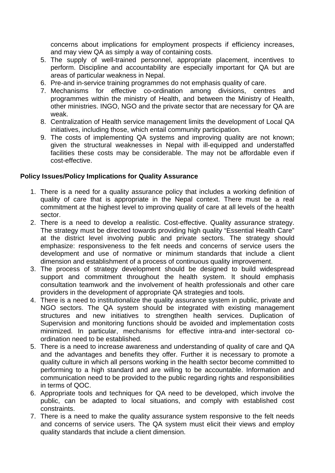concerns about implications for employment prospects if efficiency increases, and may view QA as simply a way of containing costs.

- 5. The supply of well-trained personnel, appropriate placement, incentives to perform. Discipline and accountability are especially important for QA but are areas of particular weakness in Nepal.
- 6. Pre-and in-service training programmes do not emphasis quality of care.
- 7. Mechanisms for effective co-ordination among divisions, centres and programmes within the ministry of Health, and between the Ministry of Health, other ministries. INGO, NGO and the private sector that are necessary for QA are weak.
- 8. Centralization of Health service management limits the development of Local QA initiatives, including those, which entail community participation.
- 9. The costs of implementing QA systems and improving quality are not known; given the structural weaknesses in Nepal with ill-equipped and understaffed facilities these costs may be considerable. The may not be affordable even if cost-effective.

#### **Policy Issues/Policy Implications for Quality Assurance**

- 1. There is a need for a quality assurance policy that includes a working definition of quality of care that is appropriate in the Nepal context. There must be a real commitment at the highest level to improving quality of care at all levels of the health sector.
- 2. There is a need to develop a realistic. Cost-effective. Quality assurance strategy. The strategy must be directed towards providing high quality "Essential Health Care" at the district level involving public and private sectors. The strategy should emphasize: responsiveness to the felt needs and concerns of service users the development and use of normative or minimum standards that include a client dimension and establishment of a process of continuous quality improvement.
- 3. The process of strategy development should be designed to build widespread support and commitment throughout the health system. It should emphasis consultation teamwork and the involvement of health professionals and other care providers in the development of appropriate QA strategies and tools.
- 4. There is a need to institutionalize the quality assurance system in public, private and NGO sectors. The QA system should be integrated with existing management structures and new initiatives to strengthen health services. Duplication of Supervision and monitoring functions should be avoided and implementation costs minimized. In particular, mechanisms for effective intra-and inter-sectoral coordination need to be established.
- 5. There is a need to increase awareness and understanding of quality of care and QA and the advantages and benefits they offer. Further it is necessary to promote a quality culture in which all persons working in the health sector become committed to performing to a high standard and are willing to be accountable. Information and communication need to be provided to the public regarding rights and responsibilities in terms of QOC.
- 6. Appropriate tools and techniques for QA need to be developed, which involve the public, can be adapted to local situations, and comply with established cost constraints.
- 7. There is a need to make the quality assurance system responsive to the felt needs and concerns of service users. The QA system must elicit their views and employ quality standards that include a client dimension.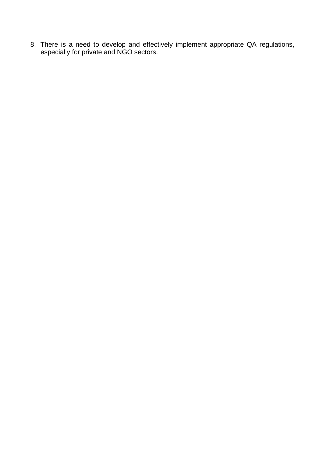8. There is a need to develop and effecti especially for private and NGO sectors. vely implement appropriate QA regulations,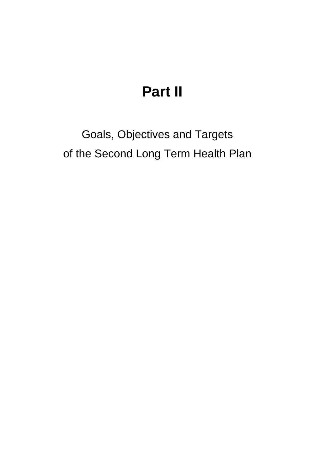# **Part II**

Goals, Objectives and Targets of the Second Long Term Health Plan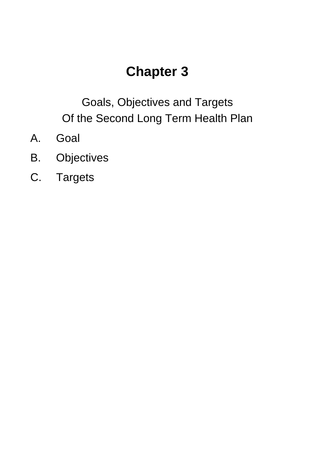# **Chapter 3**

Goals, Objectives and Targets Of the Second Long Term Health Plan

- A . Goal
- B . Objectives
- C. Targets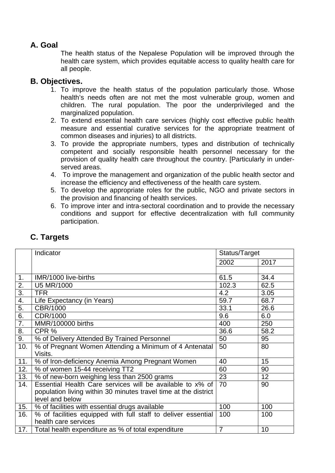## **A. Goal**

The health status of the Nepalese Population will be improved through the health care system, which provides equitable access to quality health care for all people.

## **B. Objectives.**

- children. The rural population. The poor the underprivileged and the 1. To improve the health status of the population particularly those. Whose health's needs often are not met the most vulnerable group, women and marginalized population.
- 2. To extend essential health care services (highly cost effective public health measure and essential curative services for the appropriate treatment of common diseases and injuries) to all districts.
- 3. To provide the appropriate numbers, types and distribution of technically competent and socially responsible health personnel necessary for the provision of quality health care throughout the country. [Particularly in underserved areas.
- 4. To improve the management and organization of the public health sector and increase the efficiency and effectiveness of the health care system.
- 5. To develop the appropriate roles for the public, NGO and private sectors in the provision and financing of health services.
- 6. To improve inter and intra-sectoral coordination and to provide the necessary conditions and support for effective decentralization with full community participation.

|                  | Indicator                                                       | Status/Target  |      |
|------------------|-----------------------------------------------------------------|----------------|------|
|                  |                                                                 | 2002           | 2017 |
|                  |                                                                 |                |      |
| $\mathbf{1}$ .   | IMR/1000 live-births                                            | 61.5           | 34.4 |
| 2.               | U5 MR/1000                                                      | 102.3          | 62.5 |
| $\overline{3}$ . | <b>TFR</b>                                                      | 4.2            | 3.05 |
| 4.               | Life Expectancy (in Years)                                      | 59.7           | 68.7 |
| $\overline{5}$ . | CBR/1000                                                        | 33.1           | 26.6 |
| 6.               | CDR/1000                                                        | 9.6            | 6.0  |
| $\overline{7}$ . | MMR/100000 births                                               | 400            | 250  |
| $\overline{8}$ . | CPR %                                                           | 36.6           | 58.2 |
| 9.               | % of Delivery Attended By Trained Personnel                     | 50             | 95   |
| 10.              | % of Pregnant Women Attending a Minimum of 4 Antenatal          | 50             | 80   |
|                  | Visits.                                                         |                |      |
| 11.              | % of Iron-deficiency Anemia Among Pregnant Women                | 40             | 15   |
| 12.              | % of women 15-44 receiving TT2                                  | 60             | 90   |
| 13.              | % of new-born weighing less than 2500 grams                     | 23             | 12   |
| 14.              | Essential Health Care services will be available to x% of       | 70             | 90   |
|                  | population living within 30 minutes travel time at the district |                |      |
|                  | level and below                                                 |                |      |
| 15.              | % of facilities with essential drugs available                  | 100            | 100  |
| 16.              | % of facilities equipped with full staff to deliver essential   | 100            | 100  |
|                  | health care services                                            |                |      |
| 17.              | Total health expenditure as % of total expenditure              | $\overline{7}$ | 10   |

## **C. Targets**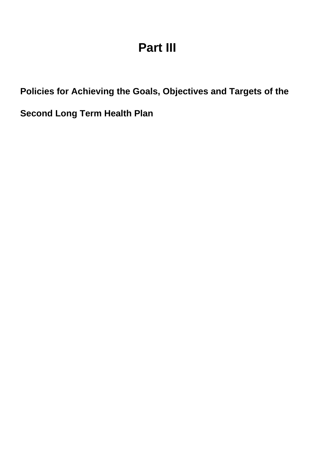# **Part III**

Policies for Achieving the Goals, Objectives and Targets of the

**Second Long Term Health Plan**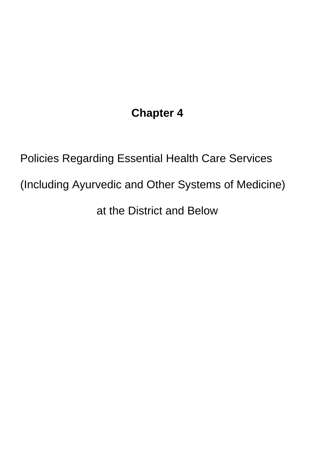# **Chapter 4**

Policies Regarding Essential Health Care Services (Including Ayurvedic and Other Systems of Medicine) at the District and Below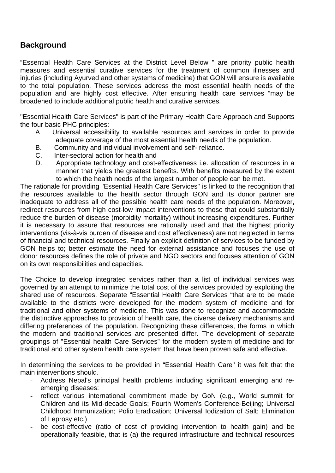## **Background**

"Essential Health Care Services at the District Level Below " are priority public health measures and essential curative services for the treatment of common illnesses and injuries (including Ayurved and other systems of medicine) that GON will ensure is available to the total population. These services address the most essential health needs of the population and are highly cost effective. After ensuring health care services "may be broadened to include additional public health and curative services.

"Es sential Health Care Services" is part of the Primary Health Care Approach and Supports the four basic PHC principles:

- A Universal accessibility to available resources and services in order to provide adequate coverage of the most essential health needs of the population.
- B. Community and individual involvement and self- reliance.
- C. Inter-sectoral action for health and
- D. Appropriate technology and cost-effectiveness i.e. allocation of resources in a manner that yields the greatest benefits. With benefits measured by the extent to which the health needs of the largest number of people can be met.

The rationale for providing "Essential Health Care Services" is linked to the recognition that the resources available to the health sector through GON and its donor partner are inadequate to address all of the possible health care needs of the population. Moreover, redirect resources from high cost-low impact interventions to those that could substantially reduce the burden of disease (morbidity mortality) without increasing expenditures. Further it is necessary to assure that resources are rationally used and that the highest priority interventions (vis-à-vis burden of disease and cost effectiveness) are not neglected in terms of financial and technical resources. Finally an explicit definition of services to be funded by GON helps to; better estimate the need for external assistance and focuses the use of donor resources defines the role of private and NGO sectors and focuses attention of GON on its own responsibilities and capacities.

The Choice to develop integrated services r ather than a list of individual services was governed by an attempt to minimize the total cost of the services provided by exploiting the shared use of resources. Separate "Essential Health Care Services "that are to be made available to the districts were developed for the modern system of medicine and for traditional and other systems of medicine. This was done to recognize and accommodate the distinctive approaches to provision of health care, the diverse delivery mechanisms and differing preferences of the population. Recognizing these differences, the forms in which the m odern and traditional services are pr esented differ. The development of separate groupings of "Essential health Care Service s" for the modern system of medicine and for traditional and other system health care syste m that have been proven safe and effective.

In determining the services to be provided in "Essential Health Care" it was felt that the main interventions should.

- Address Nepal's principal health problems including significant emerging and reemerging diseases:
- reflect various international commitment made by GoN (e.g., World summit for Children and its Mid-decade Goals; Fourth Women's Conference-Beijing; Universal Childhood Immunization; Polio Eradication; Universal Iodization of Salt; Elimination of Leprosy etc.)
- be cost-effective (ratio of cost of providing intervention to health gain) and be operationally feasible, that is (a) the required infrastructure and technical resources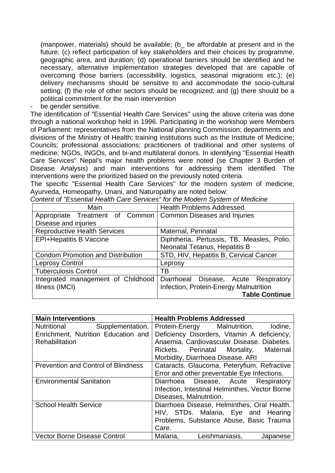$($ manpower, materials $)$  should be available;  $(b_$  be affordable at present and in the future; (c) reflect participation of key stakeholders and their choices by programme, geographic area, and duration; (d) operational barriers should be identified and he overcoming those barriers (accessibility, logistics, seasonal migrations etc.); (e) delivery mechanisms should be sensitive to and accommodate the socio-cultural setting; (f) the role of other sectors should be recognized; and (g) there should be a political commitment for the main intervention necessary, alternative implementation strategies developed that are capable of

 be gender sensitive.

The identification of "Essential Health Care Services" using the above criteria was done through a national workshop held in 1996 . Participating in the workshop were Members of Parliament: representatives from the N ational planning Commission; departments and divisions of the Ministry of Health; training institutions such as the Institute of Medicine; Councils; professional associations; practitioners of traditional and other systems of medicine; NGOs, INGOs, and bi-and multilateral donors. In identifying "Essential Health Care Services" Nepal's major health problems were noted (se Chapter 3 Burden of Disease Analysis) and main interventions for addressing them identified. The interventions were the prioritized based on the previously noted criteria.

The specific "Essential Health Care Services" for the modern system of medicine, Ayurveda, Homeopathy, Unani, and Naturopathy are noted below:

| Main                                                           | <b>Health Problems Addressed</b>           |  |  |  |
|----------------------------------------------------------------|--------------------------------------------|--|--|--|
| Appropriate Treatment of Common   Common Diseases and Injuries |                                            |  |  |  |
| Disease and injuries                                           |                                            |  |  |  |
| <b>Reproductive Health Services</b>                            | Maternal, Perinatal                        |  |  |  |
| <b>EPI+Hepatitis B Vaccine</b>                                 | Diphtheria, Pertussis, TB, Measles, Polio, |  |  |  |
|                                                                | Neonatal Tetanus, Hepatitis B              |  |  |  |
| <b>Condom Promotion and Distribution</b>                       | STD, HIV, Hepatitis B, Cervical Cancer     |  |  |  |
| <b>Leprosy Control</b>                                         | Leprosy                                    |  |  |  |
| <b>Tuberculosis Control</b>                                    | ΤВ                                         |  |  |  |
| Integrated management of Childhood                             | Diarrhoeal Disease, Acute Respiratory      |  |  |  |
| Illness (IMCI)                                                 | Infection, Protein-Energy Malnutrition     |  |  |  |
|                                                                | <b>Table Continue</b>                      |  |  |  |

*Content of "Essential Health Care Services" for the Modern System of Medicine* 

| <b>Main Interventions</b>                  | <b>Health Problems Addressed</b>               |  |
|--------------------------------------------|------------------------------------------------|--|
| Nutritional<br>Supplementation,            | Protein-Energy Malnutrition,<br>lodine,        |  |
| Enrichment, Nutrition Education and        | Deficiency Disorders, Vitamin A deficiency,    |  |
| <b>Rehabilitation</b>                      | Anaemia, Cardiovascular Disease. Diabetes.     |  |
|                                            | Rickets. Perinatal Mortality,<br>Maternal      |  |
|                                            | Morbidity, Diarrhoea Disease. ARI              |  |
| <b>Prevention and Control of Blindness</b> | Cataracts, Glaucoma, Peteryfium, Refractive    |  |
|                                            | Error and other preventable Eye Infections.    |  |
| <b>Environmental Sanitation</b>            | Diarrhoea Disease, Acute Respiratory           |  |
|                                            | Infection, Intestinal Helminthes, Vector Borne |  |
|                                            | Diseases, Malnutrition.                        |  |
| <b>School Health Service</b>               | Diarrhoea Disease, Helminthes, Oral Health.    |  |
|                                            | HIV, STDs. Malaria, Eye and Hearing            |  |
|                                            | Problems, Substance Abuse, Basic Trauma        |  |
|                                            | Care.                                          |  |
| <b>Vector Borne Disease Control</b>        | Malaria,<br>Leishmaniasis,<br>Japanese         |  |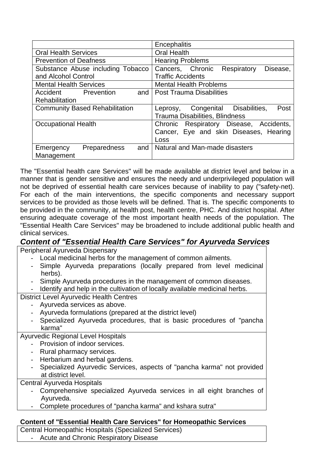|                                       |              |     | Encephalitis                                 |  |
|---------------------------------------|--------------|-----|----------------------------------------------|--|
| <b>Oral Health Services</b>           |              |     | <b>Oral Health</b>                           |  |
| <b>Prevention of Deafness</b>         |              |     | <b>Hearing Problems</b>                      |  |
| Substance Abuse including Tobacco     |              |     | Cancers, Chronic<br>Respiratory<br>Disease,  |  |
| and Alcohol Control                   |              |     | <b>Traffic Accidents</b>                     |  |
| <b>Mental Health Services</b>         |              |     | <b>Mental Health Problems</b>                |  |
| Accident                              | Prevention   | and | <b>Post Trauma Disabilities</b>              |  |
| <b>Rehabilitation</b>                 |              |     |                                              |  |
| <b>Community Based Rehabilitation</b> |              |     | Congenital Disabilities,<br>Post<br>Leprosy, |  |
|                                       |              |     | Trauma Disabilities, Blindness               |  |
| <b>Occupational Health</b>            |              |     | Respiratory Disease, Accidents,<br>Chronic   |  |
|                                       |              |     | Cancer, Eye and skin Diseases, Hearing       |  |
|                                       |              |     | Loss                                         |  |
| Emergency                             | Preparedness | and | Natural and Man-made disasters               |  |
| Management                            |              |     |                                              |  |

The "Essential health care Services" will be made available at district level and below in a manner that is gender sensitive and ensures the needy and underprivileged population will not be deprived of essential health care services because of inability to pay ("safety-net). For each of the main interventions, the specific components and necessary support services to be provided as those levels will be defined. That is. The specific components to be provided in the community, at health post, health centre, PHC. And district hospital. After ensuring adequate coverage of the most important health needs of the population. The "Essential Health Care Services" may be broadened to include additional public health and clinical services.

## **Content of "Essential Health Care Services" for Ayurveda Services**

Peripheral Ayurveda Dispensary

- Local medicinal herbs for the management of common ailments.
- Simple Ayurveda preparations (locally prepared from level medicinal herbs).
- Simple Ayurveda procedures in the management of common diseases.
- Identify and help in the cultivation of locally available medicinal herbs.

District Level Ayurvedic Health Centres

- Ayurveda services as above.
- Ayurveda formulations (prepared at the district level)
- Specialized Ayurveda procedures, that is basic procedures of "pancha karma"

### Ayurvedic Regional Level Hospitals

- Provision of indoor services.
- Rural pharmacy services.
- Herbarium and herbal gardens.
- Specialized Ayurvedic Services, aspects of "pancha karma" not provided at district level.

### Central Ayurveda Hospitals

- Comprehensive specialized Ayurveda services in all eight branches of Ayurveda.
- Complete procedures of "pancha karma" and kshara sutra"

## **Content of "Essential Health Care Services" for Homeopathic Services**

Central Homeopathic Hospitals (Specialized Services) Acute and Chronic Respiratory Disease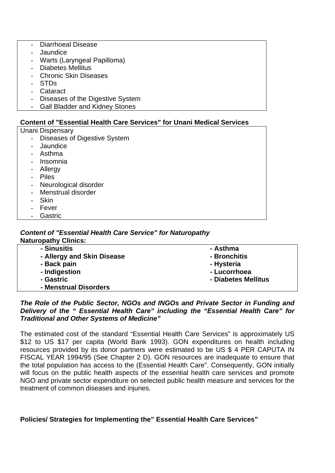- Diarrhoeal Disease
- **Jaundice**
- Warts (Laryngeal Papilloma)
- Diabetes Mellitus
- Chronic Skin Diseases
- STDs
- Cataract
- Diseases of the Digestive System
- Gall Bladder and Kidney Stones

#### **Content of "Essential Health Care Services" for Unani Medical Services**

Unani Dispensary

- Diseases of Digestive System
- Jaundice
- Asthma
- Insomnia
- Allergy
- Piles
- Neurological disorder
- Menstrual disorder
- Skin
- **Fever**
- **Gastric**

## *Content of "Essential Health Care Service" for Naturopathy*

| <b>Naturopathy Clinics:</b> |                     |
|-----------------------------|---------------------|
| - Sinusitis                 | - Asthma            |
| - Allergy and Skin Disease  | - Bronchitis        |
| - Back pain                 | - Hysteria          |
| - Indigestion               | - Lucorrhoea        |
| - Gastric                   | - Diabetes Mellitus |
| - Menstrual Disorders       |                     |

#### *The Role of the Public Sector, NGOs and INGOs and Private Sector in Funding and*  **Delivery of the " Essential Health Care" including the "Essential Health Care" for** *Traditional and Other Systems of Medicine"*

The estimated cost of the standard "Essential Health Care Services" is approximately US \$12 to US \$17 per capita (World Bank 1993). GON expenditures on health including resources provided by its donor partners were estimated to be US \$ 4 PER CAPUTA IN FISCAL YEAR 1994/95 (See Chapter 2 D). GON resources are inadequate to ensure that the total population has access to the (Essential Health Care". Consequently, GON initially will focus on the public health aspects of the essential health care services and promote NGO and private sector expenditure on selected public health measure and services for the treatment of common diseases and injuries.

### **Policies/ Strategies for Implementing the" Essential Health Care Services"**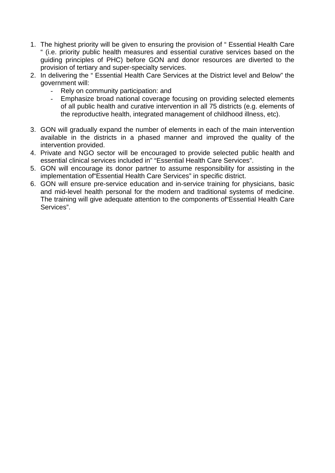- 1. The highest priority will be given to ensuring the provision of " Essential Health Care " (i.e. priority public health measures and essential curative services based on the guiding principles of PHC) before GON and donor resources are diverted to the provision of tertiary and super-specialty services.
- 2. In delivering the " Essential Health Care Services at the District level and Below" the government will:
	- Rely on community participation: and
	- Emphasize broad national coverage focusing on providing selected elements of all public health and curative intervention in all 75 districts (e.g. elements of the reproductive health, integrated management of childhood illness, etc).
- 3. GON will gradually expand the number of elements in each of the main intervention available in the districts in a phased manner and improved the quality of the intervention provided.
- 4. Private and NGO sector will be encouraged to provide selected public health and essential clinical services included in" "Essential Health Care Services".
- 5. GON will encourage its donor partner to assume responsibility for assisting in the implementation of"Essential Health Care Services" in specific district.
- 6. GON will ensure pre-service education and in-service training for physicians, basic and mid-level health personal for the modern and traditional systems of medicine. The training will give adequate attention to the components of"Essential Health Care Services".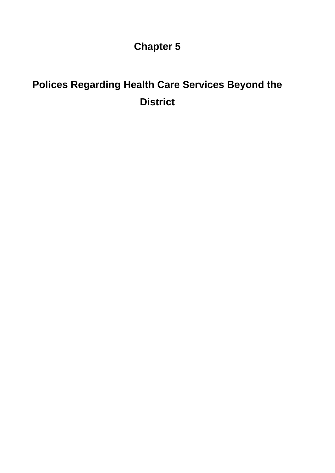**Chapter 5** 

# **District Polices Regarding Health Care Services Beyond the**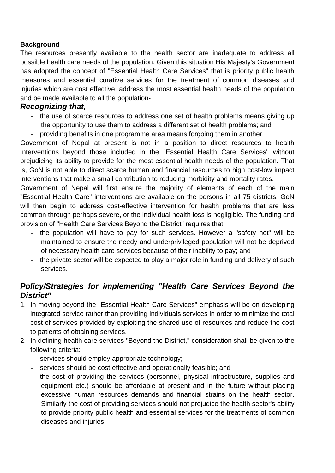### **Background**

The resources presently available to the health sector are inadequate to address all pos sible health care needs of the population. Given this situation His Majesty's Government has adopted the concept of "Essential Health Care Services" that is priority public health measures and essential curative services for the treatment of common diseases and injuries which are cost effective, address the most essential health needs of the population and be made available to all the population-

## *Recognizing that,*

- the use of scarce resources to address one set of health problems means giving up the opportunity to use them to address a different set of health problems; and
- providing benefits in one programme area means forgoing them in another.

Government of Nepal at present is not in a position to direct resources to health Interventions beyond those included in the "Essential Health Care Services" without prejudicing its ability to provide for the most essential health needs of the population. That is, GoN is not able to direct scarce human and financial resources to high cost-low impact interventions that make a small contribution to reducing morbidity and mortality rates.

Government of Nepal will first ensure the majority of elements of each of the main "Essential Health Care" interventions are available on the persons in all 75 districts. GoN will then begin to address cost-effective intervention for health problems that are less common through perhaps severe, or the individual health loss is negligible. The funding and provision of "Health Care Services Beyond the District" requires that:

- the population will have to pay for such services. However a "safety net" will be maintained to ensure the needy and underprivileged population will not be deprived of necessary health care services because of their inability to pay; and
- the private sector will be expected to play a major role in funding and delivery of such services.

## *Policy/Strategies for implementing "Health Care Services Beyond the District"*

- 1. In moving beyond the "Essential Health Care Services" emphasis will be on developing integrated service rather than providing individuals services in order to minimize the total cost of services provided by exploiting the shared use of resources and reduce the cost to patients of obtaining services.
- 2. In defining health care services "Beyond the District," consideration shall be given to the following criteria:
	- services should employ appropriate technology;
	- services should be cost effective and operationally feasible; and
	- the cost of providing the services (personnel, physical infrastructure, supplies and equipment etc.) should be affordable at present and in the future without placing excessive human resources demands and financial strains on the health sector. Similarly the cost of providing services should not prejudice the health sector's ability to provide priority public health and essential services for the treatments of common diseases and injuries.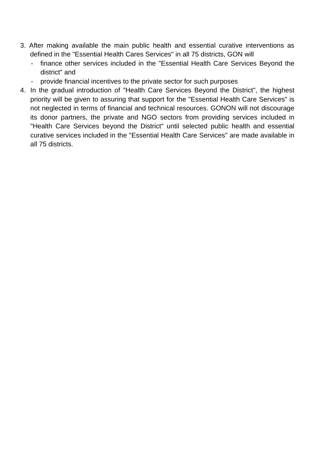- 3. After making available the main public health and essential curative interventions as defined in the "Essential Health Cares Services" in all 75 districts, GON will
	- finance other services included in the "Essential Health Care Services Beyond the district" and
	- provide financial incentives to the private sector for such purposes
- 4. In the gradual introduction of "Health Care Services Beyond the District", the highest its donor partners, the private and NGO sectors from providing services included in "Health Care Services beyond the District" until selected public health and essential curative services included in the "Essential Health Care Services" are made available in priority will be given to assuring that support for the "Essential Health Care Services" is not neglected in terms of financial and technical resources. GONON will not discourage all 75 districts.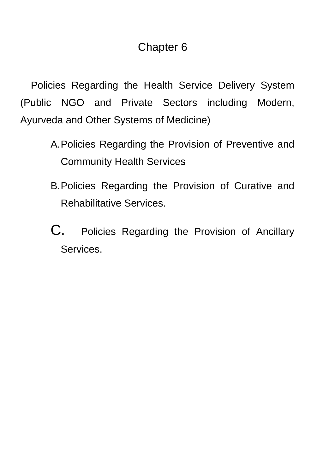## Chapter 6

Policies Regarding the Health Service Delivery System (Public NGO and Private Sectors including Modern, Ayurveda and Other Systems of Medicine)

- A. Policies Regarding the Provision of Preventive and Community Health Services
- B. Policies Regarding the Provision of Curative and Rehabilitative Services.
- C. Policies Regarding the Provision of Ancillary Services.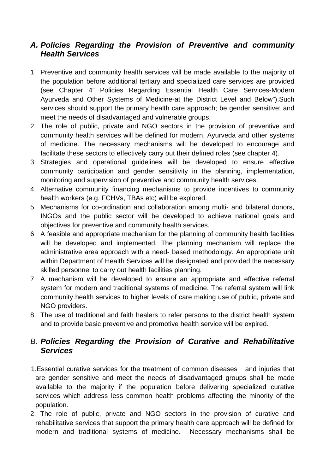## *A . Policies Regarding the Provision of Preventive and community*  **Health Services**

- 1 . Preventive and community health services will be made available to the majority of the population before additional tertiary and specialized care services are provided (see Chapter 4" Policies Regarding Essential Health Care Services-Modern Ayurveda and Other Systems of Medicine-at the District Level and Below").Such services should support the primary health care approach; be gender sensitive; and meet the needs of disadvantaged and vulnerable groups.
- of medicine. The necessary mechanisms will be developed to encourage and 2. The role of public, private and NGO sectors in the provision of preventive and community health services will be defined for modern, Ayurveda and other systems facilitate these sectors to effectively carry out their defined roles (see chapter 4).
- 3 . Strategies and operational guidelines will be developed to ensure effective community participation and gender sensitivity in the planning, implementation, monitoring and supervision of preventive and community health services.
- 4. Alternative community financing mechanisms to provide incentives to community health workers (e.g. FCHVs, TBAs etc) will be explored.
- 5. Mechanisms for co-ordination and collaboration among multi- and bilateral donors, INGOs and the public sector will be developed to achieve national goals and objectives for preventive and community health services.
- 6. A feasible and appropriate mechanism for the planning of community health facilities skilled personnel to carry out health facilities planning. will be developed and implemented. The planning mechanism will replace the administrative area approach with a need- based methodology. An appropriate unit within Department of Health Services will be designated and provided the necessary
- . A mechanism will be developed to ensure an appropriate and effective referral 7 system for modern and traditional systems of medicine. The referral system will link community health services to higher levels of care making use of public, private and NGO providers.
- 8. The use of traditional and faith healers to refer persons to the district health system and to provide basic preventive and promotive health service will be expired.

## *B. Policies Regarding the Provision of Curative and Rehabilitative Services*

- 1.E ssential curative services for the treatment of common diseases and injuries that a re gender sensitive and meet the needs of disadvantaged groups shall be made available to the majority if the population before delivering specialized curative p opulation. services which address less common health problems affecting the minority of the
	- rehabilitative services that support the primary health care approach will be defined for modern and traditional systems of medicine. Necessary mechanisms shall be 2. The role of public, private and NGO sectors in the provision of curative and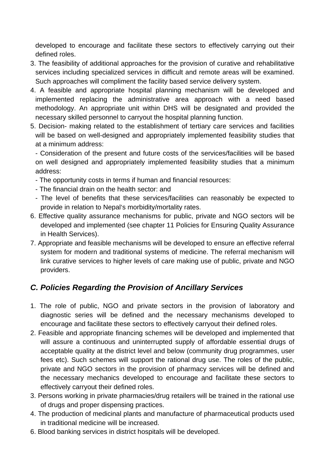developed to encourage and facilitate these sectors to effectively carrying out their defined roles.

- . The feasibility of additional approaches for the provision of curative and rehabilitative 3 services including specialized services in difficult and remote areas will be examined. Such approaches will compliment the facility based service delivery system.
- 4. A feasible and appropriate hospital planning mechanism will be developed and implemented replacing the administrative area approach with a need based methodology. An appropriate unit within DHS will be designated and provided the necessary skilled personnel to carryout the hospital planning function.
- 5. Decision- making related to the establishment of tertiary care services and facilities will be based on well-designed and appropriately implemented feasibility studies that at a minimum address:

- Consideration of the present and future costs of the services/facilities will be based on well designed and appropriately implemented feasibility studies that a minimum address:

- The opportunity costs in terms if human and financial resources:
- The fi nancial drain on the health sector: and
	- The level of benefits that these services/facilities can reasonably be expected to provide in relation to Nepal's morbidity/mortality rates.
- 6. Effective quality assurance mechanisms for public, private and NGO sectors will be developed and implemented (see chapter 11 Policies for Ensuring Quality Assurance in Health Services).
- 7. Appropriate and feasible mechanisms will be developed to ensure an effective referral system for modern and traditional systems of medicine. The referral mechanism will link curative services to higher levels of care making use of public, private and NGO providers.

## *C. Policies Regarding the Provision of Ancillary Services*

- 1. The role of public, NGO and private sectors in the provision of laboratory and diagnostic series will be defined and the necessary mechanisms developed to encourage and facilitate these sectors to effectively carryout their defined roles.
- 2. Feasible and appropriate financing schemes will be developed and implemented that will assure a continuous and uninterrupted supply of affordable essential drugs of acceptable quality at the district level and below (community drug programmes, user fees etc). Such schemes will support the rational drug use. The roles of the public, private and NGO sectors in the provision of pharmacy services will be defined and the necessary mechanics developed to encourage and facilitate these sectors to effectively carryout their defined roles.
- 3. Persons working in private pharmacies/drug retailers will be trained in the rational use of drugs and proper dispensing practices.
- 4. The production of medicinal plants and manufacture of pharmaceutical products used in traditional medicine will be increased.
- 6. Blood banking services in district hospitals will be developed.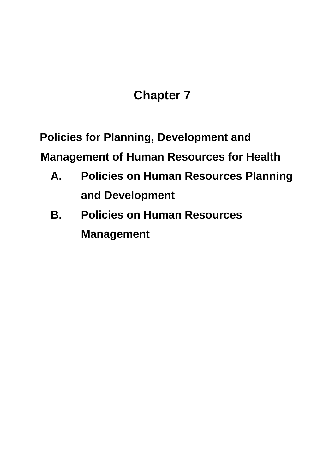# **Chapter 7**

 **Policies for Planning, Development and** 

**Management of Human Resources for Health** 

- **A. Policies on Human Resources Planning and Development**
- **B. Policies on Human Resources Management**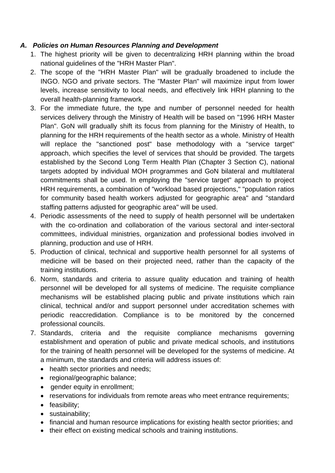## *A. Policies on Human Resources Planning and Development*

- 1. The highest priority will be given to decentralizing HRH planning within the broad national guidelines of the "HRH Master Plan".
- 2. The scope of the "HRH Master Plan" will be gradually broadened to include the INGO. NGO and private sectors. The "Master Plan" will maximize input from lower levels, increase sensitivity to local needs, and effectively link HRH planning to the overall health-planning framework.
- will replace the "sanctioned post" base methodology with a "service target" for community based health workers adjusted for geographic area" and "standard 3. For the immediate future, the type and number of personnel needed for health services delivery through the Ministry of Health will be based on "1996 HRH Master Plan". GoN will gradually shift its focus from planning for the Ministry of Health, to planning for the HRH requirements of the health sector as a whole. Ministry of Health approach, which specifies the level of services that should be provided. The targets established by the Second Long Term Health Plan (Chapter 3 Section C), national targets adopted by individual MOH programmes and GoN bilateral and multilateral commitments shall be used. In employing the "service target" approach to project HRH requirements, a combination of "workload based projections," "population ratios staffing patterns adjusted for geographic area" will be used.
- 4. Periodic assessments of the need to supply of health personnel will be undertaken with the co-ordination and collaboration of the various sectoral and inter-sectoral committees, individual ministries, organization and professional bodies involved in planning, production and use of HRH.
- 5. Production of clinical, technical and supportive health personnel for all systems of medicine will be based on their projected need, rather than the capacity of the training institutions.
- 6. Norm, standards and criteria to assure quality education and training of health personnel will be developed for all systems of medicine. The requisite compliance mechanisms will be established placing public and private institutions which rain clinical, technical and/or and support personnel under accreditation schemes with periodic reaccredidation. Compliance is to be monitored by the concerned professional councils.
- 7. Standards, criteria and the requisite compliance mechanisms governing establishment and operation of public and private medical schools, and institutions for the training of health personnel will be developed for the systems of medicine. At a minimum, the standards and criteria will address issues of:
	- health sector priorities and needs;
	- regional/geographic balance;
	- gender equity in enrollment;
	- reservations for individuals from remote areas who meet entrance requirements;
	- feasibility;
	- sustainability;
	- financial and human resource implications for existing health sector priorities; and
	- their effect on existing medical schools and training institutions.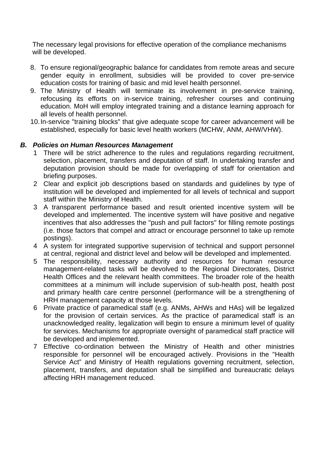The necessary legal provisions for effective operation of the compliance mechanisms will be developed.

- 8. To ensure regional/geographic balance for candidates from remote areas and secure gender equity in enrollment, subsidies will be provided to cover pre-service education costs for training of basic and mid level health personnel.
- 9. The Ministry of Health will terminate its involvement in pre-service training, refocusing its efforts on in-service training, refresher courses and continuing education. MoH will employ integrated training and a distance learning approach for all levels of health personnel.
- 10. In-service "training blocks" that give adequate scope for career advancement will be established, especially for basic level health workers (MCHW, ANM, AHW/VHW).

#### **B.** Policies on Human Resources Management

- 1 There will be strict adherence to the rules and regulations regarding recruitment, selection, placement, transfers and deputation of staff. In undertaking transfer and deputation provision should be made for overlapping of staff for orientation and briefing purposes.
- 2 Clear and explicit job descriptions based on standards and guidelines by type of institution will be developed and implemented for all levels of technical and support staff within the Ministry of Health.
- 3 A transparent performance based and result oriented incentive system will be developed and implemented. The incentive system will have positive and negative incentives that also addresses the "push and pull factors" for filling remote postings (i.e. those factors that compel and attract or encourage personnel to take up remote postings).
- 4 A system for integrated supportive supervision of technical and support personnel at central, regional and district level and below will be developed and implemented.
- 5 The responsibility, necessary authority and resources for human resource management-related tasks will be devolved to the Regional Directorates, District Health Offices and the relevant health committees. The broader role of the health committees at a minimum will include supervision of sub-health post, health post and primary health care centre personnel (performance will be a strengthening of HRH management capacity at those levels.
- 6 Private practice of paramedical staff (e.g. ANMs, AHWs and HAs) will be legalized for the provision of certain services. As the practice of paramedical staff is an unacknowledged reality, legalization will begin to ensure a minimum level of quality for services. Mechanisms for appropriate oversight of paramedical staff practice will be developed and implemented.
- 7 Effective co-ordination between the Ministry of Health and other ministries responsible for personnel will be encouraged actively. Provisions in the "Health Service Act" and Ministry of Health regulations governing recruitment, selection, placement, transfers, and deputation shall be simplified and bureaucratic delays affecting HRH management reduced.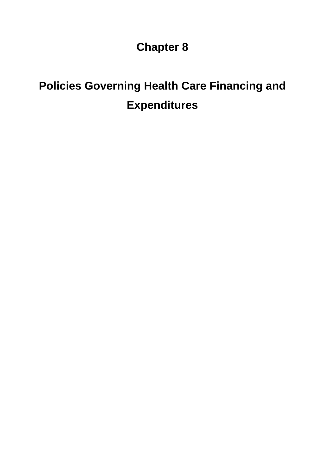# **Policies Governing Health Care Financing and Expenditures**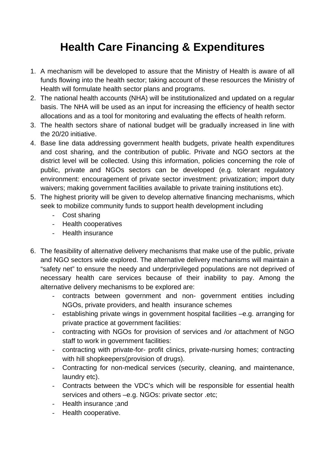# **Health Care Financing & Expenditures**

- 1. A mechanism will be developed to assure that the Ministry of Health is aware of all funds flowing into the health sector; taking account of these resources the Ministry of Health will formulate health sector plans and programs.
- basis. The NHA will be used as an input for increasing the efficiency of health sector allocations and as a tool for monitoring and evaluating the effects of health reform. 2. The national health accounts (NHA) will be institutionalized and updated on a regular
- 3. The health sectors share of national budget will be gradually increased in line with the 20/20 initiative.
- 4. Base line data addressing government health budgets, private health expenditures and cost sharing, and the contribution of public. Private and NGO sectors at the district level will be collected. Using this information, policies concerning the role of public, private and NGOs sectors can be developed (e.g. tolerant regulatory environment: encouragement of private sector investment: privatization; import duty waivers; making government facilities available to private training institutions etc).
- 5. The highest priority will be given to develop alternative financing mechanisms, which seek to mobilize community funds to support health development including
	- Cost sharing
	- Health cooperatives
	- Health insurance
- 6. The feasibility of alternative delivery mechanisms that make use of the public, private and NGO sectors wide explored. The alternative delivery mechanisms will maintain a "safety net" to ensure the needy and underprivileged populations are not deprived of necessary health care services because of their inability to pay. Among the alternative delivery mechanisms to be explored are:
	- contracts between government and non- government entities including NGOs, private providers, and health insurance schemes
	- establishing private wings in government hospital facilities -e.g. arranging for private practice at government facilities:
	- contracting with NGOs for provision of services and /or attachment of NGO staff to work in government facilities:
	- contracting with private-for- profit clinics, private-nursing homes; contracting with hill shopkeepers(provision of drugs).
	- Contracting for non-medical services (security, cleaning, and maintenance, laundry etc).
	- Contracts between the VDC's which will be responsible for essential health services and others –e.g. NGOs: private sector .etc;
	- Health insurance ;and
	- Health cooperative.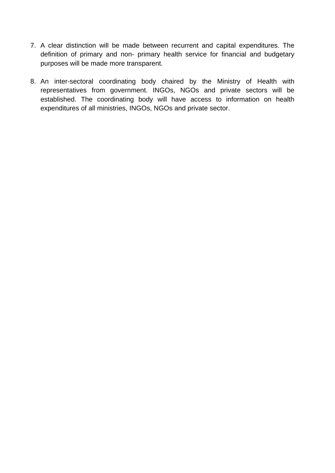- 7. A clear distinction will be made between recurrent and capital expenditures. The definition of primary and non- primary health service for financial and budgetary purposes will be made more transparent.
- representatives from government. INGOs, NGOs and private sectors will be established. The coordinating body will have access to information on health 8. An inter-sectoral coordinating body chaired by the Ministry of Health with expenditures of all ministries, INGOs, NGOs and private sector.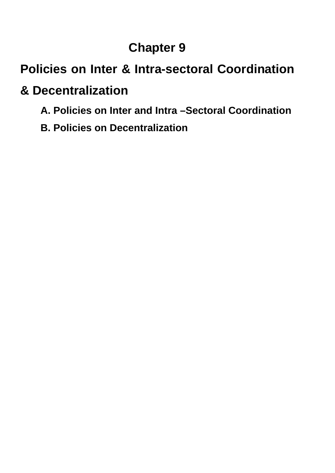# **Policies on Inter & Intra-sectoral Coordination**

# **& De centralization**

- **A. Policies on Inter and Intra –Sectoral Coordination**
- **B . Policies on Decentralization**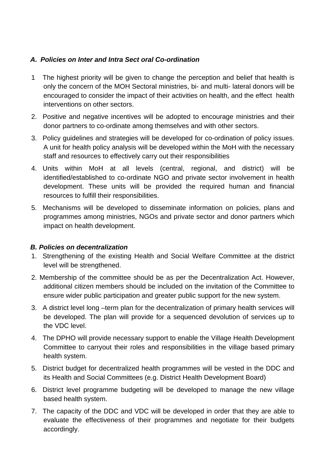#### *A. P olicies on Inter and Intra Sect oral Co-ordination*

- 1 only the concern of the MOH Sectoral ministries, bi- and multi- lateral donors will be encouraged to consider the impact of their activities on health, and the effect health The highest priority will be given to change the perception and belief that health is interventions on other sectors.
- 2. Positive and negative incentives will be adopted to encourage ministries and their donor partners to co-ordinate among themselves and with other sectors.
- 3. Policy guidelines and strategies will be developed for co-ordination of policy issues. A unit for health policy analysis will be developed within the MoH with the necessary staff and resources to effectively carry out their responsibilities
- 4. Units within MoH at all levels (central, regional, and district) will be identified/established to co-ordinate NGO and private sector involvement in health development. These units will be provided the required human and financial resources to fulfill their responsibilities.
- 5. Mechanisms will be developed to disseminate information on policies, plans and grammes among ministries, NGOs and private sector and donor partners which pro impact on health development.

#### *B. Policies on decentralization*

- 1. Strengthening of the existing Health and Social Welfare Committee at the district level will be strengthened.
- 2. Membership of the committee should be as per the Decentralization Act. However, additional citizen members should be included on the invitation of the Committee to ensure wider public participation and greater public support for the new system.
- 3. A district level long –term plan for the decentralization of primary health services will be developed. The plan will provide for a sequenced devolution of services up to the VDC level.
- 4. The DPHO will provide necessary support to enable the Village Health Development Committee to carryout their roles and responsibilities in the village based primary health system.
- 5. District budget for decentralized health programmes will be vested in the DDC and its Health and Social Committees (e.g. District Health Development Board)
- 6. District level programme budgeting will be developed to manage the new village based health system.
- 7. The capacity of the DDC and VDC will be developed in order that they are able to evaluate the effectiveness of their programmes and negotiate for their budgets accordingly.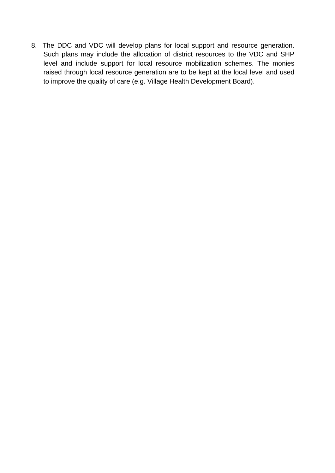8. The DDC and VDC will develop plans for local support and resource generation. Such plans may include the allocation of district resources to the VDC and SHP level and include support for local resource mobilization schemes. The monies raised through local resource generation are to be kept at the local level and used to improve the quality of care (e.g. Village Health Development Board).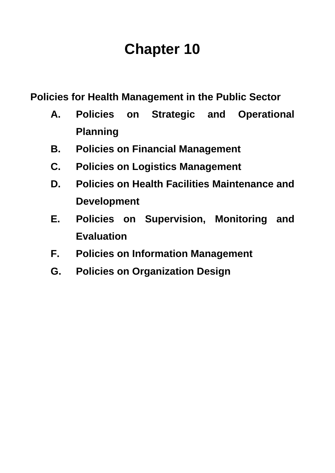**Policies for Health Management in the Public Sector** 

- **A. Policies on Strategic and Operational Planning**
- **B. Policies on Financial Management**
- **C. Policies on Logistics Management**
- **D. Policies on Health Facilities Maintenance and Development**
- **E. Policies on Supervision, Monitoring and Evaluation**
- **F.** Policies on Information Management
- **. Policies on Organization Design G**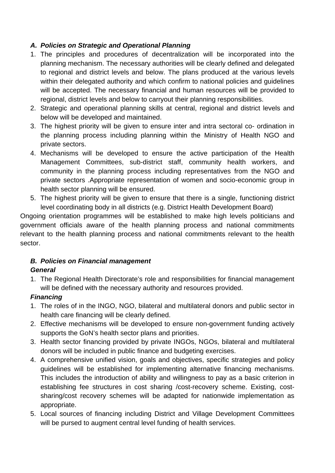### *A. Policies on Strategic and Operational Planning*

- will be accepted. The necessary financial and human resources will be provided to 1. The principles and procedures of decentralization will be incorporated into the planning mechanism. The necessary authorities will be clearly defined and delegated to regional and district levels and below. The plans produced at the various levels within their delegated authority and which confirm to national policies and quidelines regional, district levels and below to carryout their planning responsibilities.
- 2. Strategic and operational planning skills at central, regional and district levels and below will be developed and maintained.
- 3. The highest priority will be given to ensure inter and intra sectoral co- ordination in the planning process including planning within the Ministry of Health NGO and private sectors.
- Management Committees, sub-district staff, community health workers, and community in the planning process including representatives from the NGO and private sectors .Appropriate representation of women and socio-economic group in 4. Mechanisms will be developed to ensure the active participation of the Health health sector planning will be ensured.
- 5. The highest priority will be given to ensure that there is a single, functioning district level coordinating body in all districts (e.g. District Health Development Board)

Ongoing orientation programmes will be established to make high levels politicians and gov ernment officials aware of the health planning process and national commitments relevan t to the health planning process and national commitments relevant to the health sector.

### **B. Policies on Financial management**

### *General*

will be defined with the necessary authority and resources provided. 1. The Regional Health Directorate's role and responsibilities for financial management

### *Financing*

- 1. T he roles of in the INGO, NGO, bilateral and multilateral donors and public sector in h ealth care financing will be clearly defined.
- 2. Effective mechanisms will be developed to ensure non-government funding actively supports the GoN's health sector plans and priorities.
- 3. Health sector financing provided by private INGOs, NGOs, bilateral and multilateral donors will be included in public finance and budgeting exercises.
- 4. A comprehensive unified vision, goals and objectives, specific strategies and policy guidelines will be established for implementing alternative financing mechanisms. This includes the introduction of ability and willingness to pay as a basic criterion in establishing fee structures in cost sharing /cost-recovery scheme. Existing, costsharing/cost recovery schemes will be adapted for nationwide implementation as appropriate.
- 5. Local sources of financing including District and Village Development Committees will be pursed to augment central level funding of health services.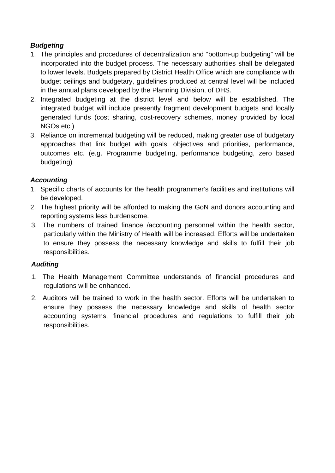### *Budgeting*

- 1. The principles and procedures of decentralization and "bottom-up budgeting" will be incorporated into the budget process. The necessary authorities shall be delegated to lower levels. Budgets prepared by District Health Office which are compliance with budget ceilings and budgetary, guidelines produced at central level will be included in the annual plans developed by the Planning Division, of DHS.
- 2. Integrated budgeting at the district level and below will be established. The integrated budget will include presently fragment development budgets and locally generated funds (cost sharing, cost-recovery schemes, money provided by local NGOs etc.)
- 3. Reliance on incremental budgeting will be reduced, making greater use of budgetary approaches that link budget with goals, objectives and priorities, performance, outcomes etc. (e.g. Programme budgeting, performance budgeting, zero based budgeting)

#### *Ac counting*

- 1. Specific charts of accounts for the health programmer's facilities and institutions will be developed.
- 2. The highest priority will be afforded to making the GoN and donors accounting and reporting systems less burdensome.
- 3. The numbers of trained finance /accounting personnel within the health sector, particularly within the Ministry of Health will be increased. Efforts will be undertaken to ensure they possess the necessary knowledge and skills to fulfill their job responsibilities.

### *Auditing*

- 1. The Health Management Committee understands of financial procedures and regulations will be enhanced.
- 2. Auditors will be trained to work in the health sector. Efforts will be undertaken to ensure they possess the necessary knowledge and skills of health sector accounting systems, financial procedures and regulations to fulfill their job responsibilities.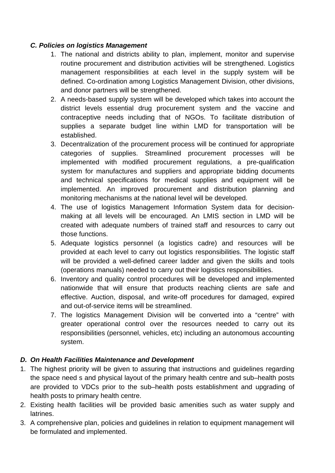#### *C. Policies on logistics Management*

- 1. The national and districts ability to plan, implement, monitor and supervise routine procurement and distribution activities will be strengthened. Logistics and donor partners will be strengthened. management responsibilities at each level in the supply system will be defined. Co-ordination among Logistics Management Division, other divisions,
- contraceptive needs including that of NGOs. To facilitate distribution of 2. A needs-based supply system will be developed which takes into account the district levels essential drug procurement system and the vaccine and supplies a separate budget line within LMD for transportation will be established.
- implemented with modified procurement regulations, a pre-qualification system for manufactures and suppliers and appropriate bidding documents and technical specifications for medical supplies and equipment will be 3. Decentralization of the procurement process will be continued for appropriate categories of supplies. Streamlined procurement processes will be implemented. An improved procurement and distribution planning and monitoring mechanisms at the national level will be developed.
- making at all levels will be encouraged. An LMIS section in LMD will be 4. The use of logistics Management Information System data for decisioncreated with adequate numbers of trained staff and resources to carry out those functions.
- will be provided a well-defined career ladder and given the skills and tools 5. Adequate logistics personnel (a logistics cadre) and resources will be provided at each level to carry out logistics responsibilities. The logistic staff (operations manuals) needed to carry out their logistics responsibilities.
- nationwide that will ensure that products reaching clients are safe and 6. Inventory and quality control procedures will be developed and implemented effective. Auction, disposal, and write-off procedures for damaged, expired and out-of-service items will be streamlined.
- greater operational control over the resources needed to carry out its 7. The logistics Management Division will be converted into a "centre" with responsibilities (personnel, vehicles, etc) including an autonomous accounting system.

#### *D. On Health Facilities Maintenance and Development*

- 1. The highest priority will be given to assuring that instructions and guidelines regarding are provided to VDCs prior to the sub–health posts establishment and upgrading of the space need s and physical layout of the primary health centre and sub–health posts health posts to primary health centre.
- 2. Exi sting health facilities will be provided basic amenities such as water supply and latr ines.
- . A comprehensive plan, policies and guidelines in relation to equipment management will 3be formulated and implemented.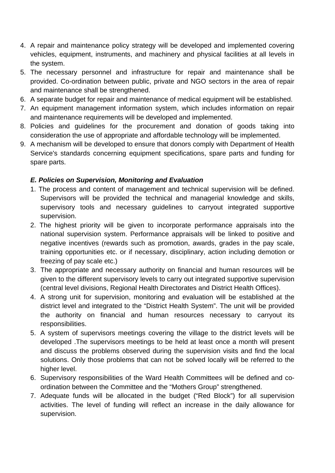- 4. A repair and maintenance policy strategy will be developed and implemented covering vehicles, equipment, instruments, and machinery and physical facilities at all levels in the system.
- 5. The necessary personnel and infrastructure for repair and maintenance shall be provided. Co-ordination between public, private and NGO sectors in the area of repair and maintenance shall be strengthened.
- 6. A separate budget for repair and maintenance of medical equipment will be established.
- 7. An equipment management information system, which includes information on repair and maintenance requirements will be developed and implemented.
- 8. Policies and guidelines for the procurement and donation of goods taking into consideration the use of appropriate and affordable technology will be implemented.
- 9. A mechanism will be developed to ensure that donors comply with Department of Health Service's standards concerning equipment specifications, spare parts and funding for spare parts.

#### *E. P olicies on Supervision, Monitoring and Evaluation*

- 1. The process and content of management and technical supervision will be defined. Supervisors will be provided the technical and managerial knowledge and skills, supervisory tools and necessary guidelines to carryout integrated supportive supervision.
- national supervision system. Performance appraisals will be linked to positive and 2. The highest priority will be given to incorporate performance appraisals into the negative incentives (rewards such as promotion, awards, grades in the pay scale, training opportunities etc. or if necessary, disciplinary, action including demotion or freezing of pay scale etc.)
- (central level divisions, Regional Health Directorates and District Health Offices). 3. The appropriate and necessary authority on financial and human resources will be given to the different supervisory levels to carry out integrated supportive supervision
- 4. A strong unit for supervision, monitoring and evaluation will be established at the district level and integrated to the "District Health System". The unit will be provided the authority on financial and human resources necessary to carryout its responsibilities.
- 5. A system of supervisors meetings covering the village to the district levels will be developed .The supervisors meetings to be held at least once a month will present and discuss the problems observed during the supervision visits and find the local solutions. Only those problems that can not be solved locally will be referred to the higher level.
- 6. Supervisory responsibilities of the Ward Health Committees will be defined and coordination between the Committee and the "Mothers Group" strengthened.
- 7. Adequate funds will be allocated in the budget ("Red Block") for all supervision activities. The level of funding will reflect an increase in the daily allowance for supervision.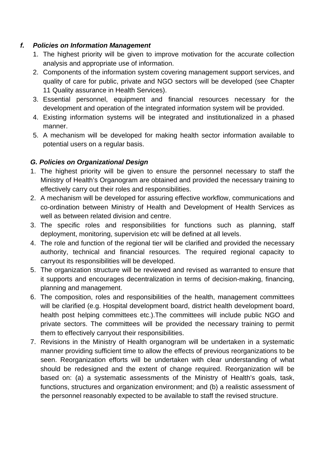#### *f. Policies on Information Management*

- 1. The highest priority will be given to improve motivation for the accurate collection analysis and appropriate use of information.
- 2. Components of the information system covering management support services, and quality of care for public, private and NGO sectors will be developed (see Chapter 11 Quality assurance in Health Services).
- 3. Essential personnel, equipment and financial resources necessary for the development and operation of the integrated information system will be provided.
- 4. Existing information systems will be integrated and institutionalized in a phased manner.
- 5. A mechanism will be developed for making health sector information available to potential users on a regular basis.

### *G. Policies on Organizational Design*

- 1. The highest priority will be given to ensure the personnel necessary to staff the Ministry of Health's Organogram are obtained and provided the necessary training to effectively carry out their roles and responsibilities.
- 2. A mechanism will be developed for assuring effective workflow, communications and co-ordination between Ministry of Health and Development of Health Services as well as between related division and centre.
- 3. The specific roles and responsibilities for functions such as planning, staff deployment, monitoring, supervision etc will be defined at all levels.
- 4. The role and function of the regional tier will be clarified and provided the necessary authority, technical and financial resources. The required regional capacity to carryout its responsibilities will be developed.
- 5. The organization structure will be reviewed and revised as warranted to ensure that it supports and encourages decentralization in terms of decision-making, financing, planning and management.
- 6. The composition, roles and responsibilities of the health, management committees will be clarified (e.g. Hospital development board, district health development board, health post helping committees etc.). The committees will include public NGO and private sectors. The committees will be provided the necessary training to permit them to effectively carryout their responsibilities.
- 7. Revisions in the Ministry of Health organogram will be undertaken in a systematic manner providing sufficient time to allow the effects of previous reorganizations to be seen. Reorganization efforts will be undertaken with clear understanding of what should be redesigned and the extent of change required. Reorganization will be based on: (a) a systematic assessments of the Ministry of Health's goals, task, functions, structures and organization environment; and (b) a realistic assessment of the personnel reasonably expected to be available to staff the revised structure.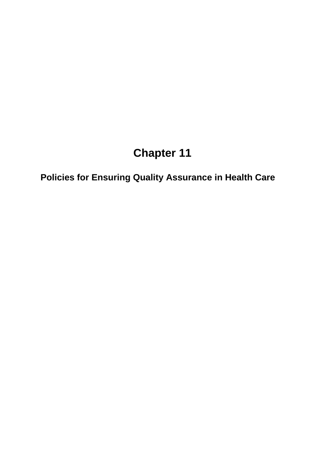**Policies for Ensuring Quality Assurance in Health Care**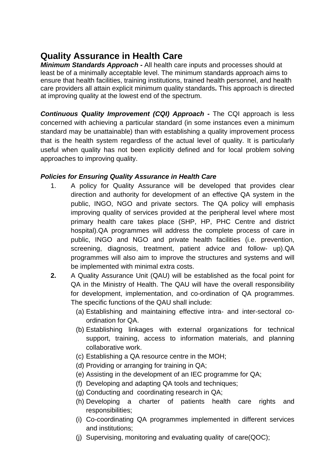## **Qu ality Assurance in Health Care**

**Minimum Standards Approach - All health care inputs and processes should at** leas t be of a minimally acceptable level. The minimum standards approach aims to ens ure that health facilities, training institutions, trained health personnel, and health care pro viders all attain explicit minimum quality standards**.** This approach is directed at i mproving quality at the lowest end of the spectrum.

**Continuous Quality Improvement (CQI) Approach -** The CQI approach is less concerned with achieving a particular standard (in some instances even a minimum standard may be unattainable) than with establishing a quality improvement process that is the health system regardless of the actual level of quality. It is particularly useful when quality has not been explicitly defined and for local problem solving approaches to improving quality.

#### **Policies for Ensuring Quality Assurance in Health Care**

- 1. A policy for Quality Assurance will be developed that provides clear direction and authority for development of an effective QA system in the public, INGO, NGO and private sectors. The QA policy will emphasis improving quality of services provided at the peripheral level where most primary health care takes place (SHP, HP, PHC Centre and district hospital).QA programmes will address the complete process of care in public, INGO and NGO and private health facilities (i.e. prevention, screening, diagnosis, treatment, patient advice and follow- up).QA programmes will also aim to improve the structures and systems and will be implemented with minimal extra costs.
- for development, implementation, and co-ordination of QA programmes. **2.** A Quality Assurance Unit (QAU) will be established as the focal point for QA in the Ministry of Health. The QAU will have the overall responsibility The specific functions of the QAU shall include:
	- (a) Establishing and maintaining effective intra- and inter-sectoral coordination for QA.
	- collaborative work. (b) Establishing linkages with external organizations for technical support, training, access to information materials, and planning
	- (c) Establishing a QA resource centre in the MOH;
	- (d) Providing or arranging for training in QA;
	- (e) Assisting in the development of an IEC programme for QA;
	- (f) Developing and adapting QA tools and techniques;
	- (g) Conducting and coordinating research in QA;
	- (h) Developing a charter of patients health care rights and responsibilities;
	- (i) Co-coordinating QA programmes implemented in different services and institutions;
	- (j) Supervising, monitoring and evaluating quality of care(QOC);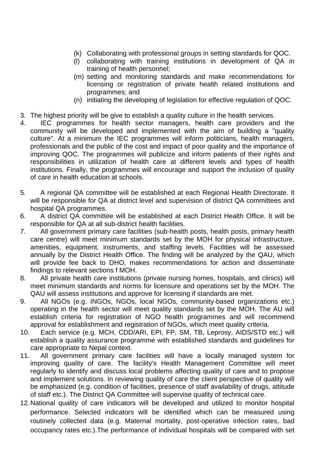- (k) Collaborating with professional groups in setting standards for QOC.
- (l) collaborating with training institutions in development of QA in training of health personnel;
- (m) setting and monitoring standards and make recommendations for licensing or registration of private health related institutions and programmes; and
- (n) initiating the developing of legislation for effective regulation of QOC.
- 3. The highest priority will be give to establish a quality culture in the health services.
- 4. IEC programmes for health sector managers, health care providers and the community will be developed and implemented with the aim of building a "quality culture". At a minimum the IEC programmes will inform politicians, health managers, professionals and the public of the cost and impact of poor quality and the importance of improving QOC. The programmes will publicize and inform patients of their rights and responsibilities in utilization of health care at different levels and types of health institutions. Finally, the programmes will encourage and support the inclusion of quality of care in health education at schools.
- 5. A regional QA committee will be established at each Regional Health Directorate. It will be responsible for QA at district level and supervision of district QA committees and hospital QA programmes.
- responsible for QA at all sub-district health facilities. 6. A district QA committee will be established at each District Health Office. It will be
- 7. All government primary care facilities (sub-health posts, health posts, primary health care centre) will meet minimum standards set by the MOH for physical infrastructure, amenities, equipment, instruments, and staffing levels. Facilities will be assessed annually by the District Health Office. The finding will be analyzed by the QAU, which will provide fee back to DHO, makes recommendations for action and disseminate findings to relevant sections f MOH.
- 8. All private health care institutions (private nursing homes, hospitals, and clinics) will meet minimum standards and norms for licensure and operations set by the MOH. The QAU will assess institutions and approve for licensing if standards are met.
- establish criteria for registration of NGO health programmes and will recommend 9. All NGOs (e.g. INGOs, NGOs, local NGOs, community-based organizations etc.) operating in the health sector will meet quality standards set by the MOH. The AU will approval for establishment and registration of NGOs, which meet quality criteria.
- 10. Each service (e.g. MCH, CDD/ARI, EPI, FP, SM, TB, Leprosy, AIDS/STD etc.) will establish a quality assurance programme with established standards and guidelines for care appropriate to Nepal context.
- 11. All government primary care facilities will have a locally managed system for improving quality of care. The facility's Health Management Committee will meet regularly to identify and discuss local problems affecting quality of care and to propose and implement solutions. In reviewing quality of care the client perspective of quality will be emphasized (e.g. condition of facilities, presence of staff availability of drugs, attitude of staff etc.). The District QA Committee will supervise quality of technical care.
- occupancy rates etc.). The performance of individual hospitals will be compared with set 12. National quality of care indicators will be developed and utilized to monitor hospital performance. Selected indicators will be identified which can be measured using routinely collected data (e.g. Maternal mortality, post-operative infection rates, bad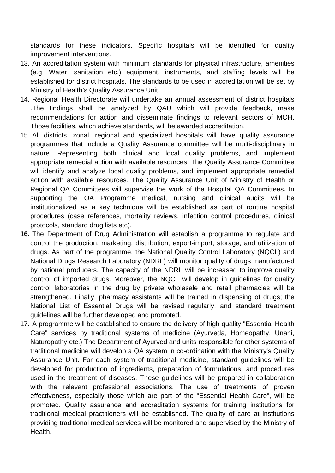standards for these indicators. Specific hospitals will be identified for quality improvement interventions.

- 13. An accreditation system with minimum standards for physical infrastructure, amenities (e.g. Water, sanitation etc.) equipment, instruments, and staffing levels will be established for district hospitals. The standards to be used in accreditation will be set by Ministry of Health's Quality Assurance Unit.
- 14. Regional Health Directorate will undertake an annual assessment of district hospitals The findings shall be analyzed by QAU which will provide feedback, make recommendations for action and disseminate findings to relevant sectors of MOH. Those facilities, which achieve standards, will be awarded accreditation.
- 15. All districts, zonal, regional and specialized hospitals will have quality assurance programmes that include a Quality Assurance committee will be multi-disciplinary in nature. Representing both clinical and local quality problems, and implement appropriate remedial action with available resources. The Quality Assurance Committee will identify and analyze local quality problems, and implement appropriate remedial action with available resources. The Quality Assurance Unit of Ministry of Health or Regional QA Committees will supervise the work of the Hospital QA Committees. In supporting the QA Programme medical, nursing and clinical audits will be institutionalized as a key technique will be established as part of routine hospital procedures (case references, mortality reviews, infection control procedures, clinical protocols, standard drug lists etc).
- **16.** The Department of Drug Administration will establish a programme to regulate and control the production, marketing, distribution, export-import, storage, and utilization of drugs. As part of the programme, the National Quality Control Laboratory (NQCL) and National Drugs Research Laboratory (NDRL) will monitor quality of drugs manufactured by national producers. The capacity of the NDRL will be increased to improve quality control of imported drugs. Moreover, the NQCL will develop in guidelines for quality control laboratories in the drug by private wholesale and retail pharmacies will be strengthened. Finally, pharmacy assistants will be trained in dispensing of drugs; the National List of Essential Drugs will be revised regularly; and standard treatment guidelines will be further developed and promoted.
- 17. A programme will be established to ensure the delivery of high quality "Essential Health Care" services by traditional systems of medicine (Ayurveda, Homeopathy, Unani, Naturopathy etc.) The Department of Ayurved and units responsible for other systems of traditional medicine will develop a QA system in co-ordination with the Ministry's Quality Assurance Unit. For each system of traditional medicine, standard guidelines will be developed for production of ingredients, preparation of formulations, and procedures used in the treatment of diseases. These guidelines will be prepared in collaboration with the relevant professional associations. The use of treatments of proven effectiveness, especially those which are part of the "Essential Health Care", will be promoted. Quality assurance and accreditation systems for training institutions for traditional medical practitioners will be established. The quality of care at institutions providing traditional medical services will be monitored and supervised by the Ministry of Health.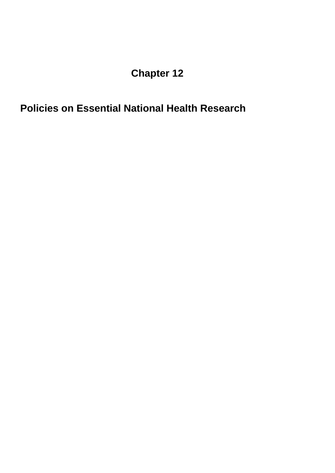**Policies on Essential National Health Research**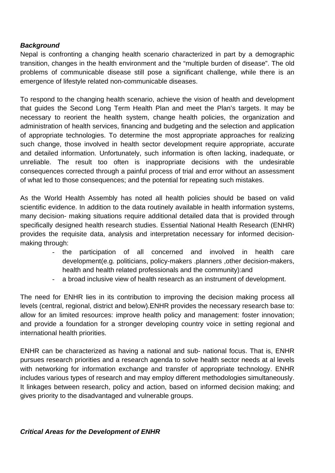#### *Background*

Nepal is confronting a changing health scenario characterized in part by a demographic transiti on, changes in the health environment and the "multiple burden of disease". The old proble ms of communicable disease still pose a significant challenge, while there is an emerg ence of lifestyle related non-communicable diseases.

To res pond to the changing health scenario, achieve the vision of health and development that gu ides the Second Long Term Health Plan and meet the Plan's targets. It may be necess ary to reorient the health system, change health policies, the organization and admini stration of health services, financing and budgeting and the selection and application of app ropriate technologies. To determine the most appropriate approaches for realizing such c hange, those involved in health sector development require appropriate, accurate and detailed information. Unfortunately, such information is often lacking, inadequate, or unreliable. The result too often is inappropriate decisions with the undesirable con sequences corrected through a painful process of trial and error without an assessment of wha t led to those consequences; and the potential for repeating such mistakes.

As the World Health Assembly has noted all health policies should be based on valid scientific evidence. In addition to the data routinely available in health information systems, many decision- making situations require additional detailed data that is provided through specifically designed health research studies. Essential National Health Research (ENHR) provide s the requisite data, analysis and interpretation necessary for informed decision making through:

- the participation of all concerned and involved in health care development(e.g. politicians, policy-makers .planners ,other decision-makers, health and health related professionals and the community):and
- a broad inclusive view of health research as an instrument of development.

The ne ed for ENHR lies in its contribution to improving the decision making process all levels (central, regional, district and below). ENHR provides the necessary research base to: allow for an limited resources: improve health policy and management: foster innovation; and pr ovide a foundation for a stronger developing country voice in setting regional and interna tional health priorities.

ENHR can be characterized as having a national and sub- national focus. That is, ENHR pursues research priorities and a research agenda to solve health sector needs at al levels with networking for information exchange and transfer of appropriate technology. ENHR include s various types of research and may employ different methodologies simultaneously. It linka ges between research, policy and action, based on informed decision making; and gives p riority to the disadvantaged and vulnerable groups.

#### *Critical Areas for the Development of ENHR*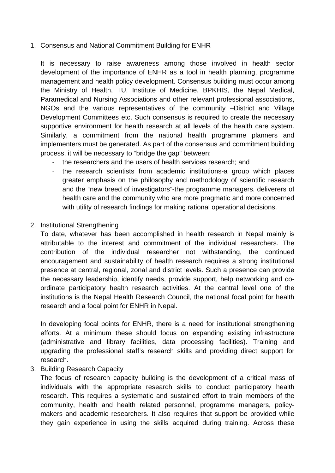1. Consensus and National Commitment Building for ENHR

It is necessary to raise awareness among those involved in health sector process, it will be necessary to "bridge the gap" between: development of the importance of ENHR as a tool in health planning, programme management and health policy development. Consensus building must occur among the Ministry of Health, TU, Institute of Medicine, BPKHIS, the Nepal Medical, Paramedical and Nursing Associations and other relevant professional associations, NGOs and the various representatives of the community –District and Village Development Committees etc. Such consensus is required to create the necessary supportive environment for health research at all levels of the health care system. Similarly, a commitment from the national health programme planners and implementers must be generated. As part of the consensus and commitment building

- the researchers and the users of health services research; and
- with utility of research findings for making rational operational decisions. - the research scientists from academic institutions-a group which places greater emphasis on the philosophy and methodology of scientific research and the "new breed of investigators"-the programme managers, deliverers of health care and the community who are more pragmatic and more concerned
- 2. Institutional Strengthening

ordinate participatory health research activities. At the central level one of the institutions is the Nepal Health Research Council, the national focal point for health To date, whatever has been accomplished in health research in Nepal mainly is attributable to the interest and commitment of the individual researchers. The contribution of the individual researcher not withstanding, the continued encouragement and sustainability of health research requires a strong institutional presence at central, regional, zonal and district levels. Such a presence can provide the necessary leadership, identify needs, provide support, help networking and coresearch and a focal point for ENHR in Nepal.

In developing focal points for ENHR, there is a need for institutional strengthening efforts. At a minimum these should focus on expanding existing infrastructure (administrative and library facilities, data processing facilities). Training and upgrading the professional staff's research skills and providing direct support for research.

3. Building Research Capacity

The focus of research capacity building is the development of a critical mass of individuals with the appropriate research skills to conduct participatory health research. This requires a systematic and sustained effort to train members of the community, health and health related personnel, programme managers, policymakers and academic researchers. It also requires that support be provided while they gain experience in using the skills acquired during training. Across these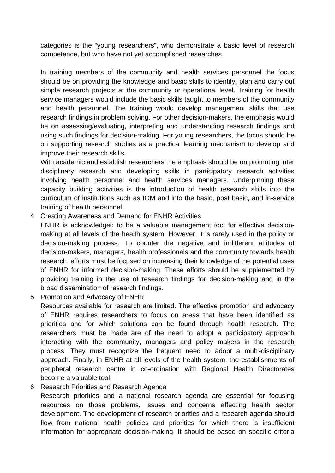categories is the "young researchers", who demonstrate a basic level of research competence, but who have not yet accomplished researches.

In training members of the community and health services personnel the focus should be on providing the knowledge and basic skills to identify, plan and carry out simple research projects at the community or operational level. Training for health service managers would include the basic skills taught to members of the community and health personnel. The training would develop management skills that use on supporting research studies as a practical learning mechanism to develop and research findings in problem solving. For other decision-makers, the emphasis would be on assessing/evaluating, interpreting and understanding research findings and using such findings for decision-making. For young researchers, the focus should be improve their research skills.

involving health personnel and health services managers. Underpinning these With academic and establish researchers the emphasis should be on promoting inter disciplinary research and developing skills in participatory research activities capacity building activities is the introduction of health research skills into the curriculum of institutions such as IOM and into the basic, post basic, and in-service training of health personnel.

4. Creating Awareness and Demand for ENHR Activities

ENHR is acknowledged to be a valuable management tool for effective decisionmaking at all levels of the health system. However, it is rarely used in the policy or decision-making process. To counter the negative and indifferent attitudes of decision-makers, managers, health professionals and the community towards health research, efforts must be focused on increasing their knowledge of the potential uses of ENHR for informed decision-making. These efforts should be supplemented by providing training in the use of research findings for decision-making and in the broad dissemination of research findings.

5. Promotion and Advocacy of ENHR

peripheral research centre in co-ordination with Regional Health Directorates Resources available for research are limited. The effective promotion and advocacy of ENHR requires researchers to focus on areas that have been identified as priorities and for which solutions can be found through health research. The researchers must be made are of the need to adopt a participatory approach interacting with the community, managers and policy makers in the research process. They must recognize the frequent need to adopt a multi-disciplinary approach. Finally, in ENHR at all levels of the health system, the establishments of become a valuable tool.

6. Research Priorities and Research Agenda

Research priorities and a national research agenda are essential for focusing resources on those problems, issues and concerns affecting health sector development. The development of research priorities and a research agenda should flow from national health policies and priorities for which there is insufficient information for appropriate decision-making. It should be based on specific criteria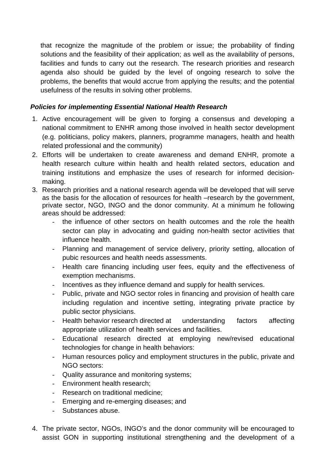that recognize the magnitude of the problem or issue; the probability of finding solutions and the feasibility of their application; as well as the availability of persons, agenda also should be guided by the level of ongoing research to solve the facilities and funds to carry out the research. The research priorities and research problems, the benefits that would accrue from applying the results; and the potential usefulness of the results in solving other problems.

#### *Policies for implementing Essential National Health Research*

- 1. Active encouragement will be given to forging a consensus and developing a (e.g. politicians, policy makers, planners, programme managers, health and health national commitment to ENHR among those involved in health sector development related professional and the community)
- health research culture within health and health related sectors, education and training institutions and emphasize the uses of research for informed decisionmaking. 2. Efforts will be undertaken to create awareness and demand ENHR, promote a
- 3. Research priorities and a national research agenda will be developed that will serve as the basis for the allocation of resources for health –research by the government, private sector, NGO, INGO and the donor community. At a minimum he following areas should be addressed:
	- the influence of other sectors on health outcomes and the role the health sector can play in advocating and guiding non-health sector activities that influence health.
	- Planning and management of service delivery, priority setting, allocation of pubic resources and health needs assessments.
	- Health care financing including user fees, equity and the effectiveness of exemption mechanisms.
	- Incentives as they influence demand and supply for health services.
	- Public, private and NGO sector roles in financing and provision of health care including regulation and incentive setting, integrating private practice by public sector physicians.
	- Health behavior research directed at understanding factors affecting appropriate utilization of health services and facilities.
	- Educational research directed at employing new/revised educational technologies for change in health behaviors:
	- Human resources policy and employment structures in the public, private and NGO sectors:
	- Quality assurance and monitoring systems;
	- Environment health research:
	- Research on traditional medicine;
	- Emerging and re-emerging diseases; and
	- Substances abuse.
- The private sector, NGOs, INGO's and the donor community will be encouraged to 4. assist GON in supporting institutional strengthening and the development of a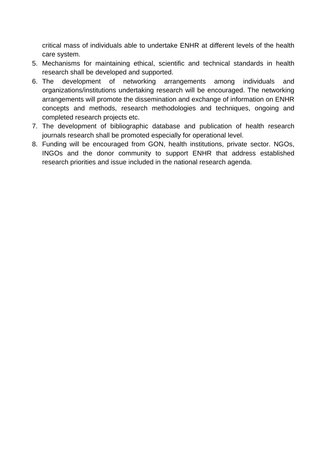critical mass of individuals able to undertake ENHR at different levels of the health care system.

- 5. Mechanisms for maintaining ethical, scientific and technical standards in health research shall be developed and supported.
- 6. The development of networking arrangements among individuals and organizations/institutions undertaking re search will be encouraged. The networking arrangements will promote the dissemination and exchange of information on ENHR arrangements among individuals concepts and methods, research methodologies and techniques, ongoing and completed research projects etc.
- journals research shall be promoted especially for operational level. 7. The development of bibliographic database and publication of health research
- 8. Funding will be encouraged from GON, health institutions, private sector. NGOs, INGOs and the donor community to support ENHR that address established research priorities and issue included in the national research agenda.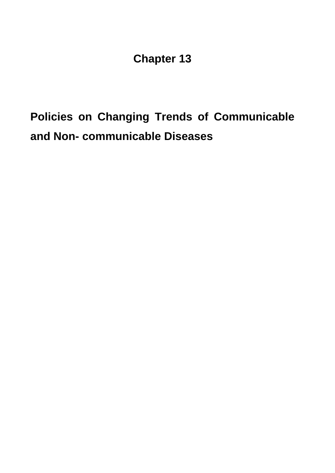# **Policies on Changing Trends of Communicable and Non- communicable Diseases**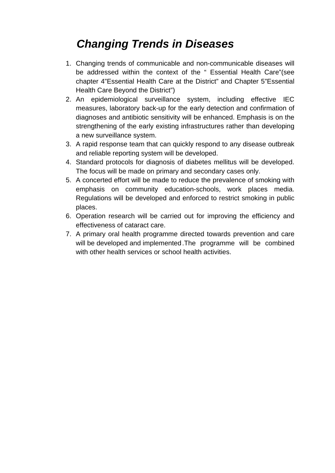# *Changing Trends in Diseases*

- 1. Changing trends of communicable and non-communicable diseases will be addressed within the context of the " Essential Health Care"(see chapter 4"Essential Health Care at the District" and Chapter 5"Essential Health Care Beyon d the District")
- 2. An epidemiological surveillance system, including effective IEC measures, laboratory back-up for the early detection and confirmation of diagnoses and antibiotic sensitivity will be enhanced. Emphasis is on the strengthening of the early existing infrastructures rather than developing a new surveillance system.
- 3. A rapid response team that can quickly respond to any disease outbreak and reliable reporting system will be developed.
- 4. Standard protocols for diagnosis of diabetes mellitus will be developed. The focus will be made on primary and secondary cases only.
- 5. A concerted effort will be made to reduce the prevalence of smoking with emphasis on community education-schools, work places media. Regulations will be developed and enforced to restrict smoking in public places.
- 6. Operation research will be carried out for improving the efficiency and effectiveness of cataract care.
- 7. A primary oral health programme directed towards prevention and care will be developed and implemented .The programme will be combined with other health services or school health activities.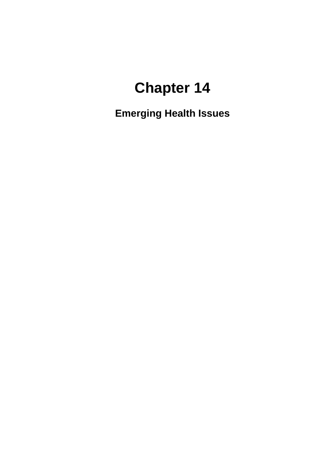**Emerging Health Issues**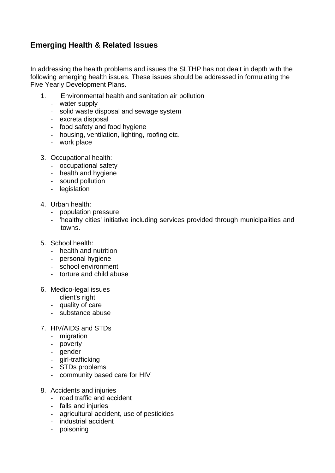## **Emerging Health & Related Issues**

In addressing the health problems and issues the SLTHP has not dealt in depth with the following emerging health issues. These issues should be addressed in formulating the Five Yearly Development Plans.

- 1. Environmental health and sanitation air pollution
	- water supply
	- solid waste disposal and sewage system
	- excreta disposal
	- food safety and food hygiene
	- housing, ventilation, lighting, roofing etc.
	- work place
- 3. Occupational health:
	- occupational safety
	- health and hygiene
	- sound pollution
	- legislation
- 4. Urban health:
	- population pressure
	- 'healthy cities' initiative including services provided through municipalities and towns.
- 5. School health:
	- health and nutrition
	- personal hygiene
	- school environment
	- torture and child abuse
- 6. Medico-legal issues
	- client's right
	- quality of care
	- substance abuse
- 7. HIV/AIDS and STDs
	- migration
	- poverty
	- gender
	- girl-trafficking
	- STDs problems
	- community based care for HIV
- 8. Accidents and injuries
	- road traffic and accident
	- falls and injuries
	- agricultural accident, use of pesticides
	- industrial accident
	- poisoning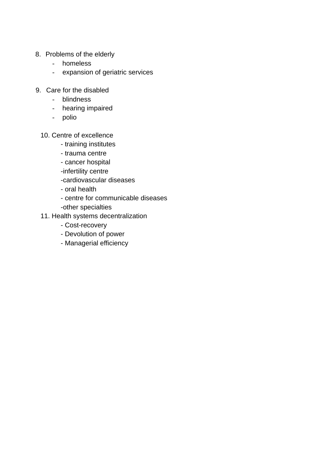- 8. Problems of the elderly
	- homeless
	- expansion of geriatric services
- 9. Care for the disabled
	- blindness
	- hearing impaired
	- polio
	- 10. Centre of excellence
- $-$  training institutes
	- trauma centre
	- cancer hospital
	- -infertility centre
	- -cardiovascular diseases
	- oral health
	- centre for communicable diseases
	- -other specialties
	- 11. Health systems decentralization
		- Cost-recovery
		- Devolution of power
		- Managerial efficiency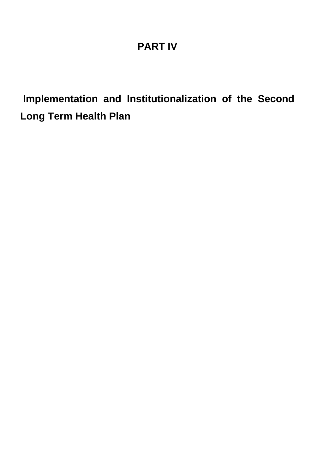# **PART IV**

**Implementation and Institutionalization of the Second Long Term Health Plan**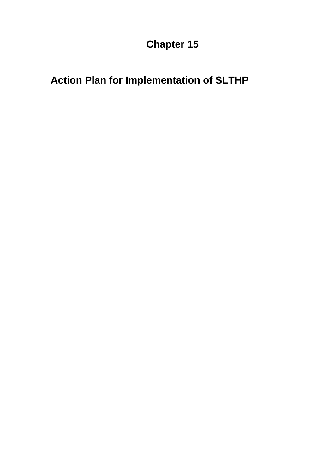# **Action Plan for Implementation of SLTHP**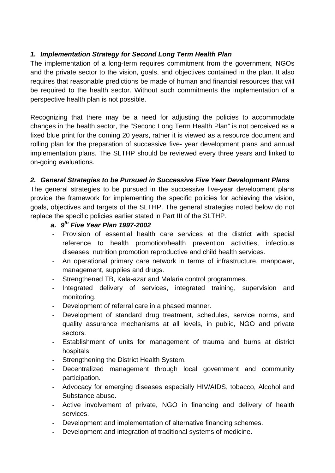### *1. Implementation Strategy for Second Long Term Health Plan*

The implementation of a long-term requires commitment from the government, NGOs and the private sector to the vision, goals, and objectives contained in the plan. It also requires that reasonable predictions be made of human and financial resources that will be required to the health sector. Without such commitments the implementation of a perspectiv e health plan is not possible.

Recognizing that there may be a need for adjusting the policies to accommodate changes in the health sector, the "Second Long Term Health Plan" is not perceived as a fixed blue print for the coming 20 years, rather it is viewed as a resource document and rolling plan for the preparation of successive five- year development plans and annual implementation plans. The SLTHP should be reviewed every three years and linked to on-going e valuations.

#### 2. General Strategies to be Pursued in Successive Five Year Development Plans

The general strategies to be pursued in the successive five-year development plans provide the framework for implementing the specific policies for achieving the vision, goals, objectives and targets of the SLTHP. The general strategies noted below do not replace the specific policies earlier stated in Part III of the SLTHP.

- *a. 9th Five Year Plan 1997-2002*
- Provision of essential health care services at the district with special reference to health promotion/health prevention activities, infectious diseases, nutrition promotion reproductive and child health services.
- An operational primary care network in terms of infrastructure, manpower, management, supplies and drugs.
- Strengthened TB, Kala-azar and Malaria control programmes.
- Integrated delivery of services, integrated training, supervision and monitoring.
- Development of referral care in a phased manner.
- Development of standard drug treatment, schedules, service norms, and quality assurance mechanisms at all levels, in public, NGO and private sectors.
- Establishment of units for management of trauma and burns at district hospitals
- Strengthening the District Health System.
- Decentralized management through local government and community participation.
- Advocacy for emerging diseases especially HIV/AIDS, tobacco, Alcohol and Substance abuse.
- Active involvement of private, NGO in financing and delivery of health services.
- Development and implementation of alternative financing schemes.
- Development and integration of traditional systems of medicine.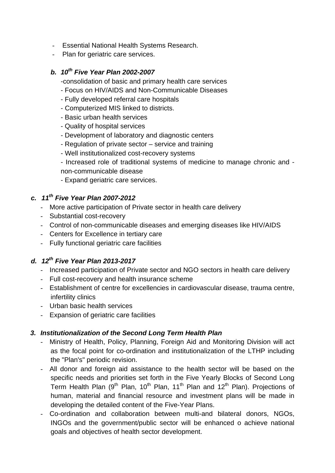- Essential National Health Systems Research.
- Plan for geriatric care services.

#### *b. 10th Five Year Plan 2002-2007*

- -consolidation of basic and primary health care services
- Focus on HIV/AIDS and Non-Communicable Diseases
- Fully developed referral care hospitals
- Computerized MIS linked to districts.
- Basic urban health services
- Quality of hospital services -
- Development of laboratory and diagnostic centers -
- Regulation of private sector service and training
- Well institutionalized cost-recovery systems -
- Increased role of traditional systems of medicine to manage chronic and on-communicable disease n
- Expand geriatric care services.

## *c. 11th Five Year Plan 2007-2012*

- More active participation of Private sector in health care delivery
- Substantial cost-recovery
- Control of non-communicable diseases and emerging diseases like HIV/AIDS
- Centers for Excellence in tertiary care
- Fully functional geriatric care facilities

### *d. 12th Five Year Plan 2013-2017*

- Increased participation of Private sector and NGO sectors in health care delivery
- Full cost-recovery and health insurance scheme
- Establishment of centre for excellencies in cardiovascular disease, trauma centre, infertility clinics
- Urban basic health services
- Expansion of geriatric care facilities

### *3. Institutionalization of the Second Long Term Health Plan*

- Ministry of Health, Policy, Planning, Foreign Aid and Monitoring Division will act as the focal point for co-ordination and institutionalization of the LTHP including the "Plan's" periodic revision.
- All donor and foreign aid assistance to the health sector will be based on the specific needs and priorities set forth in the Five Yearly Blocks of Second Long Term Health Plan (9<sup>th</sup> Plan, 10<sup>th</sup> Plan, 11<sup>th</sup> Plan and 12<sup>th</sup> Plan). Projections of human, material and financial resource and investment plans will be made in developing the detailed content of the Five-Year Plans.
- Co-ordination and collaboration between multi-and bilateral donors, NGOs, INGOs and the government/public sector will be enhanced o achieve national goals and objectives of health sector development.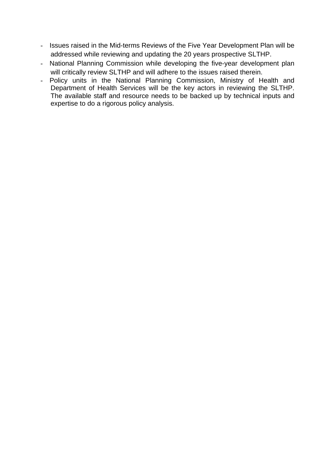- Issues raised in the Mid-terms Reviews of the Five Year Development Plan will be addressed while reviewing and updating the 20 years prospective SLTHP.
- National Planning Commission while developing the five-year development plan will critically review SLTHP and will adhere to the issues raised therein.
- Policy units in the National Planning Commission, Ministry of Health and Department of Health Services will be the key actors in reviewing the SLTHP. The available staff and resource needs to be backed up by technical inputs and expertise to do a rigorous policy analysis.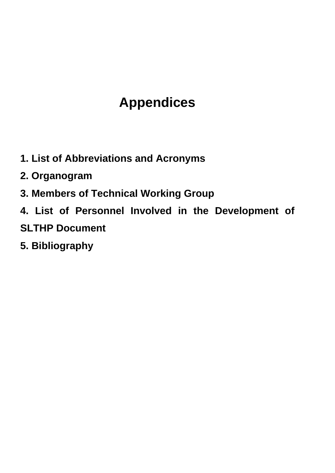# **s Appendice**

- **1. List of Abbreviations and Acronyms**
- **2. Organogram**
- **3. Members of Technical Working Group**
- 4. List of Personnel Involved in the Development of
- **SLTHP Document**
- **5. Bibliography**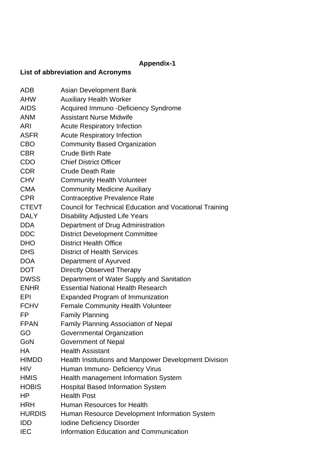## **Appendix-1**

## **List of abbreviation and Acronyms**

| ADB           | Asian Development Bank                                  |
|---------------|---------------------------------------------------------|
| AHW           | <b>Auxiliary Health Worker</b>                          |
| <b>AIDS</b>   | Acquired Immuno -Deficiency Syndrome                    |
| <b>ANM</b>    | <b>Assistant Nurse Midwife</b>                          |
| ARI           | <b>Acute Respiratory Infection</b>                      |
| <b>ASFR</b>   | <b>Acute Respiratory Infection</b>                      |
| <b>CBO</b>    | <b>Community Based Organization</b>                     |
| <b>CBR</b>    | <b>Crude Birth Rate</b>                                 |
| CDO           | <b>Chief District Officer</b>                           |
| <b>CDR</b>    | <b>Crude Death Rate</b>                                 |
| <b>CHV</b>    | <b>Community Health Volunteer</b>                       |
| <b>CMA</b>    | <b>Community Medicine Auxiliary</b>                     |
| <b>CPR</b>    | Contraceptive Prevalence Rate                           |
| <b>CTEVT</b>  | Council for Technical Education and Vocational Training |
| <b>DALY</b>   | <b>Disability Adjusted Life Years</b>                   |
| <b>DDA</b>    | Department of Drug Administration                       |
| <b>DDC</b>    | <b>District Development Committee</b>                   |
| <b>DHO</b>    | <b>District Health Office</b>                           |
| <b>DHS</b>    | <b>District of Health Services</b>                      |
| <b>DOA</b>    | Department of Ayurved                                   |
| <b>DOT</b>    | <b>Directly Observed Therapy</b>                        |
| <b>DWSS</b>   | Department of Water Supply and Sanitation               |
| <b>ENHR</b>   | <b>Essential National Health Research</b>               |
| EPI           | <b>Expanded Program of Immunization</b>                 |
| <b>FCHV</b>   | <b>Female Community Health Volunteer</b>                |
| FP            | <b>Family Planning</b>                                  |
| <b>FPAN</b>   | <b>Family Planning Association of Nepal</b>             |
| GO            | <b>Governmental Organization</b>                        |
| GoN           | Government of Nepal                                     |
| НA            | <b>Health Assistant</b>                                 |
| <b>HIMDD</b>  | Health Institutions and Manpower Development Division   |
| <b>HIV</b>    | Human Immuno- Deficiency Virus                          |
| <b>HMIS</b>   | Health management Information System                    |
| <b>HOBIS</b>  | <b>Hospital Based Information System</b>                |
| ΗP            | <b>Health Post</b>                                      |
| <b>HRH</b>    | Human Resources for Health                              |
| <b>HURDIS</b> | Human Resource Development Information System           |
| <b>IDD</b>    | <b>Iodine Deficiency Disorder</b>                       |
| <b>IEC</b>    | Information Education and Communication                 |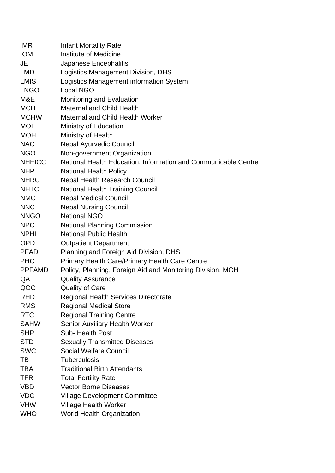| <b>IMR</b>    | <b>Infant Mortality Rate</b>                                   |
|---------------|----------------------------------------------------------------|
| <b>IOM</b>    | Institute of Medicine                                          |
| JE            | Japanese Encephalitis                                          |
| <b>LMD</b>    | Logistics Management Division, DHS                             |
| <b>LMIS</b>   | Logistics Management information System                        |
| <b>LNGO</b>   | <b>Local NGO</b>                                               |
| M&E           | Monitoring and Evaluation                                      |
| <b>MCH</b>    | <b>Maternal and Child Health</b>                               |
| <b>MCHW</b>   | <b>Maternal and Child Health Worker</b>                        |
| <b>MOE</b>    | Ministry of Education                                          |
| <b>MOH</b>    | Ministry of Health                                             |
| <b>NAC</b>    | <b>Nepal Ayurvedic Council</b>                                 |
| <b>NGO</b>    | Non-government Organization                                    |
| <b>NHEICC</b> | National Health Education, Information and Communicable Centre |
| <b>NHP</b>    | <b>National Health Policy</b>                                  |
| <b>NHRC</b>   | <b>Nepal Health Research Council</b>                           |
| <b>NHTC</b>   | <b>National Health Training Council</b>                        |
| <b>NMC</b>    | <b>Nepal Medical Council</b>                                   |
| <b>NNC</b>    | <b>Nepal Nursing Council</b>                                   |
| <b>NNGO</b>   | <b>National NGO</b>                                            |
| <b>NPC</b>    | <b>National Planning Commission</b>                            |
| <b>NPHL</b>   | <b>National Public Health</b>                                  |
| <b>OPD</b>    | <b>Outpatient Department</b>                                   |
| <b>PFAD</b>   | Planning and Foreign Aid Division, DHS                         |
| <b>PHC</b>    | Primary Health Care/Primary Health Care Centre                 |
| <b>PPFAMD</b> | Policy, Planning, Foreign Aid and Monitoring Division, MOH     |
| QA            | <b>Quality Assurance</b>                                       |
| QOC           | <b>Quality of Care</b>                                         |
| <b>RHD</b>    | Regional Health Services Directorate                           |
| <b>RMS</b>    | <b>Regional Medical Store</b>                                  |
| <b>RTC</b>    | <b>Regional Training Centre</b>                                |
| <b>SAHW</b>   | <b>Senior Auxiliary Health Worker</b>                          |
| <b>SHP</b>    | Sub-Health Post                                                |
| <b>STD</b>    | <b>Sexually Transmitted Diseases</b>                           |
| <b>SWC</b>    | <b>Social Welfare Council</b>                                  |
| TB            | <b>Tuberculosis</b>                                            |
| <b>TBA</b>    | <b>Traditional Birth Attendants</b>                            |
| <b>TFR</b>    | <b>Total Fertility Rate</b>                                    |
| VBD           | <b>Vector Borne Diseases</b>                                   |
| <b>VDC</b>    | <b>Village Development Committee</b>                           |
| <b>VHW</b>    | <b>Village Health Worker</b>                                   |
| <b>WHO</b>    | <b>World Health Organization</b>                               |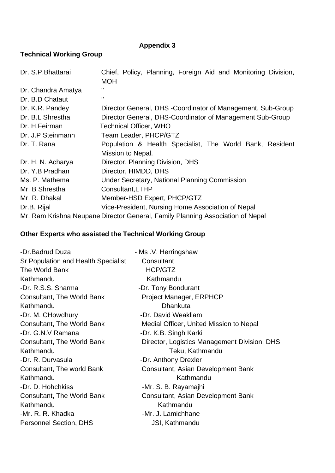#### **A ppendix 3**

#### **Technical Working Group**

| Dr. S.P. Bhattarai | Chief, Policy, Planning, Foreign Aid and Monitoring Division,<br><b>MOH</b>    |
|--------------------|--------------------------------------------------------------------------------|
| Dr. Chandra Amatya | $\lq$                                                                          |
| Dr. B.D Chataut    | "                                                                              |
| Dr. K.R. Pandey    | Director General, DHS - Coordinator of Management, Sub-Group                   |
| Dr. B.L Shrestha   | Director General, DHS-Coordinator of Management Sub-Group                      |
| Dr. H. Feirman     | <b>Technical Officer, WHO</b>                                                  |
| Dr. J.P Steinmann  | Team Leader, PHCP/GTZ                                                          |
| Dr. T. Rana        | Population & Health Specialist, The World Bank, Resident                       |
|                    | Mission to Nepal.                                                              |
| Dr. H. N. Acharya  | Director, Planning Division, DHS                                               |
| Dr. Y.B Pradhan    | Director, HIMDD, DHS                                                           |
| Ms. P. Mathema     | <b>Under Secretary, National Planning Commission</b>                           |
| Mr. B Shrestha     | Consultant, LTHP                                                               |
| Mr. R. Dhakal      | Member-HSD Expert, PHCP/GTZ                                                    |
| Dr.B. Rijal        | Vice-President, Nursing Home Association of Nepal                              |
|                    | Mr. Ram Krishna Neupane Director General, Family Planning Association of Nepal |

#### **Other Experts w ho assisted the Technical Working Group**

| -Dr.Badrud Duza                     | - Ms.V. Herringshaw                          |
|-------------------------------------|----------------------------------------------|
| Sr Population and Health Specialist | Consultant                                   |
| The World Bank                      | HCP/GTZ                                      |
| Kathmandu                           | Kathmandu                                    |
| -Dr. R.S.S. Sharma                  | -Dr. Tony Bondurant                          |
| <b>Consultant, The World Bank</b>   | Project Manager, ERPHCP                      |
| Kathmandu                           | <b>Dhankuta</b>                              |
| -Dr. M. CHowdhury                   | -Dr. David Weakliam                          |
| <b>Consultant, The World Bank</b>   | Medial Officer, United Mission to Nepal      |
| -Dr. G.N.V Ramana                   | -Dr. K.B. Singh Karki                        |
| <b>Consultant, The World Bank</b>   | Director, Logistics Management Division, DHS |
| Kathmandu                           | Teku, Kathmandu                              |
| -Dr. R. Durvasula                   | -Dr. Anthony Drexler                         |
| Consultant, The world Bank          | Consultant, Asian Development Bank           |
| Kathmandu                           | Kathmandu                                    |
| -Dr. D. Hohchkiss                   | -Mr. S. B. Rayamajhi                         |
| <b>Consultant, The World Bank</b>   | Consultant, Asian Development Bank           |
| Kathmandu                           | Kathmandu                                    |
| -Mr. R. R. Khadka                   | -Mr. J. Lamichhane                           |
| <b>Personnel Section, DHS</b>       | <b>JSI, Kathmandu</b>                        |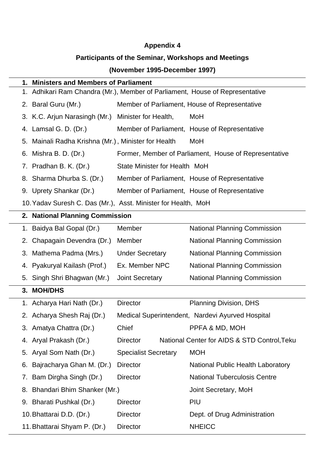## **Appendix 4**

#### **Participants of the Seminar, Workshops and Meetings**

#### **(November 1995-December 1997)**

| 1. Ministers and Members of Parliament                                          |                               |                                                       |  |
|---------------------------------------------------------------------------------|-------------------------------|-------------------------------------------------------|--|
| Adhikari Ram Chandra (Mr.), Member of Parliament, House of Representative<br>1. |                               |                                                       |  |
| 2. Baral Guru (Mr.)                                                             |                               | Member of Parliament, House of Representative         |  |
| 3. K.C. Arjun Narasingh (Mr.)                                                   | Minister for Health,          | MoH                                                   |  |
| 4. Lamsal G. D. (Dr.)                                                           |                               | Member of Parliament, House of Representative         |  |
| 5. Mainali Radha Krishna (Mr.), Minister for Health                             |                               | MoH                                                   |  |
| 6. Mishra B. D. (Dr.)                                                           |                               | Former, Member of Parliament, House of Representative |  |
| 7. Pradhan B. K. (Dr.)                                                          | State Minister for Health MoH |                                                       |  |
| 8. Sharma Dhurba S. (Dr.)                                                       |                               | Member of Parliament, House of Representative         |  |
| 9. Uprety Shankar (Dr.)                                                         |                               | Member of Parliament, House of Representative         |  |
| 10. Yadav Suresh C. Das (Mr.), Asst. Minister for Health, MoH                   |                               |                                                       |  |
| 2. National Planning Commission                                                 |                               |                                                       |  |
| 1. Baidya Bal Gopal (Dr.)                                                       | Member                        | <b>National Planning Commission</b>                   |  |
| Chapagain Devendra (Dr.)<br>2.                                                  | Member                        | National Planning Commission                          |  |
| 3. Mathema Padma (Mrs.)                                                         | <b>Under Secretary</b>        | <b>National Planning Commission</b>                   |  |
| 4. Pyakuryal Kailash (Prof.)                                                    | Ex. Member NPC                | <b>National Planning Commission</b>                   |  |
| 5. Singh Shri Bhagwan (Mr.)                                                     | <b>Joint Secretary</b>        | <b>National Planning Commission</b>                   |  |
| 3. MOH/DHS                                                                      |                               |                                                       |  |
| 1. Acharya Hari Nath (Dr.)                                                      | <b>Director</b>               | <b>Planning Division, DHS</b>                         |  |
| 2. Acharya Shesh Raj (Dr.)                                                      |                               | Medical Superintendent, Nardevi Ayurved Hospital      |  |
| 3. Amatya Chattra (Dr.)                                                         | Chief                         | PPFA & MD, MOH                                        |  |
| 4. Aryal Prakash (Dr.)                                                          | <b>Director</b>               | National Center for AIDS & STD Control, Teku          |  |
| 5. Aryal Som Nath (Dr.)                                                         | <b>Specialist Secretary</b>   | <b>MOH</b>                                            |  |
| Bajracharya Ghan M. (Dr.)<br>6.                                                 | <b>Director</b>               | <b>National Public Health Laboratory</b>              |  |
| 7. Bam Dirgha Singh (Dr.)                                                       | <b>Director</b>               | <b>National Tuberculosis Centre</b>                   |  |
| 8. Bhandari Bhim Shanker (Mr.)                                                  |                               | Joint Secretary, MoH                                  |  |
| 9. Bharati Pushkal (Dr.)                                                        | <b>Director</b>               | PIU                                                   |  |
| 10. Bhattarai D.D. (Dr.)                                                        | <b>Director</b>               | Dept. of Drug Administration                          |  |
| 11. Bhattarai Shyam P. (Dr.)                                                    | <b>Director</b>               | <b>NHEICC</b>                                         |  |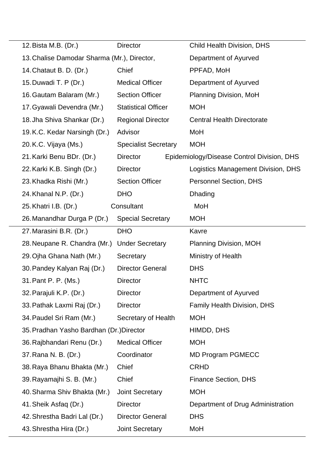| 12. Bista M.B. (Dr.)                        | <b>Director</b>             | Child Health Division, DHS                 |
|---------------------------------------------|-----------------------------|--------------------------------------------|
| 13. Chalise Damodar Sharma (Mr.), Director, |                             | Department of Ayurved                      |
| 14. Chataut B. D. (Dr.)                     | Chief                       | PPFAD, MoH                                 |
| 15. Duwadi T. P (Dr.)                       | <b>Medical Officer</b>      | Department of Ayurved                      |
| 16. Gautam Balaram (Mr.)                    | <b>Section Officer</b>      | Planning Division, MoH                     |
| 17. Gyawali Devendra (Mr.)                  | <b>Statistical Officer</b>  | <b>MOH</b>                                 |
| 18. Jha Shiva Shankar (Dr.)                 | <b>Regional Director</b>    | <b>Central Health Directorate</b>          |
| 19.K.C. Kedar Narsingh (Dr.)                | Advisor                     | MoH                                        |
| 20.K.C. Vijaya (Ms.)                        | <b>Specialist Secretary</b> | <b>MOH</b>                                 |
| 21. Karki Benu BDr. (Dr.)                   | <b>Director</b>             | Epidemiology/Disease Control Division, DHS |
| 22. Karki K.B. Singh (Dr.)                  | <b>Director</b>             | Logistics Management Division, DHS         |
| 23. Khadka Rishi (Mr.)                      | <b>Section Officer</b>      | <b>Personnel Section, DHS</b>              |
| 24. Khanal N.P. (Dr.)                       | <b>DHO</b>                  | Dhading                                    |
| 25. Khatri I.B. (Dr.)                       | Consultant                  | MoH                                        |
| 26. Manandhar Durga P (Dr.)                 | <b>Special Secretary</b>    | <b>MOH</b>                                 |
| 27. Marasini B.R. (Dr.)                     | <b>DHO</b>                  | Kavre                                      |
|                                             |                             |                                            |
| 28. Neupane R. Chandra (Mr.)                | <b>Under Secretary</b>      | <b>Planning Division, MOH</b>              |
| 29. Ojha Ghana Nath (Mr.)                   | Secretary                   | Ministry of Health                         |
| 30. Pandey Kalyan Raj (Dr.)                 | <b>Director General</b>     | <b>DHS</b>                                 |
| 31. Pant P. P. (Ms.)                        | <b>Director</b>             | <b>NHTC</b>                                |
| 32. Parajuli K.P. (Dr.)                     | Director                    | Department of Ayurved                      |
| 33. Pathak Laxmi Raj (Dr.)                  | <b>Director</b>             | <b>Family Health Division, DHS</b>         |
| 34. Paudel Sri Ram (Mr.)                    | Secretary of Health         | <b>MOH</b>                                 |
| 35. Pradhan Yasho Bardhan (Dr.) Director    |                             | HIMDD, DHS                                 |
| 36. Rajbhandari Renu (Dr.)                  | <b>Medical Officer</b>      | <b>MOH</b>                                 |
| 37. Rana N. B. (Dr.)                        | Coordinator                 | <b>MD Program PGMECC</b>                   |
| 38. Raya Bhanu Bhakta (Mr.)                 | Chief                       | <b>CRHD</b>                                |
| 39. Rayamajhi S. B. (Mr.)                   | Chief                       | <b>Finance Section, DHS</b>                |
| 40. Sharma Shiv Bhakta (Mr.)                | <b>Joint Secretary</b>      | <b>MOH</b>                                 |
| 41. Sheik Asfaq (Dr.)                       | <b>Director</b>             | Department of Drug Administration          |
| 42. Shrestha Badri Lal (Dr.)                | <b>Director General</b>     | <b>DHS</b>                                 |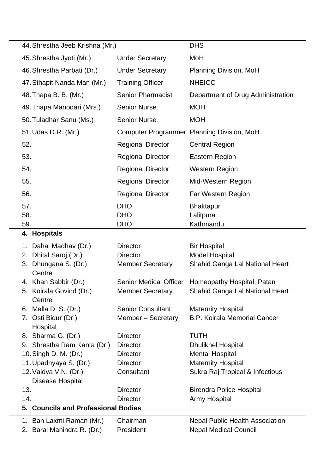| 44. Shrestha Jeeb Krishna (Mr.)      |                               | <b>DHS</b>                                 |
|--------------------------------------|-------------------------------|--------------------------------------------|
| 45. Shrestha Jyoti (Mr.)             | <b>Under Secretary</b>        | MoH                                        |
| 46. Shrestha Parbati (Dr.)           | <b>Under Secretary</b>        | Planning Division, MoH                     |
| 47. Sthapit Nanda Man (Mr.)          | <b>Training Officer</b>       | <b>NHEICC</b>                              |
| 48. Thapa B. B. (Mr.)                | <b>Senior Pharmacist</b>      | Department of Drug Administration          |
| 49. Thapa Manodari (Mrs.)            | <b>Senior Nurse</b>           | <b>MOH</b>                                 |
| 50. Tuladhar Sanu (Ms.)              | <b>Senior Nurse</b>           | <b>MOH</b>                                 |
| 51. Udas D.R. (Mr.)                  |                               | Computer Programmer Planning Division, MoH |
| 52.                                  | <b>Regional Director</b>      | <b>Central Region</b>                      |
| 53.                                  | <b>Regional Director</b>      | Eastern Region                             |
| 54.                                  | <b>Regional Director</b>      | <b>Western Region</b>                      |
| 55.                                  | <b>Regional Director</b>      | Mid-Western Region                         |
| 56.                                  | <b>Regional Director</b>      | Far Western Region                         |
| 57.                                  | <b>DHO</b>                    | <b>Bhaktapur</b>                           |
| 58.                                  | <b>DHO</b>                    | Lalitpura                                  |
| 59.                                  | <b>DHO</b>                    | Kathmandu                                  |
| 4. Hospitals                         |                               |                                            |
| 1. Dahal Madhav (Dr.)                | <b>Director</b>               | <b>Bir Hospital</b>                        |
| 2. Dhital Saroj (Dr.)                | <b>Director</b>               | <b>Model Hospital</b>                      |
| Dhungana S. (Dr.)<br>3.              | <b>Member Secretary</b>       | Shahid Ganga Lal National Heart            |
| Centre                               |                               |                                            |
| 4. Khan Sabbir (Dr.)                 | <b>Senior Medical Officer</b> | Homeopathy Hospital, Patan                 |
| Koirala Govind (Dr.)<br>5.<br>Centre | <b>Member Secretary</b>       | Shahid Ganga Lal National Heart            |
| 6. Malla D. S. (Dr.)                 | <b>Senior Consultant</b>      | <b>Maternity Hospital</b>                  |
| Osti Bidur (Dr.)<br>7.<br>Hospital   | Member - Secretary            | <b>B.P. Koirala Memorial Cancer</b>        |
| 8. Sharma G. (Dr.)                   | <b>Director</b>               | <b>TUTH</b>                                |
| 9. Shrestha Ram Kanta (Dr.)          | <b>Director</b>               | <b>Dhulikhel Hospital</b>                  |
| 10. Singh D. M. (Dr.)                | <b>Director</b>               | <b>Mental Hospital</b>                     |
| 11. Upadhyaya S. (Dr.)               | <b>Director</b>               | <b>Maternity Hospital</b>                  |
| 12. Vaidya V.N. (Dr.)                | Consultant                    | Sukra Raj Tropical & Infectious            |
| Disease Hospital                     |                               |                                            |
| 13.                                  | <b>Director</b>               | <b>Birendra Police Hospital</b>            |
| 14.                                  | <b>Director</b>               | <b>Army Hospital</b>                       |
| 5. Councils and Professional Bodies  |                               |                                            |
| 1. Ban Laxmi Raman (Mr.)             | Chairman                      | <b>Nepal Public Health Association</b>     |
| Baral Manindra R. (Dr.)<br>2.        | President                     | <b>Nepal Medical Council</b>               |
|                                      |                               |                                            |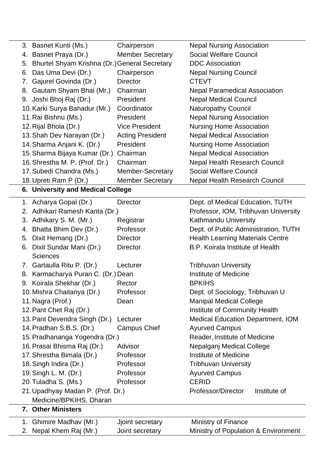| 3. Basnet Kunti (Ms.)                                        | Chairperson             | <b>Nepal Nursing Association</b>         |  |
|--------------------------------------------------------------|-------------------------|------------------------------------------|--|
| 4. Basnet Praya (Dr.)                                        | <b>Member Secretary</b> | <b>Social Welfare Council</b>            |  |
| 5. Bhurtel Shyam Krishna (Dr.) General Secretary             |                         | <b>DDC</b> Association                   |  |
| 6. Das Uma Devi (Dr.)                                        | Chairperson             | <b>Nepal Nursing Council</b>             |  |
| 7. Gajurel Govinda (Dr.)                                     | <b>Director</b>         | <b>CTEVT</b>                             |  |
| 8. Gautam Shyam Bhai (Mr.)                                   | Chairman                | <b>Nepal Paramedical Association</b>     |  |
| 9. Joshi Bhoj Raj (Dr.)                                      | President               | <b>Nepal Medical Council</b>             |  |
| 10. Karki Surya Bahadur (Mr.)                                | Coordinator             | <b>Naturopathy Council</b>               |  |
| 11. Rai Bishnu (Ms.)                                         | President               | <b>Nepal Nursing Association</b>         |  |
| 12. Rijal Bhola (Dr.)                                        | <b>Vice President</b>   | <b>Nursing Home Association</b>          |  |
| 13. Shah Dev Narayan (Dr.)                                   | <b>Acting President</b> | <b>Nepal Medical Association</b>         |  |
| 14. Sharma Anjani K. (Dr.)                                   | President               | <b>Nursing Home Association</b>          |  |
| 15. Sharma Bijaya Kumar (Dr.)                                | Chairman                | <b>Nepal Medical Association</b>         |  |
| 16. Shrestha M. P. (Prof. Dr.)                               | Chairman                | <b>Nepal Health Research Council</b>     |  |
| 17. Subedi Chandra (Ms.)                                     | <b>Member-Secretary</b> | <b>Social Welfare Council</b>            |  |
| 18. Upreti Ram P (Dr.)                                       | <b>Member Secretary</b> | <b>Nepal Health Research Council</b>     |  |
| 6. University and Medical College                            |                         |                                          |  |
| 1. Acharya Gopal (Dr.)                                       | <b>Director</b>         | Dept. of Medical Education, TUTH         |  |
| 2. Adhikari Ramesh Kanta (Dr.)                               |                         | Professor, IOM, Tribhuvan University     |  |
| 3. Adhikary S. M. (Mr.)                                      | Registrar               | Kathmandu University                     |  |
| 4. Bhatta Bhim Dev (Dr.)                                     | Professor               | Dept. of Public Administration, TUTH     |  |
| Dixit Hemang (Dr.)<br>5.                                     | <b>Director</b>         | <b>Health Learning Materials Centre</b>  |  |
| Dixit Sundar Mani (Dr.)<br>6.                                | <b>Director</b>         | B.P. Koirala Institute of Health         |  |
| <b>Sciences</b>                                              |                         |                                          |  |
| 7. Gartaulla Ritu P. (Dr.)                                   | Lecturer                | <b>Tribhuvan University</b>              |  |
| 8. Karmacharya Puran C. (Dr.) Dean                           |                         | <b>Institute of Medicine</b>             |  |
| 9. Koirala Shekhar (Dr.)                                     | Rector                  | <b>BPKIHS</b>                            |  |
| 10. Mishra Chaitanya (Dr.)                                   | Professor               | Dept. of Sociology, Tribhuvan U          |  |
| 11. Nagra (Prof.)                                            | Dean                    | <b>Manipal Medical College</b>           |  |
| 12. Pant Chet Raj (Dr.)                                      |                         | Institute of Community Health            |  |
| 13. Pant Devendra Singh (Dr.)                                | Lecturer                | <b>Medical Education Department, IOM</b> |  |
| 14. Pradhan S.B.S. (Dr.)                                     | <b>Campus Chief</b>     | <b>Ayurved Campus</b>                    |  |
| 15. Pradhananga Yogendra (Dr.)                               |                         | Reader, Institute of Medicine            |  |
| 16. Prasai Bhisma Raj (Dr.)                                  | Advisor                 | Nepalganj Medical College                |  |
| 17. Shrestha Bimala (Dr.)                                    | Professor               | <b>Institute of Medicine</b>             |  |
| 18. Singh Indira (Dr.)                                       | Professor               | <b>Tribhuvan University</b>              |  |
| 19. Singh L. M. (Dr.)                                        | Professor               | <b>Ayurved Campus</b>                    |  |
| 20. Tuladha S. (Ms.)                                         | Professor               | <b>CERID</b>                             |  |
| 21. Upadhyay Madan P. (Prof. Dr.)<br>Medicine/BPKIHS, Dharan |                         | Professor/Director<br>Institute of       |  |
| 7. Other Ministers                                           |                         |                                          |  |
| 1. Ghimire Madhav (Mr.)                                      | Jjoint secretary        | <b>Ministry of Finance</b>               |  |
| Nepal Khem Raj (Mr.)<br>2.                                   | Joint secretary         | Ministry of Population & Environment     |  |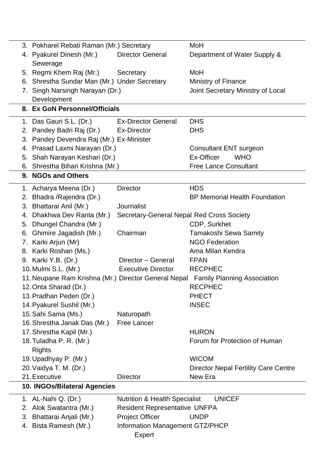| 3. Pokharel Rebati Raman (Mr.) Secretary             |                                           | MoH                                         |
|------------------------------------------------------|-------------------------------------------|---------------------------------------------|
| 4. Pyakurel Dinesh (Mr.)                             | <b>Director General</b>                   | Department of Water Supply &                |
| Sewerage                                             |                                           |                                             |
| 5. Regmi Khem Raj (Mr.)                              | Secretary                                 | MoH                                         |
| 6. Shrestha Sundar Man (Mr.) Under Secretary         |                                           | Ministry of Finance                         |
| Singh Narsingh Narayan (Dr.)<br>7.                   |                                           | Joint Secretary Ministry of Local           |
| Development                                          |                                           |                                             |
| 8. Ex GoN Personnel/Officials                        |                                           |                                             |
| 1. Das Gauri S.L. (Dr.)                              | <b>Ex-Director General</b>                | <b>DHS</b>                                  |
| 2. Pandey Badri Raj (Dr.)                            | <b>Ex-Director</b>                        | <b>DHS</b>                                  |
| 3. Pandey Devendra Raj (Mr.) Ex-Minister             |                                           |                                             |
| 4. Prasad Laxmi Narayan (Dr.)                        |                                           | <b>Consultant ENT surgeon</b>               |
| Shah Narayan Keshari (Dr.)<br>5.                     |                                           | Ex-Officer<br><b>WHO</b>                    |
| 6. Shrestha Bihari Krishna (Mr.)                     |                                           | <b>Free Lance Consultant</b>                |
| 9. NGOs and Others                                   |                                           |                                             |
| 1. Acharya Meena (Dr.)                               | <b>Director</b>                           | <b>HDS</b>                                  |
| Bhadra /Rajendra (Dr.)<br>2.                         |                                           | <b>BP Memorial Health Foundation</b>        |
| 3. Bhattarai Anil (Mr.)                              | <b>Journalist</b>                         |                                             |
| 4. Dhakhwa Dev Ranta (Mr.)                           | Secretary-General Nepal Red Cross Society |                                             |
| Dhungel Chandra (Mr.)<br>5.                          |                                           | CDP, Surkhet                                |
| Ghimire Jagadish (Mr.)<br>6.                         | Chairman                                  | <b>Tamakoshi Sewa Samity</b>                |
| 7. Karki Arjun (Mr)                                  |                                           | <b>NGO Federation</b>                       |
| 8. Karki Roshan (Ms.)                                |                                           | Ama Milan Kendra                            |
| 9. Karki Y.B. (Dr.)                                  | Director - General                        | <b>FPAN</b>                                 |
| 10. Mulmi S.L. (Mr.)                                 | <b>Executive Director</b>                 | <b>RECPHEC</b>                              |
| 11. Neupane Ram Krishna (Mr.) Director General Nepal |                                           | <b>Family Planning Association</b>          |
| 12. Onta Sharad (Dr.)                                |                                           | <b>RECPHEC</b>                              |
| 13. Pradhan Peden (Dr.)                              |                                           | <b>PHECT</b>                                |
| 14. Pyakurel Sushil (Mr.)                            |                                           | <b>INSEC</b>                                |
| 15. Sahi Sama (Ms.)                                  | Naturopath                                |                                             |
| 16. Shrestha Janak Das (Mr.)                         | Free Lancer                               |                                             |
| 17. Shrestha Kapil (Mr.)                             |                                           | <b>HURON</b>                                |
| 18. Tuladha P. R. (Mr.)<br><b>Rights</b>             |                                           | Forum for Protection of Human               |
| 19. Upadhyay P. (Mr.)                                |                                           | <b>WICOM</b>                                |
| 20. Vaidya T. M. (Dr.)                               |                                           | <b>Director Nepal Fertility Care Centre</b> |
| 21. Executive                                        | <b>Director</b>                           | New Era                                     |
| 10. INGOs/Bilateral Agencies                         |                                           |                                             |
| 1. AL-Nahi Q. (Dr.)                                  | <b>Nutrition &amp; Health Specialist</b>  | <b>UNICEF</b>                               |
| Alok Swatantra (Mr.)<br>2.                           | <b>Resident Representative UNFPA</b>      |                                             |
| Bhattarai Anjali (Mr.)<br>3.                         | <b>Project Officer</b>                    | <b>UNDP</b>                                 |
| 4. Bista Ramesh (Mr.)                                | Information Management GTZ/PHCP           |                                             |
|                                                      | Expert                                    |                                             |
|                                                      |                                           |                                             |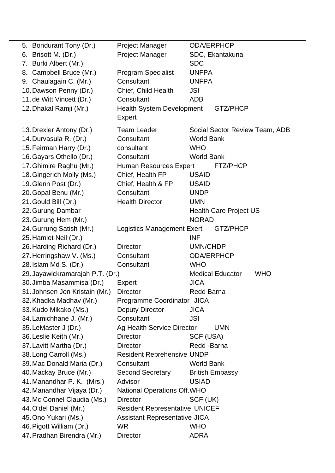| 5. Bondurant Tony (Dr.)          | <b>Project Manager</b>                | <b>ODA/ERPHCP</b>                             |
|----------------------------------|---------------------------------------|-----------------------------------------------|
| 6. Brisott M. (Dr.)              | <b>Project Manager</b>                | SDC, Ekantakuna                               |
| 7. Burki Albert (Mr.)            |                                       | <b>SDC</b>                                    |
| 8. Campbell Bruce (Mr.)          | <b>Program Specialist</b>             | <b>UNFPA</b>                                  |
| 9. Chaulagain C. (Mr.)           | Consultant                            | <b>UNFPA</b>                                  |
| 10. Dawson Penny (Dr.)           | Chief, Child Health                   | JSI                                           |
| 11. de Witt Vincett (Dr.)        | Consultant                            | <b>ADB</b>                                    |
| 12. Dhakal Ramji (Mr.)           | <b>Health System Development</b>      | GTZ/PHCP                                      |
|                                  | Expert                                |                                               |
| 13. Drexler Antony (Dr.)         | <b>Team Leader</b>                    | Social Sector Review Team, ADB                |
| 14. Durvasula R. (Dr.)           | Consultant                            | <b>World Bank</b>                             |
| 15. Feirman Harry (Dr.)          | consultant                            | <b>WHO</b>                                    |
| 16. Gayars Othello (Dr.)         | Consultant                            | <b>World Bank</b>                             |
| 17. Ghimire Raghu (Mr.)          | <b>Human Resources Expert</b>         | FTZ/PHCP                                      |
| 18. Gingerich Molly (Ms.)        | Chief, Health FP                      | <b>USAID</b>                                  |
| 19. Glenn Post (Dr.)             | Chief, Health & FP                    | <b>USAID</b>                                  |
| 20. Gopal Benu (Mr.)             | Consultant                            | <b>UNDP</b>                                   |
| 21. Gould Bill (Dr.)             | <b>Health Director</b>                | <b>UMN</b>                                    |
|                                  |                                       |                                               |
| 22. Gurung Dambar                |                                       | <b>Health Care Project US</b><br><b>NORAD</b> |
| 23. Gurung Hem (Mr.)             |                                       |                                               |
| 24. Gurrung Satish (Mr.)         | <b>Logistics Management Exert</b>     | GTZ/PHCP<br><b>INF</b>                        |
| 25. Hamlet Neil (Dr.)            | <b>Director</b>                       | UMN/CHDP                                      |
| 26. Harding Richard (Dr.)        | Consultant                            | <b>ODA/ERPHCP</b>                             |
| 27. Herringshaw V. (Ms.)         |                                       | <b>WHO</b>                                    |
| 28. Islam Md S. (Dr.)            | Consultant                            | <b>Medical Educator</b>                       |
| 29. Jayawickramarajah P.T. (Dr.) |                                       | <b>WHO</b>                                    |
| 30. Jimba Masammisa (Dr.)        | Expert                                | <b>JICA</b>                                   |
| 31. Johnsen Jon Kristain (Mr.)   | <b>Director</b>                       | <b>Redd Barna</b>                             |
| 32. Khadka Madhav (Mr.)          | Programme Coordinator JICA            |                                               |
| 33. Kudo Mikako (Ms.)            | <b>Deputy Director</b>                | <b>JICA</b>                                   |
| 34. Lamichhane J. (Mr.)          | Consultant                            | <b>JSI</b>                                    |
| 35. LeMaster J (Dr.)             | Ag Health Service Director            | <b>UMN</b>                                    |
| 36. Leslie Keith (Mr.)           | <b>Director</b>                       | SCF (USA)                                     |
| 37. Lavitt Martha (Dr.)          | <b>Director</b>                       | Redd -Barna                                   |
| 38. Long Carroll (Ms.)           | <b>Resident Reprehensive UNDP</b>     |                                               |
| 39. Mac Donald Maria (Dr.)       | Consultant                            | <b>World Bank</b>                             |
| 40. Mackay Bruce (Mr.)           | <b>Second Secretary</b>               | <b>British Embassy</b>                        |
| 41. Manandhar P. K. (Mrs.)       | Advisor                               | <b>USIAD</b>                                  |
| 42. Manandhar Vijaya (Dr.)       | <b>National Operations Off. WHO</b>   |                                               |
| 43. Mc Connel Claudia (Ms.)      | <b>Director</b>                       | SCF (UK)                                      |
| 44. O'del Daniel (Mr.)           | <b>Resident Representative UNICEF</b> |                                               |
| 45. Ono Yukari (Ms.)             | Assistant Representative JICA         |                                               |
| 46. Pigott William (Dr.)         | <b>WR</b>                             | <b>WHO</b>                                    |
| 47. Pradhan Birendra (Mr.)       | <b>Director</b>                       | <b>ADRA</b>                                   |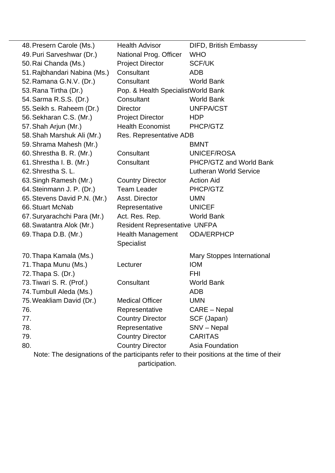| 48. Presern Carole (Ms.)                                                                 | <b>Health Advisor</b>                | <b>DIFD, British Embassy</b>  |  |
|------------------------------------------------------------------------------------------|--------------------------------------|-------------------------------|--|
| 49. Puri Sarveshwar (Dr.)                                                                | National Prog. Officer               | <b>WHO</b>                    |  |
| 50. Rai Chanda (Ms.)                                                                     | <b>Project Director</b>              | <b>SCF/UK</b>                 |  |
| 51. Rajbhandari Nabina (Ms.)                                                             | Consultant                           | <b>ADB</b>                    |  |
| 52. Ramana G.N.V. (Dr.)                                                                  | Consultant                           | <b>World Bank</b>             |  |
| 53. Rana Tirtha (Dr.)                                                                    | Pop. & Health Specialist World Bank  |                               |  |
| 54. Sarma R.S.S. (Dr.)                                                                   | Consultant                           | <b>World Bank</b>             |  |
| 55. Seikh s. Raheem (Dr.)                                                                | <b>Director</b>                      | <b>UNFPA/CST</b>              |  |
| 56. Sekharan C.S. (Mr.)                                                                  | <b>Project Director</b>              | <b>HDP</b>                    |  |
| 57. Shah Arjun (Mr.)                                                                     | <b>Health Economist</b>              | PHCP/GTZ                      |  |
| 58. Shah Marshuk Ali (Mr.)                                                               | Res. Representative ADB              |                               |  |
| 59. Shrama Mahesh (Mr.)                                                                  |                                      | <b>BMNT</b>                   |  |
| 60. Shrestha B. R. (Mr.)                                                                 | Consultant                           | <b>UNICEF/ROSA</b>            |  |
| 61. Shrestha I. B. (Mr.)                                                                 | Consultant                           | PHCP/GTZ and World Bank       |  |
| 62. Shrestha S. L.                                                                       |                                      | <b>Lutheran World Service</b> |  |
| 63. Singh Ramesh (Mr.)                                                                   | <b>Country Director</b>              | <b>Action Aid</b>             |  |
| 64. Steinmann J. P. (Dr.)                                                                | <b>Team Leader</b>                   | PHCP/GTZ                      |  |
| 65. Stevens David P.N. (Mr.)                                                             | Asst. Director                       | <b>UMN</b>                    |  |
| 66. Stuart McNab                                                                         | Representative                       | <b>UNICEF</b>                 |  |
| 67. Suryarachchi Para (Mr.)                                                              | Act. Res. Rep.                       | <b>World Bank</b>             |  |
| 68. Swatantra Alok (Mr.)                                                                 | <b>Resident Representative UNFPA</b> |                               |  |
| 69. Thapa D.B. (Mr.)                                                                     | <b>Health Management</b>             | <b>ODA/ERPHCP</b>             |  |
|                                                                                          | <b>Specialist</b>                    |                               |  |
| 70. Thapa Kamala (Ms.)                                                                   |                                      | Mary Stoppes International    |  |
| 71. Thapa Munu (Ms.)                                                                     | Lecturer                             | <b>IOM</b>                    |  |
| 72. Thapa S. (Dr.)                                                                       |                                      | <b>FHI</b>                    |  |
| 73. Tiwari S. R. (Prof.)                                                                 | Consultant                           | <b>World Bank</b>             |  |
| 74. Tumbull Aleda (Ms.)                                                                  |                                      | <b>ADB</b>                    |  |
| 75. Weakliam David (Dr.)                                                                 | <b>Medical Officer</b>               | <b>UMN</b>                    |  |
| 76.                                                                                      | Representative                       | CARE - Nepal                  |  |
| 77.                                                                                      | <b>Country Director</b>              | SCF (Japan)                   |  |
| 78.                                                                                      | Representative                       | SNV - Nepal                   |  |
| 79.                                                                                      | <b>Country Director</b>              | <b>CARITAS</b>                |  |
| 80.                                                                                      | <b>Country Director</b>              | Asia Foundation               |  |
| Note: The designations of the participants refer to their positions at the time of their |                                      |                               |  |

participation.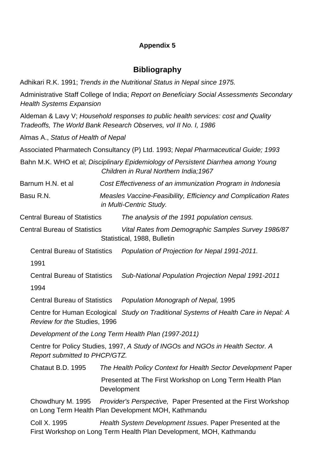### **Appendix 5**

# **Bibliography**

Adhikari R.K. 1991; *Trends in the Nutritional Status in Nepal since 1975.*

Administrative Staff College of India; *Report on Beneficiary Social Assessments Secondary Health Systems Expansion*

Aldeman & Lavy V; *Household responses to public health services: cost and Quality Tradeoffs, The World Bank Research Observes, vol II No. I, 1986*

Almas A., *Status of Health of Nepal* 

Associated Pharmatech Consultancy (P) Ltd. 1993; *Nepal Pharmaceutical Guide; 1993* 

Bahn M.K. WHO et al; *Disciplinary Epidemiology of Persistent Diarrhea among Young* **Children in Rural Northern India; 1967** 

Barnum H.N. et al. Cost Effectiveness of an *immunization Program in Indonesia* 

 *and Complication Rates*  Basu R.N. *Measles Vaccine-Feasibility, Efficiency in Multi-Centric Study.* 

Central Bureau of Statistics *The analysis of the 1991 population census.* 

Vital Rates from Demographic Samples Survey 1986/87 **Central Bureau of Statistics** Statistical, 1988, Bulletin

Population of Projection for Nepal 1991-2011. Central Bureau of

1991

Central Bureau of Statistics *Sub-National Population Projection Nepal 1991-2011*

1994

Central Bureau of Statistics *Population Monograph of Nepal,* 1995

Centre for Human Ecological *Study on Traditional Systems of Health Care in Nepal: A Review for the* Studies, 1996

*011) Development of the Long Term Health Plan (1997-2*

Centre for Policy Studies, 1997, *A Study of INGOs and NGOs in Health Sector. A Report submitted to PHCP/GTZ.* 

Chataut B.D. 1995 The Health Policy Context for Health Sector Development Paper Presented at The First Workshop on Long Term Health Plan **Development** 

Chowdhury M. 1995 *Provider's Perspective,* Paper Presented at the First Workshop on Long Term Health Plan Development MOH, Kathmandu

First Workshop on Long Term Health Plan Development, MOH, Kathmandu Coll X. 1995 *Health System Development Issues*. Paper Presented at the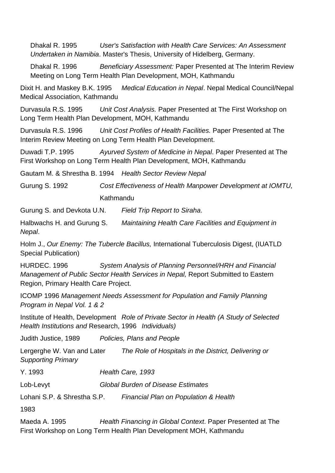Dhakal R. 1995 *User's Satisfaction with Health Care Services: An Assessmen t Undertaken in Namibia*. Master's Thesis, University of Hidelberg, Germa ny.

Dhakal R. 1996 **Beneficiary Assessment: Paper Presented at The Interim Review** Meeting on Long Term Health Plan Development, MOH, Kathmandu

 B.K. 1995 *Medical Education in Nepal*. Nepal Medical Council/Nepal Dixit H. and Maskey B.K. 1995 Medical Association, Kathmandu

Durvasula R.S. 1995 Unit Cost Analysis. Paper Presented at The First Workshop on Long Term Health Plan Development, MOH, Kathmandu

Durvasula R.S. 1996 *Unit Cost Profiles of Health Facilities.* Paper Presented at The Interim Review Meeting on Long Term Health Plan Development.

Duwadi T.P. 1995 *Ayurved System of Medicine in Nepal*. Paper Presented at The First Workshop on Long Term Health Plan Development, MOH, Kathmandu

*l* Gautam M. & Shrestha B. 1994 *Health Sector Review Nepa*

Gurung S. 1992 *Cost Effectiveness of Health Manpower Development at IOMTU,* Kathmandu

Gurung S. and Devkota U.N. Field Trip Report to Siraha.

*Maintaining Health Care Facilities and Equipment in* Halbwachs H. and Gurung S. *Nepal*.

Holm J., *Our Enemy: The Tubercle Bacillus,* International Tuberculosis Digest, (IUATLD Special Publication)

 *Personnel/HRH and Financial*  HURDEC. 1996 *System Analysis of Planning Management of Public Sector Health Services in Nepal, Report Submitted to Eastern* Region, Primary Health Care Project.

ICOMP 1996 *Management Needs Assessment for Population and Family Planning Program in Nepal Vol. 1 & 2* 

Institute of Health, Development *Role of Private Sector in Health (A Study of Selected Health Institutions and* Research, 1996 *Individuals)*

Judith Justice, 1989 *Policies, Plans and People*

Lergerghe W. Van and Later *The Role of Hospitals in the District, Delivering or Supporting Primary* 

Y. 1993 *Health Care, 1993* 

Lob-Levyt *Global Burden of Disease Estimates* 

Lohani S.P. & Shrestha S.P. *Financial Plan on Population & Health* 

1983

Maeda A. 1995 *Health Financing in Global Context*. Paper Presented at The First Workshop on Long Term Health Plan Development MOH, Kathmandu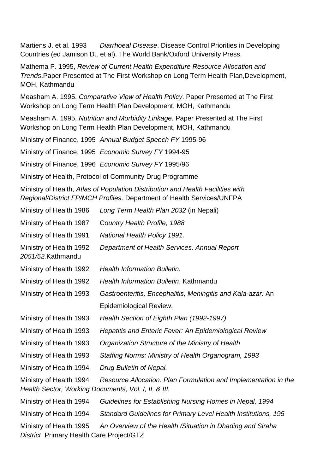Martiens J. et al. 1993 *Diarrhoeal Disease*. Disease Control Priorities in Developing Countries (ed Jamison D.. et al). The World Bank/Oxford University Press.

Mathema P. 1995, *Review of Current Health Expenditure Resource Allocation and Trends*.Paper Presented at The First Workshop on Long Term Health Plan,Development, MOH, Kathmandu

Workshop on Long Term Health Plan Development, MOH, Kathmandu Measham A. 1995, *Comparative View of Health Policy*. Paper Presented at The First

Measham A. 1995, *Nutrition and Morbidity Linkage*. Paper Presented at The First Workshop on Long Term Health Plan Development, MOH, Kathmandu

Ministry of Finance, 1995 Annual Budget Speech FY 1995-96

Ministry of Finance, 1995 *Economic Survey FY* 1994-95

Ministry of Finance, 1996 Economic Survey FY 1995/96

Ministry of Health, Protocol of Community Drug Programme

Ministry of Health, Atlas of Population Distribution and Health Facilities with *Regional/District FP/MCH Profiles. Department of Health Services/UNFPA* 

| Ministry of Health 1986                                                         | Long Term Health Plan 2032 (in Nepali)                          |
|---------------------------------------------------------------------------------|-----------------------------------------------------------------|
| Ministry of Health 1987                                                         | Country Health Profile, 1988                                    |
| Ministry of Health 1991                                                         | National Health Policy 1991.                                    |
| Ministry of Health 1992<br>2051/52.Kathmandu                                    | Department of Health Services. Annual Report                    |
| Ministry of Health 1992                                                         | <b>Health Information Bulletin.</b>                             |
| Ministry of Health 1992                                                         | Health Information Bulletin, Kathmandu                          |
| Ministry of Health 1993                                                         | Gastroenteritis, Encephalitis, Meningitis and Kala-azar: An     |
|                                                                                 | Epidemiological Review.                                         |
| Ministry of Health 1993                                                         | Health Section of Eighth Plan (1992-1997)                       |
| Ministry of Health 1993                                                         | <b>Hepatitis and Enteric Fever: An Epidemiological Review</b>   |
| Ministry of Health 1993                                                         | Organization Structure of the Ministry of Health                |
| Ministry of Health 1993                                                         | Staffing Norms: Ministry of Health Organogram, 1993             |
| Ministry of Health 1994                                                         | Drug Bulletin of Nepal.                                         |
| Ministry of Health 1994<br>Health Sector, Working Documents, Vol. I, II, & III. | Resource Allocation. Plan Formulation and Implementation in the |
| Ministry of Health 1994                                                         | Guidelines for Establishing Nursing Homes in Nepal, 1994        |
| Ministry of Health 1994                                                         | Standard Guidelines for Primary Level Health Institutions, 195  |
| Ministry of Health 1995<br>District Primary Health Care Project/GTZ             | An Overview of the Health / Situation in Dhading and Siraha     |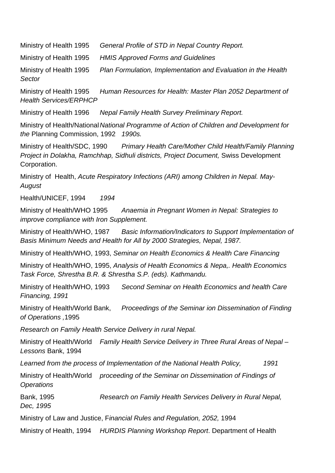Ministry of Health 1995 *General Profile of STD in Nepal Country Report.* 

Ministry of Health 1995 *HMIS Approved Forms and Guidelines* 

Ministry of Health 1995 *Plan Formulation, Implementation and Evaluation in the Health Sector* 

alth 1995 *Human Resources for Health: Master Plan 2052 Department of*  **Health Services/ERPHCP** Ministry of Health 1995

Ministry of Health 1996 *Nepal Family Health Survey Preliminary Report.* 

Ministry of Health/National National Programme of Action of Children and Development for *the* Planning Commission, 1992 *1990s.* 

Project in Dolakha, Ramchhap, Sidhuli districts, Project Document, Swiss Development Ministry of Health/SDC, 1990 *Primary Health Care/Mother Child Health/Family Planning*  Corporation.

*y-*Ministry of Health, *Acute Respiratory Infections (ARI) among Children in Nepal. Ma August* 

*4*  Health/UNICEF, 1994 *199*

Ministry of Health/WHO 1995 *Anaemia in Pregnant Women in Nepal: Strategies to improve compliance with Iron Supplement.* 

**Basic Information/Indicators to Support Implementation of Basis Minimum Needs and Health for All by 2000 Strategies, Nepal, 1987.** Ministry of Health/WHO, 1987

Ministry of Health/WHO, 1993, *Seminar on Health Economics & Health Care Financing* 

*ha B.R. & Shrestha S.P. (eds). Kathmandu. Task Force, Shrest* Ministry of Health/WHO, 1995, *Analysis of Health Economics & Nepa,. Health Economics* 

Ministry of Health/WHO, 1993 *Second Seminar on Health Economics and health Care Financing, 1991* 

Ministry of Health/World Bank, *Proceedings of the Seminar ion Dissemination of Finding of Operations ,*1995

**Research on Family Health Service Delivery in rural Nepal.** 

Ministry of Health/World *Family Health Service Delivery in Three Rural Areas of Nepal – Lessons* Bank, 1994

Learned from the process of Implementation of the National Health Policy, 2991

Ministry of Health/World proceeding of the Seminar on Dissemination of Findings of *Operations* 

*arch on Family Health Services Delivery in Rural Nepal,*  **Bank, 1995** *Dec, 1995* 

Ministry of Law and Justice, Financial Rules and Regulation, 2052, 1994

Ministry of Health, 1994 *HURDIS Planning Workshop Report*. Department of Health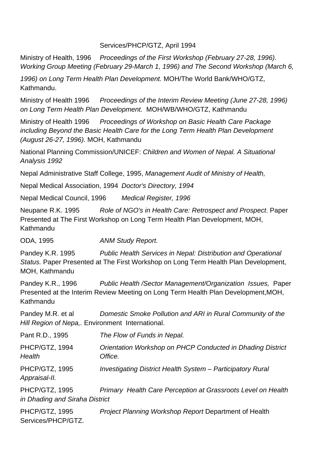### Services/PHCP/GTZ, April 1994

Ministry of Health, 1996 *Proceedings of the First Workshop (February 27-28, 1996).*  Working Group Meeting (February 29-March 1, 1996) and The Second Workshop (March 6,

*1996) on Long Term Health Plan Development.* MOH/The World Bank/WHO/GTZ, Kathmandu.

Ministry of Health 1996 *Proceedings of the Interim Review Meeting (June 27-28, 1996) on Long Term Health Plan Development.* MOH/WB/WHO/GTZ, Kathmandu

Ministry of Health 1996 *Proceedings of Workshop on Basic Health Care Package including Beyond the Basic Health Care for the Long Term Health Plan Development (August 26-27, 1996).* MOH, Kathmandu

National Planning Commission/UNICEF: *Children and Women of Nepal. A Situational Analysis 1992* 

Nepal Administrative Staff College, 1995, Management Audit of Ministry of Health,

Nepal Medical Association, 1994 *Doctor's Directory, 1994* 

Nepal Medical Council, 1996 *Medical Register, 1996* 

Neupane R.K. 1995 *Role of NGO's in Health Care: Retrospect and Prospect*. Paper Presented at The First Workshop on Long Term Health Plan Development, MOH, Kathmandu

ODA, 1995 *ANM Study Report.* 

Pandey K.R. 1995 *Public Health Services in Nepal: Distribution and Operational Status.* Paper Presented at The First Workshop on Long Term Health Plan Development, MOH, Kathmandu

Pandey K.R., 1996 *Public Health /Sector Management/Organization Issues, Paper* Presented at the Interim Review Meeting on Long Term Health Plan Development, MOH, Kathmandu

*Domestic Smoke Pollution and ARI in Rural Community of the*  Hill Region of Nepa,. Environment International. Pandey M.R. et al

| Pant R.D., 1995                                  | The Flow of Funds in Nepal.                                           |
|--------------------------------------------------|-----------------------------------------------------------------------|
| PHCP/GTZ, 1994<br>Health                         | Orientation Workshop on PHCP Conducted in Dhading District<br>Office. |
| PHCP/GTZ, 1995<br>Appraisal-II.                  | Investigating District Health System - Participatory Rural            |
| PHCP/GTZ, 1995<br>in Dhading and Siraha District | Primary Health Care Perception at Grassroots Level on Health          |
| PHCP/GTZ, 1995<br>Services/PHCP/GTZ.             | Project Planning Workshop Report Department of Health                 |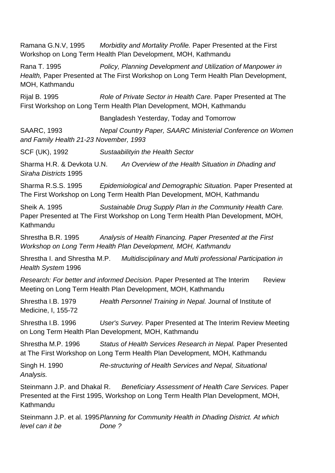**Morbidity and Mortality Profile. Paper Presented at the First** Workshop on Long Term Health Plan Development, M OH, Kathmandu Ramana G.N.V, 1995 Health, Paper Presented at The First Workshop on Long Term Health Plan Development, Rijal B. 1995 *Role of Private Sector in Health Care. Paper Presented at The* Bangladesh Yesterday, Today and Tomorrow SAARC, 1993 **Nepal Country Paper, SAARC Ministerial Conference on Women** *1-23 November, 1993 and Family Health 2* Siraha Districts 1995 Sharma R.S.S. 1995 The First Workshop on Long Term Health Plan Development, MOH, Kathmandu Sheik A. 1995 *Sustainable Drug Supply Plan in the Community Health Care.*  Paper Presented at The First Workshop on Long Term Health Plan Development, MOH, Kathmandu Shrestha B.R. 1995 *Analysis of Health Financing. Paper Presented at the First Workshop on Long Term Health Plan Development, MOH, Kathmandu* Shrestha I. and Shrestha M.P. *Multidisciplinary and Multi professional Participation in Health System* 1996 *Research: For better and informed Decision.* Paper Presented at The Interim Review Meeting on Long Term Health Plan Development, MOH, Kathmandu Shrestha I.B. 1979 *Health Personnel Training in Nepal.* Journal of Institute of Medicine, I, 155-72 Shrestha I.B. 1996 *User's Survey.* Paper Presented at The Interim Review Meeting on Long Term Health Plan Development, MOH, Kathmandu Shrestha M.P. 1996 *Status of Health Services Research in Nepal.* Paper Presented at The First Workshop on Long Term Health Plan Development, MOH, Kathmandu Singh H. 1990 *Re-structuring of Health Services and Nepal, Situational Analysis.*  Steinmann J.P. and Dhakal R. *Beneficiary Assessment of Health Care Services.* Paper Presented at the First 1995, Workshop on Long Term Health Plan Development, MOH, Kathmandu Steinmann J.P. et al. 1995 *Planning for Community Health in Dhading District. At which level can it be Done ?*  Rana T. 1995 *Policy, Planning Development and Utilization of Manpower in* MOH, Kathmandu First Workshop on Long Term Health Plan Development, MOH, Kathmandu SCF (UK), 1992 *Sustaabilityin the Health Sector*  Sharma H.R. & Devkota U.N. *An Overview of the Health Situation in Dhading and*  **Epidemiological and Demographic Situation. Paper Presented at**